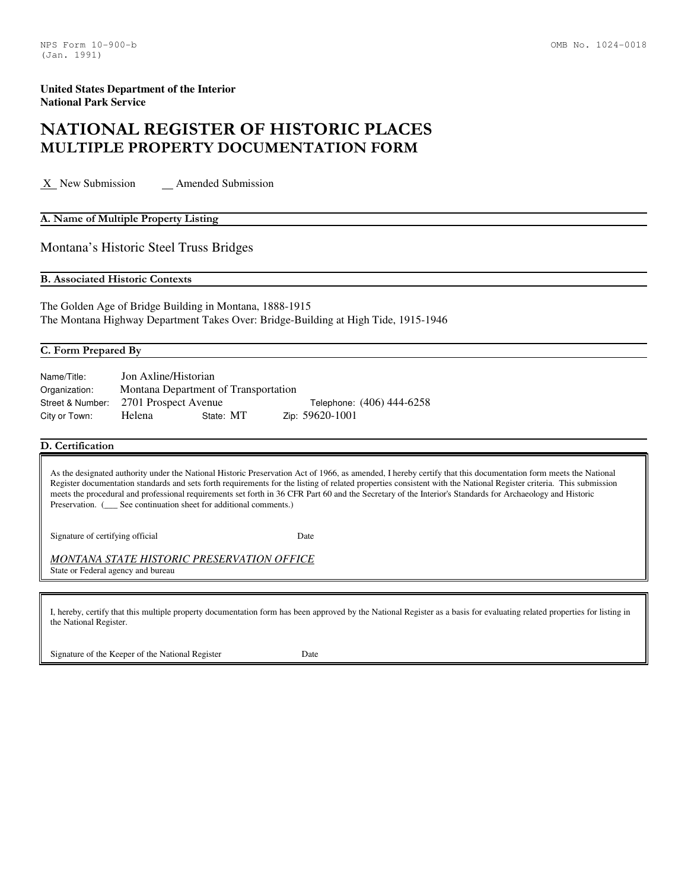# NATIONAL REGISTER OF HISTORIC PLACES MULTIPLE PROPERTY DOCUMENTATION FORM

X New Submission Amended Submission

#### A. Name of Multiple Property Listing

Montana's Historic Steel Truss Bridges

B. Associated Historic Contexts

The Golden Age of Bridge Building in Montana, 1888-1915 The Montana Highway Department Takes Over: Bridge-Building at High Tide, 1915-1946

#### C. Form Prepared By

| Name/Title:   | Jon Axline/Historian                  |           |                           |
|---------------|---------------------------------------|-----------|---------------------------|
| Organization: | Montana Department of Transportation  |           |                           |
|               | Street & Number: 2701 Prospect Avenue |           | Telephone: (406) 444-6258 |
| City or Town: | Helena                                | State: MT | Zip: 59620-1001           |

# D. Certification

As the designated authority under the National Historic Preservation Act of 1966, as amended, I hereby certify that this documentation form meets the National Register documentation standards and sets forth requirements for the listing of related properties consistent with the National Register criteria. This submission meets the procedural and professional requirements set forth in 36 CFR Part 60 and the Secretary of the Interior's Standards for Archaeology and Historic Preservation. (
See continuation sheet for additional comments.)

Signature of certifying official Date

*MONTANA STATE HISTORIC PRESERVATION OFFICE*  State or Federal agency and bureau

I, hereby, certify that this multiple property documentation form has been approved by the National Register as a basis for evaluating related properties for listing in the National Register.

Signature of the Keeper of the National Register Date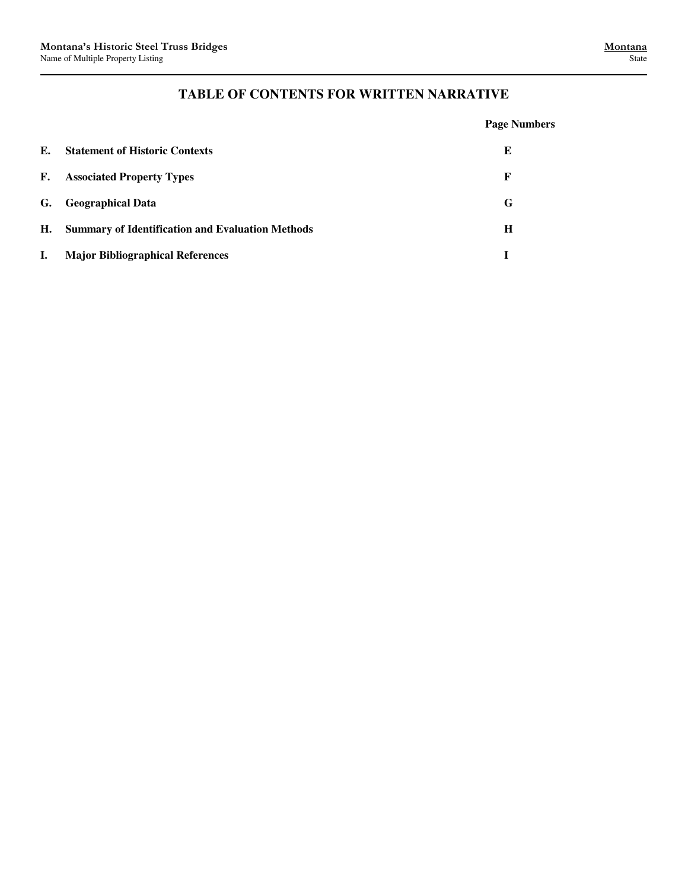# **TABLE OF CONTENTS FOR WRITTEN NARRATIVE**

|    |                                                         | <b>Page Numbers</b> |
|----|---------------------------------------------------------|---------------------|
| Е. | <b>Statement of Historic Contexts</b>                   | E                   |
| F. | <b>Associated Property Types</b>                        | F                   |
| G. | <b>Geographical Data</b>                                | G                   |
| Н. | <b>Summary of Identification and Evaluation Methods</b> | H                   |
| L. | <b>Major Bibliographical References</b>                 | T                   |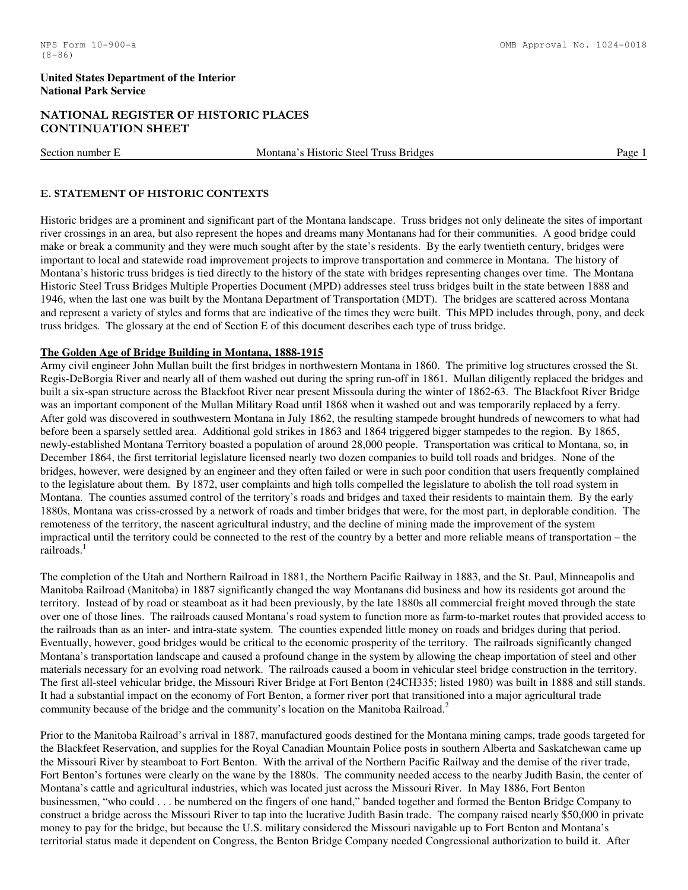# NATIONAL REGISTER OF HISTORIC PLACES CONTINUATION SHEET

Section number E Montana's Historic Steel Truss Bridges Page 1

# E. STATEMENT OF HISTORIC CONTEXTS

Historic bridges are a prominent and significant part of the Montana landscape. Truss bridges not only delineate the sites of important river crossings in an area, but also represent the hopes and dreams many Montanans had for their communities. A good bridge could make or break a community and they were much sought after by the state's residents. By the early twentieth century, bridges were important to local and statewide road improvement projects to improve transportation and commerce in Montana. The history of Montana's historic truss bridges is tied directly to the history of the state with bridges representing changes over time. The Montana Historic Steel Truss Bridges Multiple Properties Document (MPD) addresses steel truss bridges built in the state between 1888 and 1946, when the last one was built by the Montana Department of Transportation (MDT). The bridges are scattered across Montana and represent a variety of styles and forms that are indicative of the times they were built. This MPD includes through, pony, and deck truss bridges. The glossary at the end of Section E of this document describes each type of truss bridge.

#### **The Golden Age of Bridge Building in Montana, 1888-1915**

Army civil engineer John Mullan built the first bridges in northwestern Montana in 1860. The primitive log structures crossed the St. Regis-DeBorgia River and nearly all of them washed out during the spring run-off in 1861. Mullan diligently replaced the bridges and built a six-span structure across the Blackfoot River near present Missoula during the winter of 1862-63. The Blackfoot River Bridge was an important component of the Mullan Military Road until 1868 when it washed out and was temporarily replaced by a ferry. After gold was discovered in southwestern Montana in July 1862, the resulting stampede brought hundreds of newcomers to what had before been a sparsely settled area. Additional gold strikes in 1863 and 1864 triggered bigger stampedes to the region. By 1865, newly-established Montana Territory boasted a population of around 28,000 people. Transportation was critical to Montana, so, in December 1864, the first territorial legislature licensed nearly two dozen companies to build toll roads and bridges. None of the bridges, however, were designed by an engineer and they often failed or were in such poor condition that users frequently complained to the legislature about them. By 1872, user complaints and high tolls compelled the legislature to abolish the toll road system in Montana. The counties assumed control of the territory's roads and bridges and taxed their residents to maintain them. By the early 1880s, Montana was criss-crossed by a network of roads and timber bridges that were, for the most part, in deplorable condition. The remoteness of the territory, the nascent agricultural industry, and the decline of mining made the improvement of the system impractical until the territory could be connected to the rest of the country by a better and more reliable means of transportation – the railroads. $<sup>1</sup>$ </sup>

The completion of the Utah and Northern Railroad in 1881, the Northern Pacific Railway in 1883, and the St. Paul, Minneapolis and Manitoba Railroad (Manitoba) in 1887 significantly changed the way Montanans did business and how its residents got around the territory. Instead of by road or steamboat as it had been previously, by the late 1880s all commercial freight moved through the state over one of those lines. The railroads caused Montana's road system to function more as farm-to-market routes that provided access to the railroads than as an inter- and intra-state system. The counties expended little money on roads and bridges during that period. Eventually, however, good bridges would be critical to the economic prosperity of the territory. The railroads significantly changed Montana's transportation landscape and caused a profound change in the system by allowing the cheap importation of steel and other materials necessary for an evolving road network. The railroads caused a boom in vehicular steel bridge construction in the territory. The first all-steel vehicular bridge, the Missouri River Bridge at Fort Benton (24CH335; listed 1980) was built in 1888 and still stands. It had a substantial impact on the economy of Fort Benton, a former river port that transitioned into a major agricultural trade community because of the bridge and the community's location on the Manitoba Railroad.<sup>2</sup>

Prior to the Manitoba Railroad's arrival in 1887, manufactured goods destined for the Montana mining camps, trade goods targeted for the Blackfeet Reservation, and supplies for the Royal Canadian Mountain Police posts in southern Alberta and Saskatchewan came up the Missouri River by steamboat to Fort Benton. With the arrival of the Northern Pacific Railway and the demise of the river trade, Fort Benton's fortunes were clearly on the wane by the 1880s. The community needed access to the nearby Judith Basin, the center of Montana's cattle and agricultural industries, which was located just across the Missouri River. In May 1886, Fort Benton businessmen, "who could . . . be numbered on the fingers of one hand," banded together and formed the Benton Bridge Company to construct a bridge across the Missouri River to tap into the lucrative Judith Basin trade. The company raised nearly \$50,000 in private money to pay for the bridge, but because the U.S. military considered the Missouri navigable up to Fort Benton and Montana's territorial status made it dependent on Congress, the Benton Bridge Company needed Congressional authorization to build it. After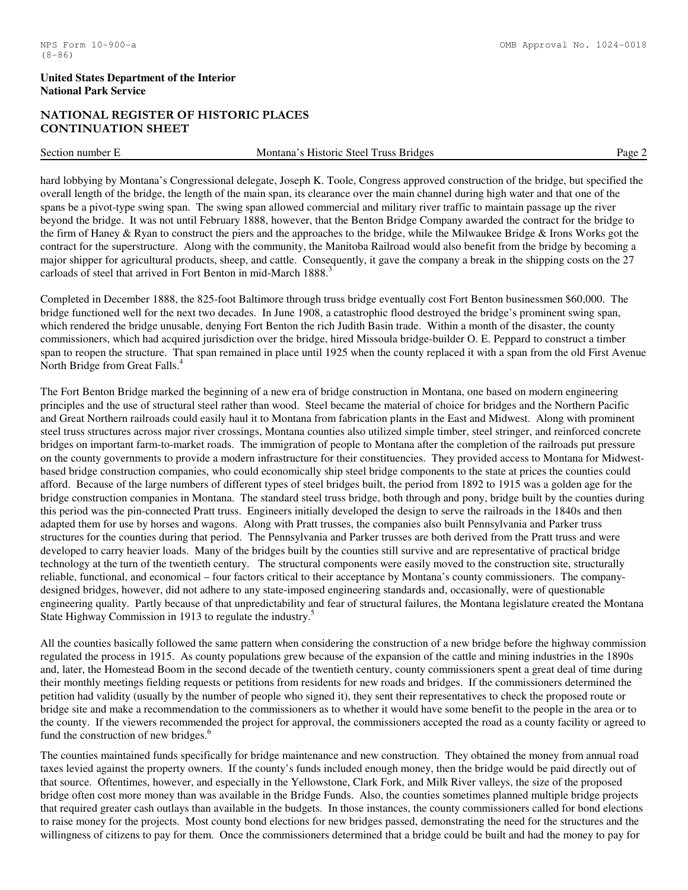# NATIONAL REGISTER OF HISTORIC PLACES CONTINUATION SHEET

Section number E Montana's Historic Steel Truss Bridges Page 2

hard lobbying by Montana's Congressional delegate, Joseph K. Toole, Congress approved construction of the bridge, but specified the overall length of the bridge, the length of the main span, its clearance over the main channel during high water and that one of the spans be a pivot-type swing span. The swing span allowed commercial and military river traffic to maintain passage up the river beyond the bridge. It was not until February 1888, however, that the Benton Bridge Company awarded the contract for the bridge to the firm of Haney & Ryan to construct the piers and the approaches to the bridge, while the Milwaukee Bridge & Irons Works got the contract for the superstructure. Along with the community, the Manitoba Railroad would also benefit from the bridge by becoming a major shipper for agricultural products, sheep, and cattle. Consequently, it gave the company a break in the shipping costs on the 27 carloads of steel that arrived in Fort Benton in mid-March 1888.

Completed in December 1888, the 825-foot Baltimore through truss bridge eventually cost Fort Benton businessmen \$60,000. The bridge functioned well for the next two decades. In June 1908, a catastrophic flood destroyed the bridge's prominent swing span, which rendered the bridge unusable, denying Fort Benton the rich Judith Basin trade. Within a month of the disaster, the county commissioners, which had acquired jurisdiction over the bridge, hired Missoula bridge-builder O. E. Peppard to construct a timber span to reopen the structure. That span remained in place until 1925 when the county replaced it with a span from the old First Avenue North Bridge from Great Falls.<sup>4</sup>

The Fort Benton Bridge marked the beginning of a new era of bridge construction in Montana, one based on modern engineering principles and the use of structural steel rather than wood. Steel became the material of choice for bridges and the Northern Pacific and Great Northern railroads could easily haul it to Montana from fabrication plants in the East and Midwest. Along with prominent steel truss structures across major river crossings, Montana counties also utilized simple timber, steel stringer, and reinforced concrete bridges on important farm-to-market roads. The immigration of people to Montana after the completion of the railroads put pressure on the county governments to provide a modern infrastructure for their constituencies. They provided access to Montana for Midwestbased bridge construction companies, who could economically ship steel bridge components to the state at prices the counties could afford. Because of the large numbers of different types of steel bridges built, the period from 1892 to 1915 was a golden age for the bridge construction companies in Montana. The standard steel truss bridge, both through and pony, bridge built by the counties during this period was the pin-connected Pratt truss. Engineers initially developed the design to serve the railroads in the 1840s and then adapted them for use by horses and wagons. Along with Pratt trusses, the companies also built Pennsylvania and Parker truss structures for the counties during that period. The Pennsylvania and Parker trusses are both derived from the Pratt truss and were developed to carry heavier loads. Many of the bridges built by the counties still survive and are representative of practical bridge technology at the turn of the twentieth century. The structural components were easily moved to the construction site, structurally reliable, functional, and economical – four factors critical to their acceptance by Montana's county commissioners. The companydesigned bridges, however, did not adhere to any state-imposed engineering standards and, occasionally, were of questionable engineering quality. Partly because of that unpredictability and fear of structural failures, the Montana legislature created the Montana State Highway Commission in 1913 to regulate the industry.<sup>5</sup>

All the counties basically followed the same pattern when considering the construction of a new bridge before the highway commission regulated the process in 1915. As county populations grew because of the expansion of the cattle and mining industries in the 1890s and, later, the Homestead Boom in the second decade of the twentieth century, county commissioners spent a great deal of time during their monthly meetings fielding requests or petitions from residents for new roads and bridges. If the commissioners determined the petition had validity (usually by the number of people who signed it), they sent their representatives to check the proposed route or bridge site and make a recommendation to the commissioners as to whether it would have some benefit to the people in the area or to the county. If the viewers recommended the project for approval, the commissioners accepted the road as a county facility or agreed to fund the construction of new bridges.<sup>6</sup>

The counties maintained funds specifically for bridge maintenance and new construction. They obtained the money from annual road taxes levied against the property owners. If the county's funds included enough money, then the bridge would be paid directly out of that source. Oftentimes, however, and especially in the Yellowstone, Clark Fork, and Milk River valleys, the size of the proposed bridge often cost more money than was available in the Bridge Funds. Also, the counties sometimes planned multiple bridge projects that required greater cash outlays than available in the budgets. In those instances, the county commissioners called for bond elections to raise money for the projects. Most county bond elections for new bridges passed, demonstrating the need for the structures and the willingness of citizens to pay for them. Once the commissioners determined that a bridge could be built and had the money to pay for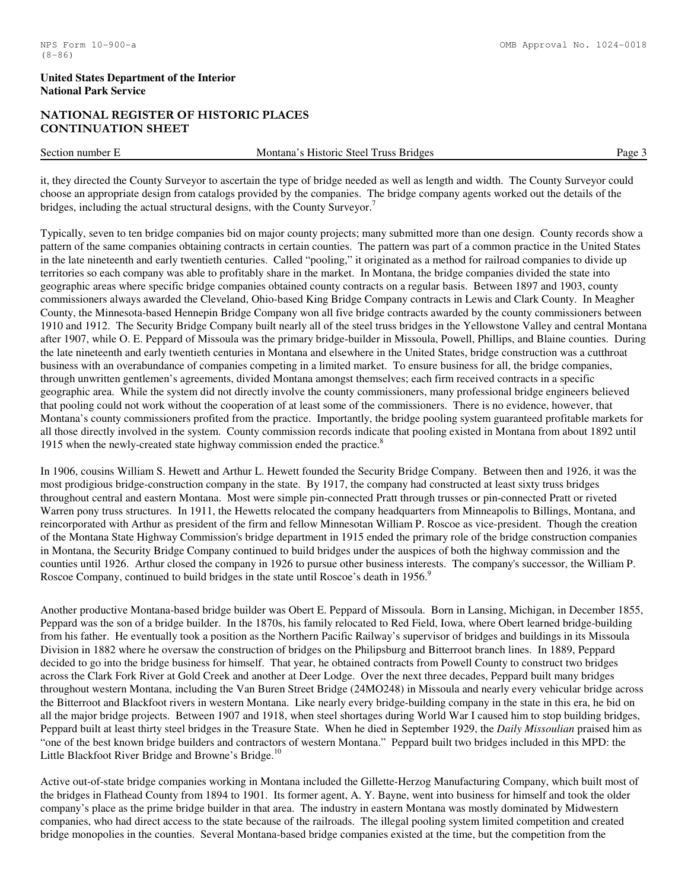# NATIONAL REGISTER OF HISTORIC PLACES CONTINUATION SHEET

Section number E Montana's Historic Steel Truss Bridges Page 3

it, they directed the County Surveyor to ascertain the type of bridge needed as well as length and width. The County Surveyor could choose an appropriate design from catalogs provided by the companies. The bridge company agents worked out the details of the bridges, including the actual structural designs, with the County Surveyor.<sup>7</sup>

Typically, seven to ten bridge companies bid on major county projects; many submitted more than one design. County records show a pattern of the same companies obtaining contracts in certain counties. The pattern was part of a common practice in the United States in the late nineteenth and early twentieth centuries. Called "pooling," it originated as a method for railroad companies to divide up territories so each company was able to profitably share in the market. In Montana, the bridge companies divided the state into geographic areas where specific bridge companies obtained county contracts on a regular basis. Between 1897 and 1903, county commissioners always awarded the Cleveland, Ohio-based King Bridge Company contracts in Lewis and Clark County. In Meagher County, the Minnesota-based Hennepin Bridge Company won all five bridge contracts awarded by the county commissioners between 1910 and 1912. The Security Bridge Company built nearly all of the steel truss bridges in the Yellowstone Valley and central Montana after 1907, while O. E. Peppard of Missoula was the primary bridge-builder in Missoula, Powell, Phillips, and Blaine counties. During the late nineteenth and early twentieth centuries in Montana and elsewhere in the United States, bridge construction was a cutthroat business with an overabundance of companies competing in a limited market. To ensure business for all, the bridge companies, through unwritten gentlemen's agreements, divided Montana amongst themselves; each firm received contracts in a specific geographic area. While the system did not directly involve the county commissioners, many professional bridge engineers believed that pooling could not work without the cooperation of at least some of the commissioners. There is no evidence, however, that Montana's county commissioners profited from the practice. Importantly, the bridge pooling system guaranteed profitable markets for all those directly involved in the system. County commission records indicate that pooling existed in Montana from about 1892 until 1915 when the newly-created state highway commission ended the practice. $8$ 

In 1906, cousins William S. Hewett and Arthur L. Hewett founded the Security Bridge Company. Between then and 1926, it was the most prodigious bridge-construction company in the state. By 1917, the company had constructed at least sixty truss bridges throughout central and eastern Montana. Most were simple pin-connected Pratt through trusses or pin-connected Pratt or riveted Warren pony truss structures. In 1911, the Hewetts relocated the company headquarters from Minneapolis to Billings, Montana, and reincorporated with Arthur as president of the firm and fellow Minnesotan William P. Roscoe as vice-president. Though the creation of the Montana State Highway Commission's bridge department in 1915 ended the primary role of the bridge construction companies in Montana, the Security Bridge Company continued to build bridges under the auspices of both the highway commission and the counties until 1926. Arthur closed the company in 1926 to pursue other business interests. The company's successor, the William P. Roscoe Company, continued to build bridges in the state until Roscoe's death in 1956. $9$ 

Another productive Montana-based bridge builder was Obert E. Peppard of Missoula. Born in Lansing, Michigan, in December 1855, Peppard was the son of a bridge builder. In the 1870s, his family relocated to Red Field, Iowa, where Obert learned bridge-building from his father. He eventually took a position as the Northern Pacific Railway's supervisor of bridges and buildings in its Missoula Division in 1882 where he oversaw the construction of bridges on the Philipsburg and Bitterroot branch lines. In 1889, Peppard decided to go into the bridge business for himself. That year, he obtained contracts from Powell County to construct two bridges across the Clark Fork River at Gold Creek and another at Deer Lodge. Over the next three decades, Peppard built many bridges throughout western Montana, including the Van Buren Street Bridge (24MO248) in Missoula and nearly every vehicular bridge across the Bitterroot and Blackfoot rivers in western Montana. Like nearly every bridge-building company in the state in this era, he bid on all the major bridge projects. Between 1907 and 1918, when steel shortages during World War I caused him to stop building bridges, Peppard built at least thirty steel bridges in the Treasure State. When he died in September 1929, the *Daily Missoulian* praised him as "one of the best known bridge builders and contractors of western Montana." Peppard built two bridges included in this MPD: the Little Blackfoot River Bridge and Browne's Bridge.<sup>10</sup>

Active out-of-state bridge companies working in Montana included the Gillette-Herzog Manufacturing Company, which built most of the bridges in Flathead County from 1894 to 1901. Its former agent, A. Y. Bayne, went into business for himself and took the older company's place as the prime bridge builder in that area. The industry in eastern Montana was mostly dominated by Midwestern companies, who had direct access to the state because of the railroads. The illegal pooling system limited competition and created bridge monopolies in the counties. Several Montana-based bridge companies existed at the time, but the competition from the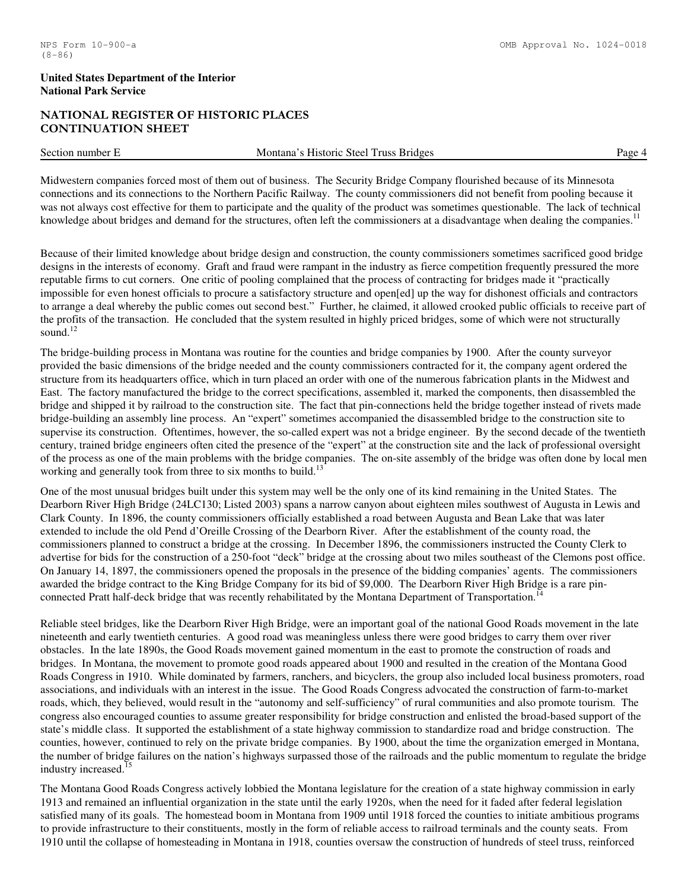# NATIONAL REGISTER OF HISTORIC PLACES CONTINUATION SHEET

| Section<br>number | Montana<br><b>Historic</b><br>Steel<br>russ<br><b>Bridges</b> | Page |
|-------------------|---------------------------------------------------------------|------|
|                   |                                                               |      |

Midwestern companies forced most of them out of business. The Security Bridge Company flourished because of its Minnesota connections and its connections to the Northern Pacific Railway. The county commissioners did not benefit from pooling because it was not always cost effective for them to participate and the quality of the product was sometimes questionable. The lack of technical knowledge about bridges and demand for the structures, often left the commissioners at a disadvantage when dealing the companies.<sup>11</sup>

Because of their limited knowledge about bridge design and construction, the county commissioners sometimes sacrificed good bridge designs in the interests of economy. Graft and fraud were rampant in the industry as fierce competition frequently pressured the more reputable firms to cut corners. One critic of pooling complained that the process of contracting for bridges made it "practically impossible for even honest officials to procure a satisfactory structure and open[ed] up the way for dishonest officials and contractors to arrange a deal whereby the public comes out second best." Further, he claimed, it allowed crooked public officials to receive part of the profits of the transaction. He concluded that the system resulted in highly priced bridges, some of which were not structurally sound.<sup>12</sup>

The bridge-building process in Montana was routine for the counties and bridge companies by 1900. After the county surveyor provided the basic dimensions of the bridge needed and the county commissioners contracted for it, the company agent ordered the structure from its headquarters office, which in turn placed an order with one of the numerous fabrication plants in the Midwest and East. The factory manufactured the bridge to the correct specifications, assembled it, marked the components, then disassembled the bridge and shipped it by railroad to the construction site. The fact that pin-connections held the bridge together instead of rivets made bridge-building an assembly line process. An "expert" sometimes accompanied the disassembled bridge to the construction site to supervise its construction. Oftentimes, however, the so-called expert was not a bridge engineer. By the second decade of the twentieth century, trained bridge engineers often cited the presence of the "expert" at the construction site and the lack of professional oversight of the process as one of the main problems with the bridge companies. The on-site assembly of the bridge was often done by local men working and generally took from three to six months to build.<sup>13</sup>

One of the most unusual bridges built under this system may well be the only one of its kind remaining in the United States. The Dearborn River High Bridge (24LC130; Listed 2003) spans a narrow canyon about eighteen miles southwest of Augusta in Lewis and Clark County. In 1896, the county commissioners officially established a road between Augusta and Bean Lake that was later extended to include the old Pend d'Oreille Crossing of the Dearborn River. After the establishment of the county road, the commissioners planned to construct a bridge at the crossing. In December 1896, the commissioners instructed the County Clerk to advertise for bids for the construction of a 250-foot "deck" bridge at the crossing about two miles southeast of the Clemons post office. On January 14, 1897, the commissioners opened the proposals in the presence of the bidding companies' agents. The commissioners awarded the bridge contract to the King Bridge Company for its bid of \$9,000. The Dearborn River High Bridge is a rare pinconnected Pratt half-deck bridge that was recently rehabilitated by the Montana Department of Transportation.<sup>14</sup>

Reliable steel bridges, like the Dearborn River High Bridge, were an important goal of the national Good Roads movement in the late nineteenth and early twentieth centuries. A good road was meaningless unless there were good bridges to carry them over river obstacles. In the late 1890s, the Good Roads movement gained momentum in the east to promote the construction of roads and bridges. In Montana, the movement to promote good roads appeared about 1900 and resulted in the creation of the Montana Good Roads Congress in 1910. While dominated by farmers, ranchers, and bicyclers, the group also included local business promoters, road associations, and individuals with an interest in the issue. The Good Roads Congress advocated the construction of farm-to-market roads, which, they believed, would result in the "autonomy and self-sufficiency" of rural communities and also promote tourism. The congress also encouraged counties to assume greater responsibility for bridge construction and enlisted the broad-based support of the state's middle class. It supported the establishment of a state highway commission to standardize road and bridge construction. The counties, however, continued to rely on the private bridge companies. By 1900, about the time the organization emerged in Montana, the number of bridge failures on the nation's highways surpassed those of the railroads and the public momentum to regulate the bridge industry increased.<sup>15</sup>

The Montana Good Roads Congress actively lobbied the Montana legislature for the creation of a state highway commission in early 1913 and remained an influential organization in the state until the early 1920s, when the need for it faded after federal legislation satisfied many of its goals. The homestead boom in Montana from 1909 until 1918 forced the counties to initiate ambitious programs to provide infrastructure to their constituents, mostly in the form of reliable access to railroad terminals and the county seats. From 1910 until the collapse of homesteading in Montana in 1918, counties oversaw the construction of hundreds of steel truss, reinforced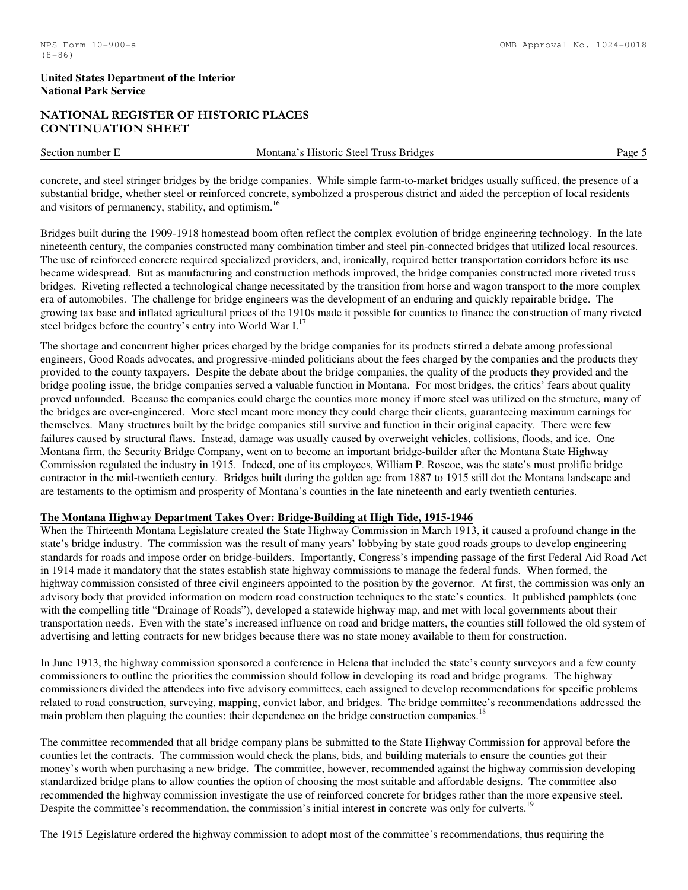# NATIONAL REGISTER OF HISTORIC PLACES CONTINUATION SHEET

| Section number E | m<br>$\sim$<br>Montana<br><b>Historic</b><br>Steel Truss<br><b>Bridges</b> | Page |
|------------------|----------------------------------------------------------------------------|------|
|                  |                                                                            |      |

concrete, and steel stringer bridges by the bridge companies. While simple farm-to-market bridges usually sufficed, the presence of a substantial bridge, whether steel or reinforced concrete, symbolized a prosperous district and aided the perception of local residents and visitors of permanency, stability, and optimism.<sup>16</sup>

Bridges built during the 1909-1918 homestead boom often reflect the complex evolution of bridge engineering technology. In the late nineteenth century, the companies constructed many combination timber and steel pin-connected bridges that utilized local resources. The use of reinforced concrete required specialized providers, and, ironically, required better transportation corridors before its use became widespread. But as manufacturing and construction methods improved, the bridge companies constructed more riveted truss bridges. Riveting reflected a technological change necessitated by the transition from horse and wagon transport to the more complex era of automobiles. The challenge for bridge engineers was the development of an enduring and quickly repairable bridge. The growing tax base and inflated agricultural prices of the 1910s made it possible for counties to finance the construction of many riveted steel bridges before the country's entry into World War I.<sup>17</sup>

The shortage and concurrent higher prices charged by the bridge companies for its products stirred a debate among professional engineers, Good Roads advocates, and progressive-minded politicians about the fees charged by the companies and the products they provided to the county taxpayers. Despite the debate about the bridge companies, the quality of the products they provided and the bridge pooling issue, the bridge companies served a valuable function in Montana. For most bridges, the critics' fears about quality proved unfounded. Because the companies could charge the counties more money if more steel was utilized on the structure, many of the bridges are over-engineered. More steel meant more money they could charge their clients, guaranteeing maximum earnings for themselves. Many structures built by the bridge companies still survive and function in their original capacity. There were few failures caused by structural flaws. Instead, damage was usually caused by overweight vehicles, collisions, floods, and ice. One Montana firm, the Security Bridge Company, went on to become an important bridge-builder after the Montana State Highway Commission regulated the industry in 1915. Indeed, one of its employees, William P. Roscoe, was the state's most prolific bridge contractor in the mid-twentieth century. Bridges built during the golden age from 1887 to 1915 still dot the Montana landscape and are testaments to the optimism and prosperity of Montana's counties in the late nineteenth and early twentieth centuries.

# **The Montana Highway Department Takes Over: Bridge-Building at High Tide, 1915-1946**

When the Thirteenth Montana Legislature created the State Highway Commission in March 1913, it caused a profound change in the state's bridge industry. The commission was the result of many years' lobbying by state good roads groups to develop engineering standards for roads and impose order on bridge-builders. Importantly, Congress's impending passage of the first Federal Aid Road Act in 1914 made it mandatory that the states establish state highway commissions to manage the federal funds. When formed, the highway commission consisted of three civil engineers appointed to the position by the governor. At first, the commission was only an advisory body that provided information on modern road construction techniques to the state's counties. It published pamphlets (one with the compelling title "Drainage of Roads"), developed a statewide highway map, and met with local governments about their transportation needs. Even with the state's increased influence on road and bridge matters, the counties still followed the old system of advertising and letting contracts for new bridges because there was no state money available to them for construction.

In June 1913, the highway commission sponsored a conference in Helena that included the state's county surveyors and a few county commissioners to outline the priorities the commission should follow in developing its road and bridge programs. The highway commissioners divided the attendees into five advisory committees, each assigned to develop recommendations for specific problems related to road construction, surveying, mapping, convict labor, and bridges. The bridge committee's recommendations addressed the main problem then plaguing the counties: their dependence on the bridge construction companies.<sup>18</sup>

The committee recommended that all bridge company plans be submitted to the State Highway Commission for approval before the counties let the contracts. The commission would check the plans, bids, and building materials to ensure the counties got their money's worth when purchasing a new bridge. The committee, however, recommended against the highway commission developing standardized bridge plans to allow counties the option of choosing the most suitable and affordable designs. The committee also recommended the highway commission investigate the use of reinforced concrete for bridges rather than the more expensive steel. Despite the committee's recommendation, the commission's initial interest in concrete was only for culverts.<sup>19</sup>

The 1915 Legislature ordered the highway commission to adopt most of the committee's recommendations, thus requiring the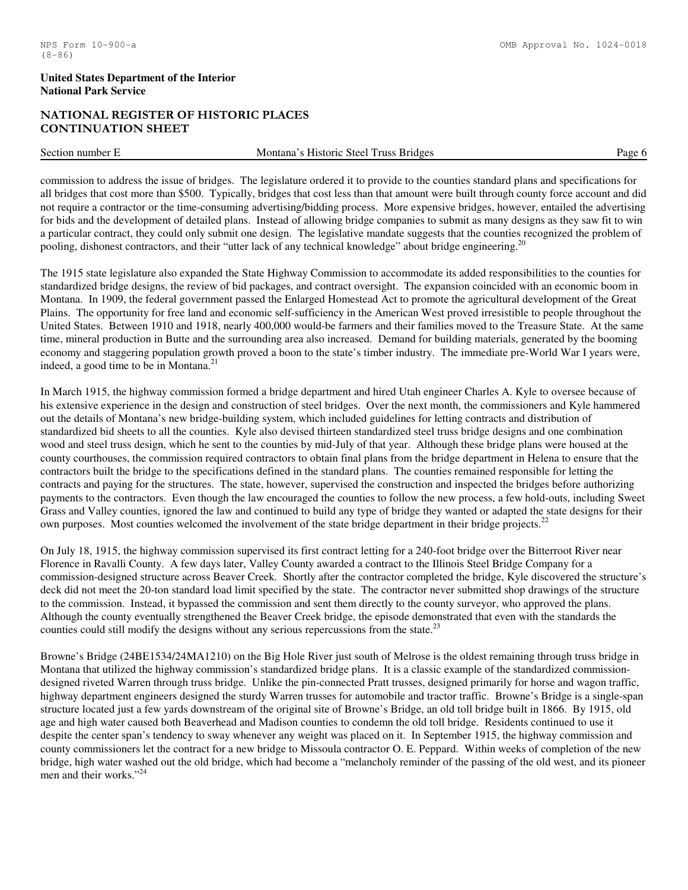# NATIONAL REGISTER OF HISTORIC PLACES CONTINUATION SHEET

Section number E Montana's Historic Steel Truss Bridges Page 6

commission to address the issue of bridges. The legislature ordered it to provide to the counties standard plans and specifications for all bridges that cost more than \$500. Typically, bridges that cost less than that amount were built through county force account and did not require a contractor or the time-consuming advertising/bidding process. More expensive bridges, however, entailed the advertising for bids and the development of detailed plans. Instead of allowing bridge companies to submit as many designs as they saw fit to win a particular contract, they could only submit one design. The legislative mandate suggests that the counties recognized the problem of pooling, dishonest contractors, and their "utter lack of any technical knowledge" about bridge engineering.<sup>20</sup>

The 1915 state legislature also expanded the State Highway Commission to accommodate its added responsibilities to the counties for standardized bridge designs, the review of bid packages, and contract oversight. The expansion coincided with an economic boom in Montana. In 1909, the federal government passed the Enlarged Homestead Act to promote the agricultural development of the Great Plains. The opportunity for free land and economic self-sufficiency in the American West proved irresistible to people throughout the United States. Between 1910 and 1918, nearly 400,000 would-be farmers and their families moved to the Treasure State. At the same time, mineral production in Butte and the surrounding area also increased. Demand for building materials, generated by the booming economy and staggering population growth proved a boon to the state's timber industry. The immediate pre-World War I years were, indeed, a good time to be in Montana. $^{21}$ 

In March 1915, the highway commission formed a bridge department and hired Utah engineer Charles A. Kyle to oversee because of his extensive experience in the design and construction of steel bridges. Over the next month, the commissioners and Kyle hammered out the details of Montana's new bridge-building system, which included guidelines for letting contracts and distribution of standardized bid sheets to all the counties. Kyle also devised thirteen standardized steel truss bridge designs and one combination wood and steel truss design, which he sent to the counties by mid-July of that year. Although these bridge plans were housed at the county courthouses, the commission required contractors to obtain final plans from the bridge department in Helena to ensure that the contractors built the bridge to the specifications defined in the standard plans. The counties remained responsible for letting the contracts and paying for the structures. The state, however, supervised the construction and inspected the bridges before authorizing payments to the contractors. Even though the law encouraged the counties to follow the new process, a few hold-outs, including Sweet Grass and Valley counties, ignored the law and continued to build any type of bridge they wanted or adapted the state designs for their own purposes. Most counties welcomed the involvement of the state bridge department in their bridge projects.<sup>22</sup>

On July 18, 1915, the highway commission supervised its first contract letting for a 240-foot bridge over the Bitterroot River near Florence in Ravalli County. A few days later, Valley County awarded a contract to the Illinois Steel Bridge Company for a commission-designed structure across Beaver Creek. Shortly after the contractor completed the bridge, Kyle discovered the structure's deck did not meet the 20-ton standard load limit specified by the state. The contractor never submitted shop drawings of the structure to the commission. Instead, it bypassed the commission and sent them directly to the county surveyor, who approved the plans. Although the county eventually strengthened the Beaver Creek bridge, the episode demonstrated that even with the standards the counties could still modify the designs without any serious repercussions from the state.<sup>23</sup>

Browne's Bridge (24BE1534/24MA1210) on the Big Hole River just south of Melrose is the oldest remaining through truss bridge in Montana that utilized the highway commission's standardized bridge plans. It is a classic example of the standardized commissiondesigned riveted Warren through truss bridge. Unlike the pin-connected Pratt trusses, designed primarily for horse and wagon traffic, highway department engineers designed the sturdy Warren trusses for automobile and tractor traffic. Browne's Bridge is a single-span structure located just a few yards downstream of the original site of Browne's Bridge, an old toll bridge built in 1866. By 1915, old age and high water caused both Beaverhead and Madison counties to condemn the old toll bridge. Residents continued to use it despite the center span's tendency to sway whenever any weight was placed on it. In September 1915, the highway commission and county commissioners let the contract for a new bridge to Missoula contractor O. E. Peppard. Within weeks of completion of the new bridge, high water washed out the old bridge, which had become a "melancholy reminder of the passing of the old west, and its pioneer men and their works."<sup>24</sup>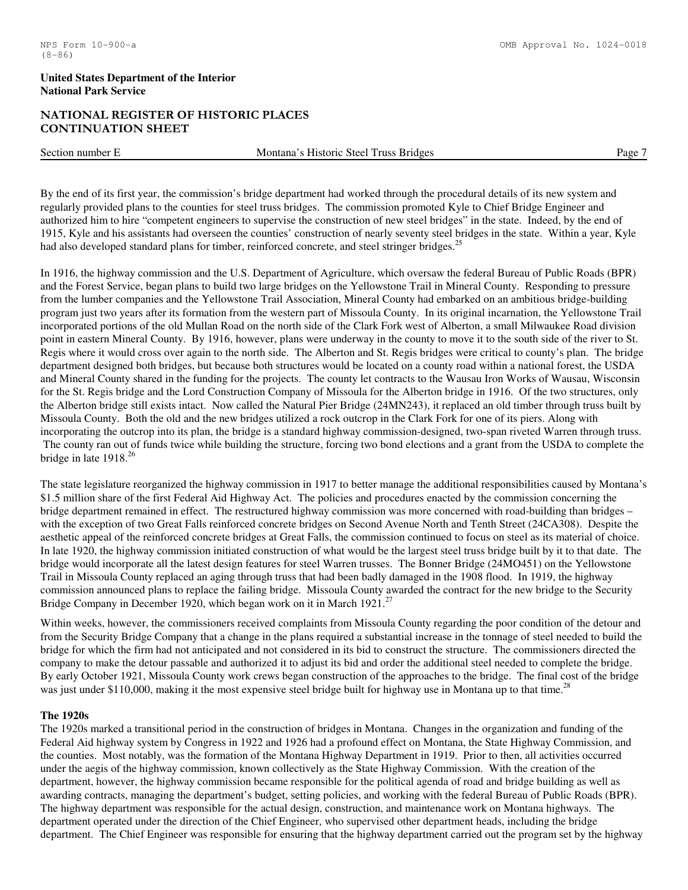#### NPS Form 10-900-a OMB Approval No. 1024-0018

#### **United States Department of the Interior National Park Service**

# NATIONAL REGISTER OF HISTORIC PLACES CONTINUATION SHEET

Section number E Montana's Historic Steel Truss Bridges Page 7

By the end of its first year, the commission's bridge department had worked through the procedural details of its new system and regularly provided plans to the counties for steel truss bridges. The commission promoted Kyle to Chief Bridge Engineer and authorized him to hire "competent engineers to supervise the construction of new steel bridges" in the state. Indeed, by the end of 1915, Kyle and his assistants had overseen the counties' construction of nearly seventy steel bridges in the state. Within a year, Kyle had also developed standard plans for timber, reinforced concrete, and steel stringer bridges.<sup>25</sup>

In 1916, the highway commission and the U.S. Department of Agriculture, which oversaw the federal Bureau of Public Roads (BPR) and the Forest Service, began plans to build two large bridges on the Yellowstone Trail in Mineral County. Responding to pressure from the lumber companies and the Yellowstone Trail Association, Mineral County had embarked on an ambitious bridge-building program just two years after its formation from the western part of Missoula County. In its original incarnation, the Yellowstone Trail incorporated portions of the old Mullan Road on the north side of the Clark Fork west of Alberton, a small Milwaukee Road division point in eastern Mineral County. By 1916, however, plans were underway in the county to move it to the south side of the river to St. Regis where it would cross over again to the north side. The Alberton and St. Regis bridges were critical to county's plan. The bridge department designed both bridges, but because both structures would be located on a county road within a national forest, the USDA and Mineral County shared in the funding for the projects. The county let contracts to the Wausau Iron Works of Wausau, Wisconsin for the St. Regis bridge and the Lord Construction Company of Missoula for the Alberton bridge in 1916. Of the two structures, only the Alberton bridge still exists intact. Now called the Natural Pier Bridge (24MN243), it replaced an old timber through truss built by Missoula County. Both the old and the new bridges utilized a rock outcrop in the Clark Fork for one of its piers. Along with incorporating the outcrop into its plan, the bridge is a standard highway commission-designed, two-span riveted Warren through truss. The county ran out of funds twice while building the structure, forcing two bond elections and a grant from the USDA to complete the bridge in late 1918.<sup>26</sup>

The state legislature reorganized the highway commission in 1917 to better manage the additional responsibilities caused by Montana's \$1.5 million share of the first Federal Aid Highway Act. The policies and procedures enacted by the commission concerning the bridge department remained in effect. The restructured highway commission was more concerned with road-building than bridges – with the exception of two Great Falls reinforced concrete bridges on Second Avenue North and Tenth Street (24CA308). Despite the aesthetic appeal of the reinforced concrete bridges at Great Falls, the commission continued to focus on steel as its material of choice. In late 1920, the highway commission initiated construction of what would be the largest steel truss bridge built by it to that date. The bridge would incorporate all the latest design features for steel Warren trusses. The Bonner Bridge (24MO451) on the Yellowstone Trail in Missoula County replaced an aging through truss that had been badly damaged in the 1908 flood. In 1919, the highway commission announced plans to replace the failing bridge. Missoula County awarded the contract for the new bridge to the Security Bridge Company in December 1920, which began work on it in March 1921.<sup>27</sup>

Within weeks, however, the commissioners received complaints from Missoula County regarding the poor condition of the detour and from the Security Bridge Company that a change in the plans required a substantial increase in the tonnage of steel needed to build the bridge for which the firm had not anticipated and not considered in its bid to construct the structure. The commissioners directed the company to make the detour passable and authorized it to adjust its bid and order the additional steel needed to complete the bridge. By early October 1921, Missoula County work crews began construction of the approaches to the bridge. The final cost of the bridge was just under \$110,000, making it the most expensive steel bridge built for highway use in Montana up to that time.<sup>28</sup>

# **The 1920s**

The 1920s marked a transitional period in the construction of bridges in Montana. Changes in the organization and funding of the Federal Aid highway system by Congress in 1922 and 1926 had a profound effect on Montana, the State Highway Commission, and the counties. Most notably, was the formation of the Montana Highway Department in 1919. Prior to then, all activities occurred under the aegis of the highway commission, known collectively as the State Highway Commission. With the creation of the department, however, the highway commission became responsible for the political agenda of road and bridge building as well as awarding contracts, managing the department's budget, setting policies, and working with the federal Bureau of Public Roads (BPR). The highway department was responsible for the actual design, construction, and maintenance work on Montana highways. The department operated under the direction of the Chief Engineer, who supervised other department heads, including the bridge department. The Chief Engineer was responsible for ensuring that the highway department carried out the program set by the highway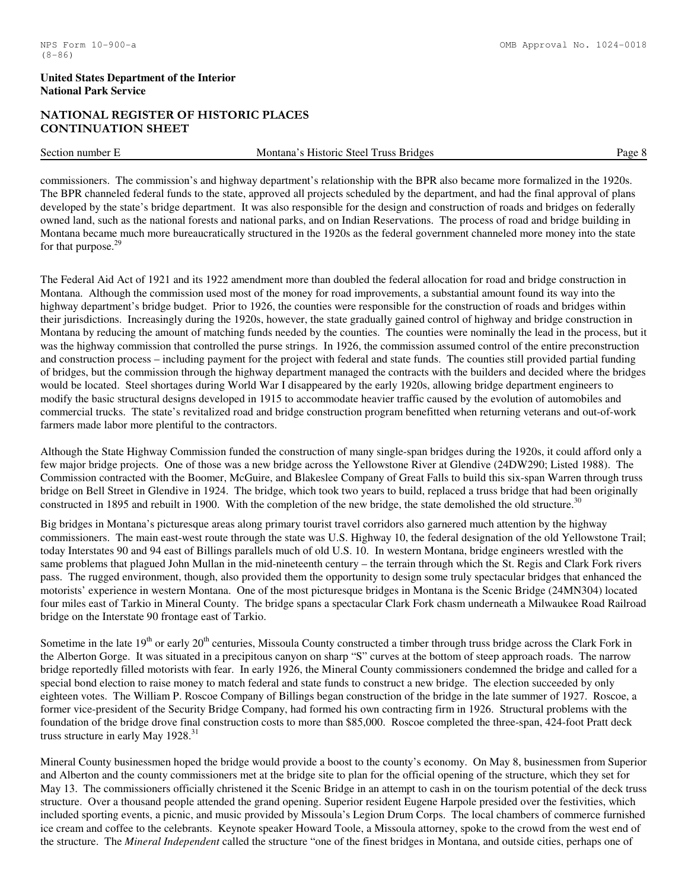# NATIONAL REGISTER OF HISTORIC PLACES CONTINUATION SHEET

Section number E Montana's Historic Steel Truss Bridges Page 8

commissioners. The commission's and highway department's relationship with the BPR also became more formalized in the 1920s. The BPR channeled federal funds to the state, approved all projects scheduled by the department, and had the final approval of plans developed by the state's bridge department. It was also responsible for the design and construction of roads and bridges on federally owned land, such as the national forests and national parks, and on Indian Reservations. The process of road and bridge building in Montana became much more bureaucratically structured in the 1920s as the federal government channeled more money into the state for that purpose.<sup>29</sup>

The Federal Aid Act of 1921 and its 1922 amendment more than doubled the federal allocation for road and bridge construction in Montana. Although the commission used most of the money for road improvements, a substantial amount found its way into the highway department's bridge budget. Prior to 1926, the counties were responsible for the construction of roads and bridges within their jurisdictions. Increasingly during the 1920s, however, the state gradually gained control of highway and bridge construction in Montana by reducing the amount of matching funds needed by the counties. The counties were nominally the lead in the process, but it was the highway commission that controlled the purse strings. In 1926, the commission assumed control of the entire preconstruction and construction process – including payment for the project with federal and state funds. The counties still provided partial funding of bridges, but the commission through the highway department managed the contracts with the builders and decided where the bridges would be located. Steel shortages during World War I disappeared by the early 1920s, allowing bridge department engineers to modify the basic structural designs developed in 1915 to accommodate heavier traffic caused by the evolution of automobiles and commercial trucks. The state's revitalized road and bridge construction program benefitted when returning veterans and out-of-work farmers made labor more plentiful to the contractors.

Although the State Highway Commission funded the construction of many single-span bridges during the 1920s, it could afford only a few major bridge projects. One of those was a new bridge across the Yellowstone River at Glendive (24DW290; Listed 1988). The Commission contracted with the Boomer, McGuire, and Blakeslee Company of Great Falls to build this six-span Warren through truss bridge on Bell Street in Glendive in 1924. The bridge, which took two years to build, replaced a truss bridge that had been originally constructed in 1895 and rebuilt in 1900. With the completion of the new bridge, the state demolished the old structure.<sup>30</sup>

Big bridges in Montana's picturesque areas along primary tourist travel corridors also garnered much attention by the highway commissioners. The main east-west route through the state was U.S. Highway 10, the federal designation of the old Yellowstone Trail; today Interstates 90 and 94 east of Billings parallels much of old U.S. 10. In western Montana, bridge engineers wrestled with the same problems that plagued John Mullan in the mid-nineteenth century – the terrain through which the St. Regis and Clark Fork rivers pass. The rugged environment, though, also provided them the opportunity to design some truly spectacular bridges that enhanced the motorists' experience in western Montana. One of the most picturesque bridges in Montana is the Scenic Bridge (24MN304) located four miles east of Tarkio in Mineral County. The bridge spans a spectacular Clark Fork chasm underneath a Milwaukee Road Railroad bridge on the Interstate 90 frontage east of Tarkio.

Sometime in the late 19<sup>th</sup> or early 20<sup>th</sup> centuries, Missoula County constructed a timber through truss bridge across the Clark Fork in the Alberton Gorge. It was situated in a precipitous canyon on sharp "S" curves at the bottom of steep approach roads. The narrow bridge reportedly filled motorists with fear. In early 1926, the Mineral County commissioners condemned the bridge and called for a special bond election to raise money to match federal and state funds to construct a new bridge. The election succeeded by only eighteen votes. The William P. Roscoe Company of Billings began construction of the bridge in the late summer of 1927. Roscoe, a former vice-president of the Security Bridge Company, had formed his own contracting firm in 1926. Structural problems with the foundation of the bridge drove final construction costs to more than \$85,000. Roscoe completed the three-span, 424-foot Pratt deck truss structure in early May  $1928.^{31}$ 

Mineral County businessmen hoped the bridge would provide a boost to the county's economy. On May 8, businessmen from Superior and Alberton and the county commissioners met at the bridge site to plan for the official opening of the structure, which they set for May 13. The commissioners officially christened it the Scenic Bridge in an attempt to cash in on the tourism potential of the deck truss structure. Over a thousand people attended the grand opening. Superior resident Eugene Harpole presided over the festivities, which included sporting events, a picnic, and music provided by Missoula's Legion Drum Corps. The local chambers of commerce furnished ice cream and coffee to the celebrants. Keynote speaker Howard Toole, a Missoula attorney, spoke to the crowd from the west end of the structure. The *Mineral Independent* called the structure "one of the finest bridges in Montana, and outside cities, perhaps one of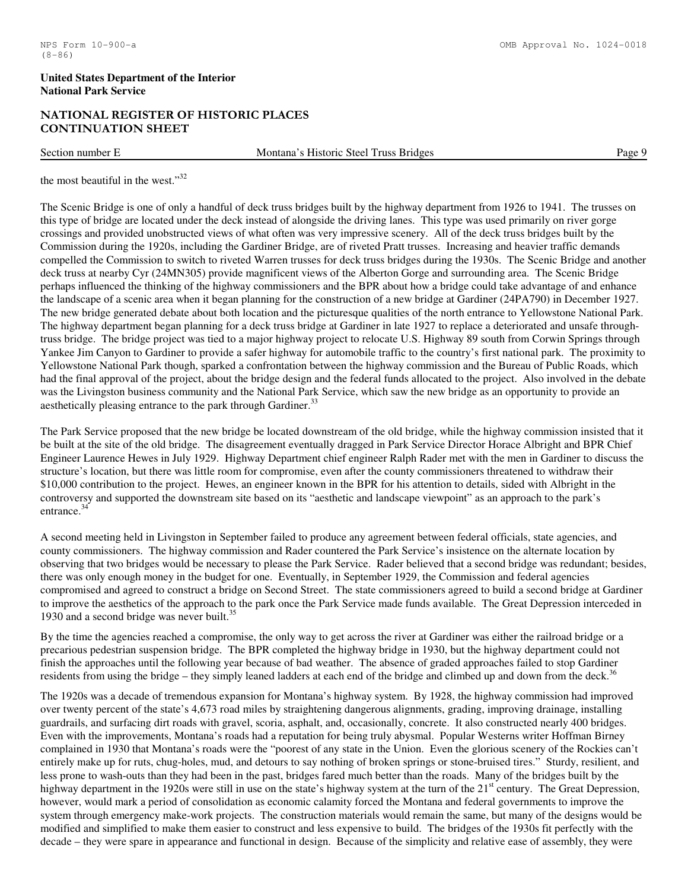# NATIONAL REGISTER OF HISTORIC PLACES CONTINUATION SHEET

Section number E Montana's Historic Steel Truss Bridges Page 9

the most beautiful in the west."<sup>32</sup>

The Scenic Bridge is one of only a handful of deck truss bridges built by the highway department from 1926 to 1941. The trusses on this type of bridge are located under the deck instead of alongside the driving lanes. This type was used primarily on river gorge crossings and provided unobstructed views of what often was very impressive scenery. All of the deck truss bridges built by the Commission during the 1920s, including the Gardiner Bridge, are of riveted Pratt trusses. Increasing and heavier traffic demands compelled the Commission to switch to riveted Warren trusses for deck truss bridges during the 1930s. The Scenic Bridge and another deck truss at nearby Cyr (24MN305) provide magnificent views of the Alberton Gorge and surrounding area. The Scenic Bridge perhaps influenced the thinking of the highway commissioners and the BPR about how a bridge could take advantage of and enhance the landscape of a scenic area when it began planning for the construction of a new bridge at Gardiner (24PA790) in December 1927. The new bridge generated debate about both location and the picturesque qualities of the north entrance to Yellowstone National Park. The highway department began planning for a deck truss bridge at Gardiner in late 1927 to replace a deteriorated and unsafe throughtruss bridge. The bridge project was tied to a major highway project to relocate U.S. Highway 89 south from Corwin Springs through Yankee Jim Canyon to Gardiner to provide a safer highway for automobile traffic to the country's first national park. The proximity to Yellowstone National Park though, sparked a confrontation between the highway commission and the Bureau of Public Roads, which had the final approval of the project, about the bridge design and the federal funds allocated to the project. Also involved in the debate was the Livingston business community and the National Park Service, which saw the new bridge as an opportunity to provide an aesthetically pleasing entrance to the park through Gardiner.<sup>33</sup>

The Park Service proposed that the new bridge be located downstream of the old bridge, while the highway commission insisted that it be built at the site of the old bridge. The disagreement eventually dragged in Park Service Director Horace Albright and BPR Chief Engineer Laurence Hewes in July 1929. Highway Department chief engineer Ralph Rader met with the men in Gardiner to discuss the structure's location, but there was little room for compromise, even after the county commissioners threatened to withdraw their \$10,000 contribution to the project. Hewes, an engineer known in the BPR for his attention to details, sided with Albright in the controversy and supported the downstream site based on its "aesthetic and landscape viewpoint" as an approach to the park's entrance.<sup>34</sup>

A second meeting held in Livingston in September failed to produce any agreement between federal officials, state agencies, and county commissioners. The highway commission and Rader countered the Park Service's insistence on the alternate location by observing that two bridges would be necessary to please the Park Service. Rader believed that a second bridge was redundant; besides, there was only enough money in the budget for one. Eventually, in September 1929, the Commission and federal agencies compromised and agreed to construct a bridge on Second Street. The state commissioners agreed to build a second bridge at Gardiner to improve the aesthetics of the approach to the park once the Park Service made funds available. The Great Depression interceded in 1930 and a second bridge was never built. $35$ 

By the time the agencies reached a compromise, the only way to get across the river at Gardiner was either the railroad bridge or a precarious pedestrian suspension bridge. The BPR completed the highway bridge in 1930, but the highway department could not finish the approaches until the following year because of bad weather. The absence of graded approaches failed to stop Gardiner residents from using the bridge – they simply leaned ladders at each end of the bridge and climbed up and down from the deck.<sup>36</sup>

The 1920s was a decade of tremendous expansion for Montana's highway system. By 1928, the highway commission had improved over twenty percent of the state's 4,673 road miles by straightening dangerous alignments, grading, improving drainage, installing guardrails, and surfacing dirt roads with gravel, scoria, asphalt, and, occasionally, concrete. It also constructed nearly 400 bridges. Even with the improvements, Montana's roads had a reputation for being truly abysmal. Popular Westerns writer Hoffman Birney complained in 1930 that Montana's roads were the "poorest of any state in the Union. Even the glorious scenery of the Rockies can't entirely make up for ruts, chug-holes, mud, and detours to say nothing of broken springs or stone-bruised tires." Sturdy, resilient, and less prone to wash-outs than they had been in the past, bridges fared much better than the roads. Many of the bridges built by the highway department in the 1920s were still in use on the state's highway system at the turn of the  $21<sup>st</sup>$  century. The Great Depression, however, would mark a period of consolidation as economic calamity forced the Montana and federal governments to improve the system through emergency make-work projects. The construction materials would remain the same, but many of the designs would be modified and simplified to make them easier to construct and less expensive to build. The bridges of the 1930s fit perfectly with the decade – they were spare in appearance and functional in design. Because of the simplicity and relative ease of assembly, they were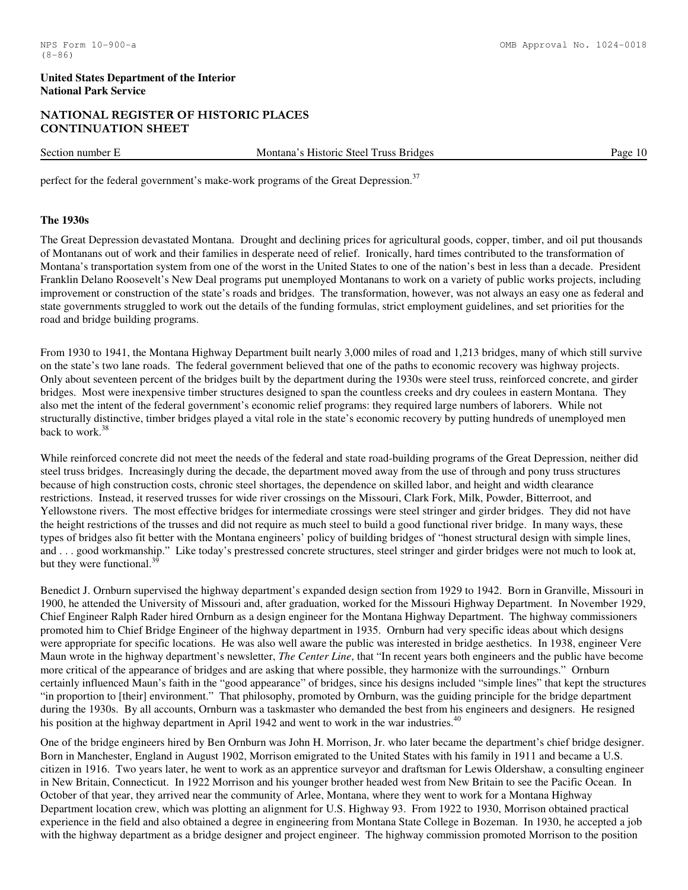# NATIONAL REGISTER OF HISTORIC PLACES CONTINUATION SHEET

Section number E Montana's Historic Steel Truss Bridges Page 10

perfect for the federal government's make-work programs of the Great Depression.<sup>37</sup>

#### **The 1930s**

The Great Depression devastated Montana. Drought and declining prices for agricultural goods, copper, timber, and oil put thousands of Montanans out of work and their families in desperate need of relief. Ironically, hard times contributed to the transformation of Montana's transportation system from one of the worst in the United States to one of the nation's best in less than a decade. President Franklin Delano Roosevelt's New Deal programs put unemployed Montanans to work on a variety of public works projects, including improvement or construction of the state's roads and bridges. The transformation, however, was not always an easy one as federal and state governments struggled to work out the details of the funding formulas, strict employment guidelines, and set priorities for the road and bridge building programs.

From 1930 to 1941, the Montana Highway Department built nearly 3,000 miles of road and 1,213 bridges, many of which still survive on the state's two lane roads. The federal government believed that one of the paths to economic recovery was highway projects. Only about seventeen percent of the bridges built by the department during the 1930s were steel truss, reinforced concrete, and girder bridges. Most were inexpensive timber structures designed to span the countless creeks and dry coulees in eastern Montana. They also met the intent of the federal government's economic relief programs: they required large numbers of laborers. While not structurally distinctive, timber bridges played a vital role in the state's economic recovery by putting hundreds of unemployed men back to work.<sup>38</sup>

While reinforced concrete did not meet the needs of the federal and state road-building programs of the Great Depression, neither did steel truss bridges. Increasingly during the decade, the department moved away from the use of through and pony truss structures because of high construction costs, chronic steel shortages, the dependence on skilled labor, and height and width clearance restrictions. Instead, it reserved trusses for wide river crossings on the Missouri, Clark Fork, Milk, Powder, Bitterroot, and Yellowstone rivers. The most effective bridges for intermediate crossings were steel stringer and girder bridges. They did not have the height restrictions of the trusses and did not require as much steel to build a good functional river bridge. In many ways, these types of bridges also fit better with the Montana engineers' policy of building bridges of "honest structural design with simple lines, and . . . good workmanship." Like today's prestressed concrete structures, steel stringer and girder bridges were not much to look at, but they were functional. $39$ 

Benedict J. Ornburn supervised the highway department's expanded design section from 1929 to 1942. Born in Granville, Missouri in 1900, he attended the University of Missouri and, after graduation, worked for the Missouri Highway Department. In November 1929, Chief Engineer Ralph Rader hired Ornburn as a design engineer for the Montana Highway Department. The highway commissioners promoted him to Chief Bridge Engineer of the highway department in 1935. Ornburn had very specific ideas about which designs were appropriate for specific locations. He was also well aware the public was interested in bridge aesthetics. In 1938, engineer Vere Maun wrote in the highway department's newsletter, *The Center Line*, that "In recent years both engineers and the public have become more critical of the appearance of bridges and are asking that where possible, they harmonize with the surroundings." Ornburn certainly influenced Maun's faith in the "good appearance" of bridges, since his designs included "simple lines" that kept the structures "in proportion to [their] environment." That philosophy, promoted by Ornburn, was the guiding principle for the bridge department during the 1930s. By all accounts, Ornburn was a taskmaster who demanded the best from his engineers and designers. He resigned his position at the highway department in April 1942 and went to work in the war industries.<sup>40</sup>

One of the bridge engineers hired by Ben Ornburn was John H. Morrison, Jr. who later became the department's chief bridge designer. Born in Manchester, England in August 1902, Morrison emigrated to the United States with his family in 1911 and became a U.S. citizen in 1916. Two years later, he went to work as an apprentice surveyor and draftsman for Lewis Oldershaw, a consulting engineer in New Britain, Connecticut. In 1922 Morrison and his younger brother headed west from New Britain to see the Pacific Ocean. In October of that year, they arrived near the community of Arlee, Montana, where they went to work for a Montana Highway Department location crew, which was plotting an alignment for U.S. Highway 93. From 1922 to 1930, Morrison obtained practical experience in the field and also obtained a degree in engineering from Montana State College in Bozeman. In 1930, he accepted a job with the highway department as a bridge designer and project engineer. The highway commission promoted Morrison to the position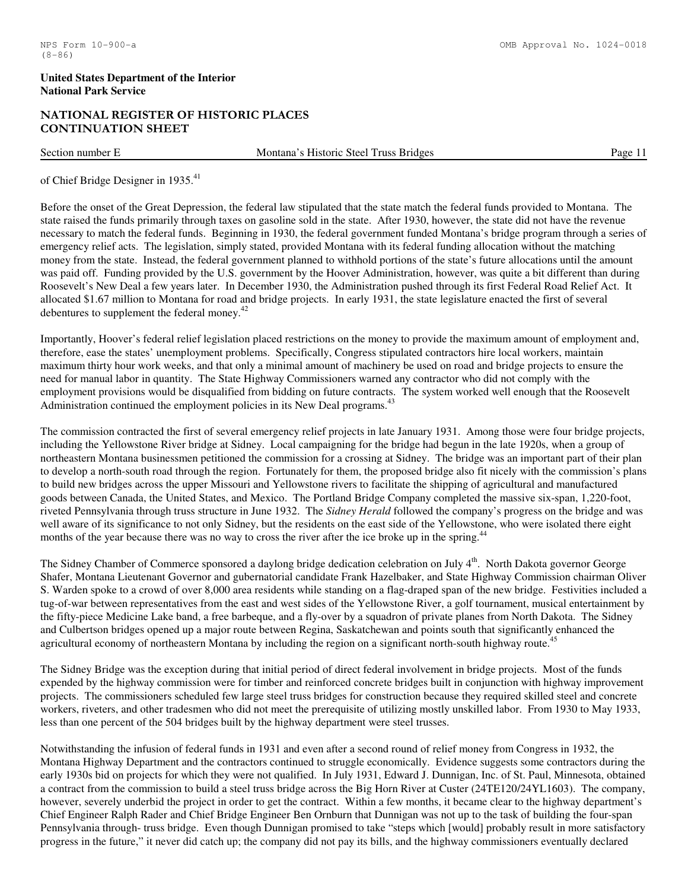# NATIONAL REGISTER OF HISTORIC PLACES CONTINUATION SHEET

Section number E Montana's Historic Steel Truss Bridges Page 11

of Chief Bridge Designer in 1935.<sup>41</sup>

Before the onset of the Great Depression, the federal law stipulated that the state match the federal funds provided to Montana. The state raised the funds primarily through taxes on gasoline sold in the state. After 1930, however, the state did not have the revenue necessary to match the federal funds. Beginning in 1930, the federal government funded Montana's bridge program through a series of emergency relief acts. The legislation, simply stated, provided Montana with its federal funding allocation without the matching money from the state. Instead, the federal government planned to withhold portions of the state's future allocations until the amount was paid off. Funding provided by the U.S. government by the Hoover Administration, however, was quite a bit different than during Roosevelt's New Deal a few years later. In December 1930, the Administration pushed through its first Federal Road Relief Act. It allocated \$1.67 million to Montana for road and bridge projects. In early 1931, the state legislature enacted the first of several debentures to supplement the federal money. $42$ 

Importantly, Hoover's federal relief legislation placed restrictions on the money to provide the maximum amount of employment and, therefore, ease the states' unemployment problems. Specifically, Congress stipulated contractors hire local workers, maintain maximum thirty hour work weeks, and that only a minimal amount of machinery be used on road and bridge projects to ensure the need for manual labor in quantity. The State Highway Commissioners warned any contractor who did not comply with the employment provisions would be disqualified from bidding on future contracts. The system worked well enough that the Roosevelt Administration continued the employment policies in its New Deal programs.<sup>43</sup>

The commission contracted the first of several emergency relief projects in late January 1931. Among those were four bridge projects, including the Yellowstone River bridge at Sidney. Local campaigning for the bridge had begun in the late 1920s, when a group of northeastern Montana businessmen petitioned the commission for a crossing at Sidney. The bridge was an important part of their plan to develop a north-south road through the region. Fortunately for them, the proposed bridge also fit nicely with the commission's plans to build new bridges across the upper Missouri and Yellowstone rivers to facilitate the shipping of agricultural and manufactured goods between Canada, the United States, and Mexico. The Portland Bridge Company completed the massive six-span, 1,220-foot, riveted Pennsylvania through truss structure in June 1932. The *Sidney Herald* followed the company's progress on the bridge and was well aware of its significance to not only Sidney, but the residents on the east side of the Yellowstone, who were isolated there eight months of the year because there was no way to cross the river after the ice broke up in the spring.<sup>44</sup>

The Sidney Chamber of Commerce sponsored a daylong bridge dedication celebration on July  $4<sup>th</sup>$ . North Dakota governor George Shafer, Montana Lieutenant Governor and gubernatorial candidate Frank Hazelbaker, and State Highway Commission chairman Oliver S. Warden spoke to a crowd of over 8,000 area residents while standing on a flag-draped span of the new bridge. Festivities included a tug-of-war between representatives from the east and west sides of the Yellowstone River, a golf tournament, musical entertainment by the fifty-piece Medicine Lake band, a free barbeque, and a fly-over by a squadron of private planes from North Dakota. The Sidney and Culbertson bridges opened up a major route between Regina, Saskatchewan and points south that significantly enhanced the agricultural economy of northeastern Montana by including the region on a significant north-south highway route.<sup>4</sup>

The Sidney Bridge was the exception during that initial period of direct federal involvement in bridge projects. Most of the funds expended by the highway commission were for timber and reinforced concrete bridges built in conjunction with highway improvement projects. The commissioners scheduled few large steel truss bridges for construction because they required skilled steel and concrete workers, riveters, and other tradesmen who did not meet the prerequisite of utilizing mostly unskilled labor. From 1930 to May 1933, less than one percent of the 504 bridges built by the highway department were steel trusses.

Notwithstanding the infusion of federal funds in 1931 and even after a second round of relief money from Congress in 1932, the Montana Highway Department and the contractors continued to struggle economically. Evidence suggests some contractors during the early 1930s bid on projects for which they were not qualified. In July 1931, Edward J. Dunnigan, Inc. of St. Paul, Minnesota, obtained a contract from the commission to build a steel truss bridge across the Big Horn River at Custer (24TE120/24YL1603). The company, however, severely underbid the project in order to get the contract. Within a few months, it became clear to the highway department's Chief Engineer Ralph Rader and Chief Bridge Engineer Ben Ornburn that Dunnigan was not up to the task of building the four-span Pennsylvania through- truss bridge. Even though Dunnigan promised to take "steps which [would] probably result in more satisfactory progress in the future," it never did catch up; the company did not pay its bills, and the highway commissioners eventually declared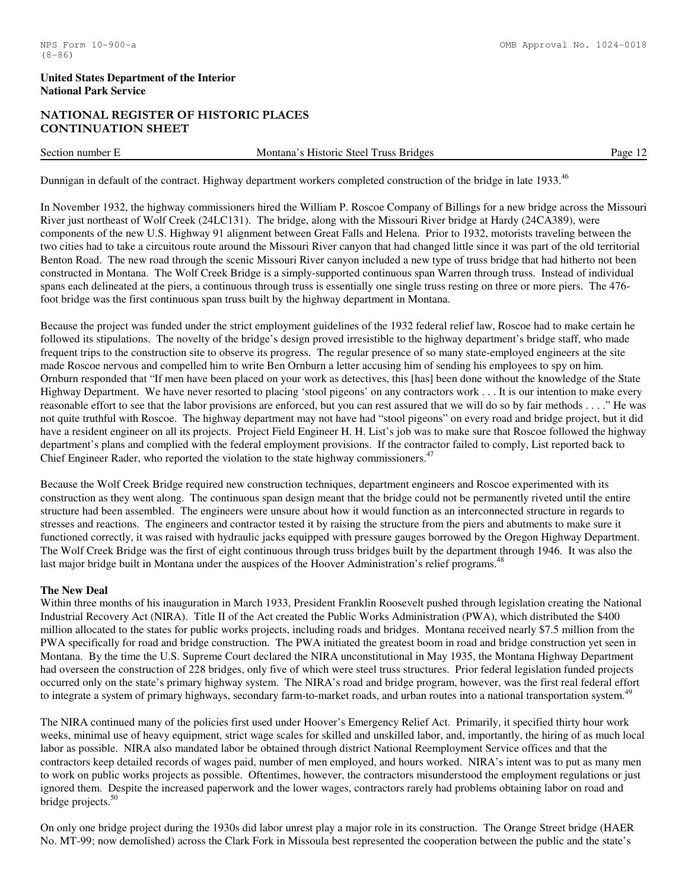# NATIONAL REGISTER OF HISTORIC PLACES CONTINUATION SHEET

Section number E Montana's Historic Steel Truss Bridges Page 12

Dunnigan in default of the contract. Highway department workers completed construction of the bridge in late 1933.<sup>46</sup>

In November 1932, the highway commissioners hired the William P. Roscoe Company of Billings for a new bridge across the Missouri River just northeast of Wolf Creek (24LC131). The bridge, along with the Missouri River bridge at Hardy (24CA389), were components of the new U.S. Highway 91 alignment between Great Falls and Helena. Prior to 1932, motorists traveling between the two cities had to take a circuitous route around the Missouri River canyon that had changed little since it was part of the old territorial Benton Road. The new road through the scenic Missouri River canyon included a new type of truss bridge that had hitherto not been constructed in Montana. The Wolf Creek Bridge is a simply-supported continuous span Warren through truss. Instead of individual spans each delineated at the piers, a continuous through truss is essentially one single truss resting on three or more piers. The 476 foot bridge was the first continuous span truss built by the highway department in Montana.

Because the project was funded under the strict employment guidelines of the 1932 federal relief law, Roscoe had to make certain he followed its stipulations. The novelty of the bridge's design proved irresistible to the highway department's bridge staff, who made frequent trips to the construction site to observe its progress. The regular presence of so many state-employed engineers at the site made Roscoe nervous and compelled him to write Ben Ornburn a letter accusing him of sending his employees to spy on him. Ornburn responded that "If men have been placed on your work as detectives, this [has] been done without the knowledge of the State Highway Department. We have never resorted to placing 'stool pigeons' on any contractors work . . . It is our intention to make every reasonable effort to see that the labor provisions are enforced, but you can rest assured that we will do so by fair methods . . . ." He was not quite truthful with Roscoe. The highway department may not have had "stool pigeons" on every road and bridge project, but it did have a resident engineer on all its projects. Project Field Engineer H. H. List's job was to make sure that Roscoe followed the highway department's plans and complied with the federal employment provisions. If the contractor failed to comply, List reported back to Chief Engineer Rader, who reported the violation to the state highway commissioners.<sup>47</sup>

Because the Wolf Creek Bridge required new construction techniques, department engineers and Roscoe experimented with its construction as they went along. The continuous span design meant that the bridge could not be permanently riveted until the entire structure had been assembled. The engineers were unsure about how it would function as an interconnected structure in regards to stresses and reactions. The engineers and contractor tested it by raising the structure from the piers and abutments to make sure it functioned correctly, it was raised with hydraulic jacks equipped with pressure gauges borrowed by the Oregon Highway Department. The Wolf Creek Bridge was the first of eight continuous through truss bridges built by the department through 1946. It was also the last major bridge built in Montana under the auspices of the Hoover Administration's relief programs.<sup>48</sup>

#### **The New Deal**

Within three months of his inauguration in March 1933, President Franklin Roosevelt pushed through legislation creating the National Industrial Recovery Act (NIRA). Title II of the Act created the Public Works Administration (PWA), which distributed the \$400 million allocated to the states for public works projects, including roads and bridges. Montana received nearly \$7.5 million from the PWA specifically for road and bridge construction. The PWA initiated the greatest boom in road and bridge construction yet seen in Montana. By the time the U.S. Supreme Court declared the NIRA unconstitutional in May 1935, the Montana Highway Department had overseen the construction of 228 bridges, only five of which were steel truss structures. Prior federal legislation funded projects occurred only on the state's primary highway system. The NIRA's road and bridge program, however, was the first real federal effort to integrate a system of primary highways, secondary farm-to-market roads, and urban routes into a national transportation system.<sup>49</sup>

The NIRA continued many of the policies first used under Hoover's Emergency Relief Act. Primarily, it specified thirty hour work weeks, minimal use of heavy equipment, strict wage scales for skilled and unskilled labor, and, importantly, the hiring of as much local labor as possible. NIRA also mandated labor be obtained through district National Reemployment Service offices and that the contractors keep detailed records of wages paid, number of men employed, and hours worked. NIRA's intent was to put as many men to work on public works projects as possible. Oftentimes, however, the contractors misunderstood the employment regulations or just ignored them. Despite the increased paperwork and the lower wages, contractors rarely had problems obtaining labor on road and bridge projects.<sup>50</sup>

On only one bridge project during the 1930s did labor unrest play a major role in its construction. The Orange Street bridge (HAER No. MT-99; now demolished) across the Clark Fork in Missoula best represented the cooperation between the public and the state's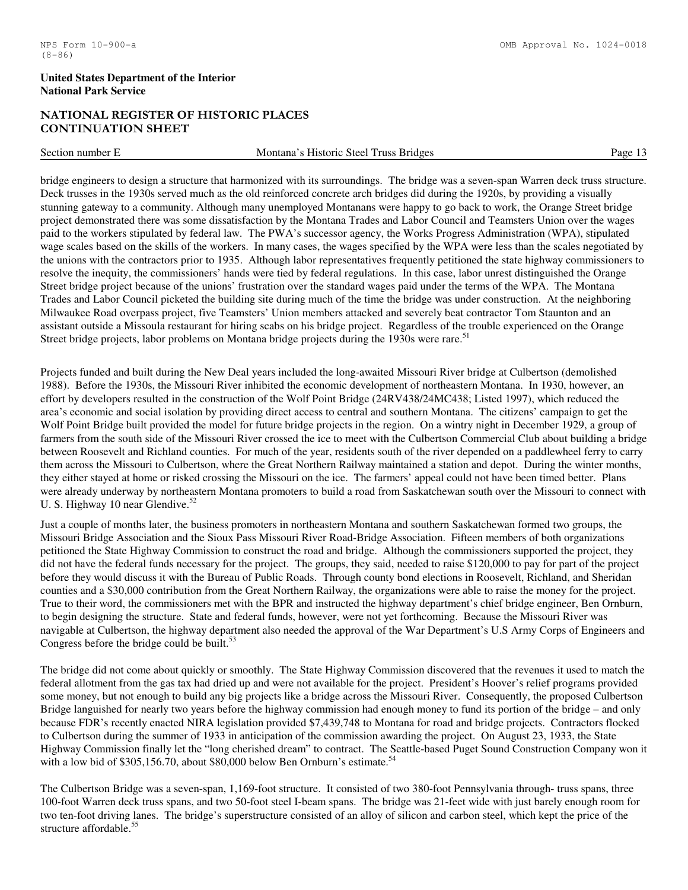# NATIONAL REGISTER OF HISTORIC PLACES CONTINUATION SHEET

| Section<br>, number | <b>russ</b><br><b>Bridges</b><br>Historic<br>Steel<br>itana<br>Mо | ימαי |
|---------------------|-------------------------------------------------------------------|------|
|                     |                                                                   |      |

bridge engineers to design a structure that harmonized with its surroundings. The bridge was a seven-span Warren deck truss structure. Deck trusses in the 1930s served much as the old reinforced concrete arch bridges did during the 1920s, by providing a visually stunning gateway to a community. Although many unemployed Montanans were happy to go back to work, the Orange Street bridge project demonstrated there was some dissatisfaction by the Montana Trades and Labor Council and Teamsters Union over the wages paid to the workers stipulated by federal law. The PWA's successor agency, the Works Progress Administration (WPA), stipulated wage scales based on the skills of the workers. In many cases, the wages specified by the WPA were less than the scales negotiated by the unions with the contractors prior to 1935. Although labor representatives frequently petitioned the state highway commissioners to resolve the inequity, the commissioners' hands were tied by federal regulations. In this case, labor unrest distinguished the Orange Street bridge project because of the unions' frustration over the standard wages paid under the terms of the WPA. The Montana Trades and Labor Council picketed the building site during much of the time the bridge was under construction. At the neighboring Milwaukee Road overpass project, five Teamsters' Union members attacked and severely beat contractor Tom Staunton and an assistant outside a Missoula restaurant for hiring scabs on his bridge project. Regardless of the trouble experienced on the Orange Street bridge projects, labor problems on Montana bridge projects during the 1930s were rare.<sup>51</sup>

Projects funded and built during the New Deal years included the long-awaited Missouri River bridge at Culbertson (demolished 1988). Before the 1930s, the Missouri River inhibited the economic development of northeastern Montana. In 1930, however, an effort by developers resulted in the construction of the Wolf Point Bridge (24RV438/24MC438; Listed 1997), which reduced the area's economic and social isolation by providing direct access to central and southern Montana. The citizens' campaign to get the Wolf Point Bridge built provided the model for future bridge projects in the region. On a wintry night in December 1929, a group of farmers from the south side of the Missouri River crossed the ice to meet with the Culbertson Commercial Club about building a bridge between Roosevelt and Richland counties. For much of the year, residents south of the river depended on a paddlewheel ferry to carry them across the Missouri to Culbertson, where the Great Northern Railway maintained a station and depot. During the winter months, they either stayed at home or risked crossing the Missouri on the ice. The farmers' appeal could not have been timed better. Plans were already underway by northeastern Montana promoters to build a road from Saskatchewan south over the Missouri to connect with U. S. Highway 10 near Glendive. $52$ 

Just a couple of months later, the business promoters in northeastern Montana and southern Saskatchewan formed two groups, the Missouri Bridge Association and the Sioux Pass Missouri River Road-Bridge Association. Fifteen members of both organizations petitioned the State Highway Commission to construct the road and bridge. Although the commissioners supported the project, they did not have the federal funds necessary for the project. The groups, they said, needed to raise \$120,000 to pay for part of the project before they would discuss it with the Bureau of Public Roads. Through county bond elections in Roosevelt, Richland, and Sheridan counties and a \$30,000 contribution from the Great Northern Railway, the organizations were able to raise the money for the project. True to their word, the commissioners met with the BPR and instructed the highway department's chief bridge engineer, Ben Ornburn, to begin designing the structure. State and federal funds, however, were not yet forthcoming. Because the Missouri River was navigable at Culbertson, the highway department also needed the approval of the War Department's U.S Army Corps of Engineers and Congress before the bridge could be built. $53$ 

The bridge did not come about quickly or smoothly. The State Highway Commission discovered that the revenues it used to match the federal allotment from the gas tax had dried up and were not available for the project. President's Hoover's relief programs provided some money, but not enough to build any big projects like a bridge across the Missouri River. Consequently, the proposed Culbertson Bridge languished for nearly two years before the highway commission had enough money to fund its portion of the bridge – and only because FDR's recently enacted NIRA legislation provided \$7,439,748 to Montana for road and bridge projects. Contractors flocked to Culbertson during the summer of 1933 in anticipation of the commission awarding the project. On August 23, 1933, the State Highway Commission finally let the "long cherished dream" to contract. The Seattle-based Puget Sound Construction Company won it with a low bid of  $$305,156.70$ , about  $$80,000$  below Ben Ornburn's estimate.<sup>54</sup>

The Culbertson Bridge was a seven-span, 1,169-foot structure. It consisted of two 380-foot Pennsylvania through- truss spans, three 100-foot Warren deck truss spans, and two 50-foot steel I-beam spans. The bridge was 21-feet wide with just barely enough room for two ten-foot driving lanes. The bridge's superstructure consisted of an alloy of silicon and carbon steel, which kept the price of the structure affordable.<sup>5</sup>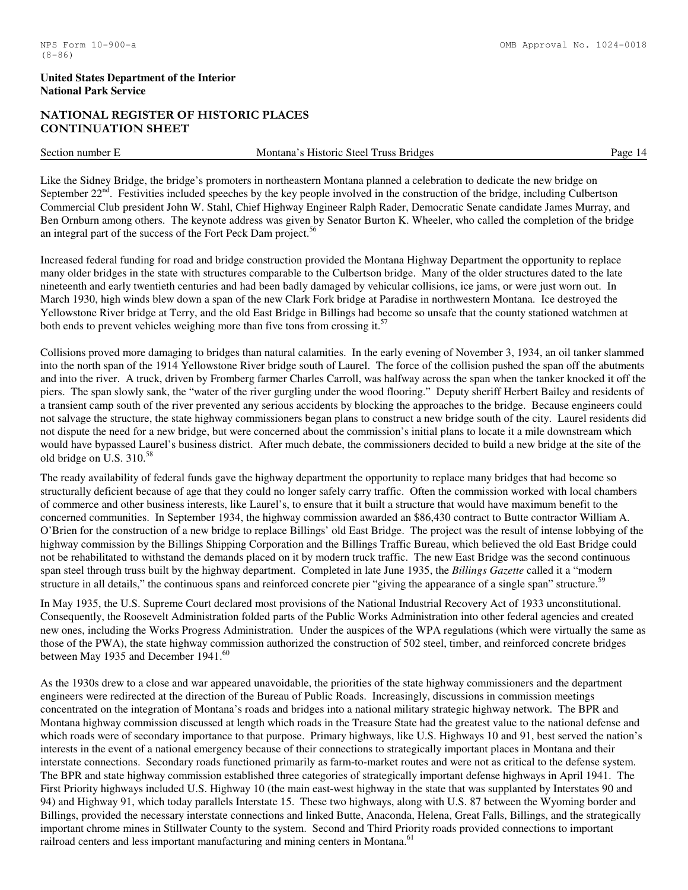# NATIONAL REGISTER OF HISTORIC PLACES CONTINUATION SHEET

Section number E Montana's Historic Steel Truss Bridges Page 14

Like the Sidney Bridge, the bridge's promoters in northeastern Montana planned a celebration to dedicate the new bridge on September  $22<sup>nd</sup>$ . Festivities included speeches by the key people involved in the construction of the bridge, including Culbertson Commercial Club president John W. Stahl, Chief Highway Engineer Ralph Rader, Democratic Senate candidate James Murray, and Ben Ornburn among others. The keynote address was given by Senator Burton K. Wheeler, who called the completion of the bridge an integral part of the success of the Fort Peck Dam project.<sup>56</sup>

Increased federal funding for road and bridge construction provided the Montana Highway Department the opportunity to replace many older bridges in the state with structures comparable to the Culbertson bridge. Many of the older structures dated to the late nineteenth and early twentieth centuries and had been badly damaged by vehicular collisions, ice jams, or were just worn out. In March 1930, high winds blew down a span of the new Clark Fork bridge at Paradise in northwestern Montana. Ice destroyed the Yellowstone River bridge at Terry, and the old East Bridge in Billings had become so unsafe that the county stationed watchmen at both ends to prevent vehicles weighing more than five tons from crossing it.<sup>57</sup>

Collisions proved more damaging to bridges than natural calamities. In the early evening of November 3, 1934, an oil tanker slammed into the north span of the 1914 Yellowstone River bridge south of Laurel. The force of the collision pushed the span off the abutments and into the river. A truck, driven by Fromberg farmer Charles Carroll, was halfway across the span when the tanker knocked it off the piers. The span slowly sank, the "water of the river gurgling under the wood flooring." Deputy sheriff Herbert Bailey and residents of a transient camp south of the river prevented any serious accidents by blocking the approaches to the bridge. Because engineers could not salvage the structure, the state highway commissioners began plans to construct a new bridge south of the city. Laurel residents did not dispute the need for a new bridge, but were concerned about the commission's initial plans to locate it a mile downstream which would have bypassed Laurel's business district. After much debate, the commissioners decided to build a new bridge at the site of the old bridge on U.S. 310.<sup>58</sup>

The ready availability of federal funds gave the highway department the opportunity to replace many bridges that had become so structurally deficient because of age that they could no longer safely carry traffic. Often the commission worked with local chambers of commerce and other business interests, like Laurel's, to ensure that it built a structure that would have maximum benefit to the concerned communities. In September 1934, the highway commission awarded an \$86,430 contract to Butte contractor William A. O'Brien for the construction of a new bridge to replace Billings' old East Bridge. The project was the result of intense lobbying of the highway commission by the Billings Shipping Corporation and the Billings Traffic Bureau, which believed the old East Bridge could not be rehabilitated to withstand the demands placed on it by modern truck traffic. The new East Bridge was the second continuous span steel through truss built by the highway department. Completed in late June 1935, the *Billings Gazette* called it a "modern structure in all details," the continuous spans and reinforced concrete pier "giving the appearance of a single span" structure.<sup>59</sup>

In May 1935, the U.S. Supreme Court declared most provisions of the National Industrial Recovery Act of 1933 unconstitutional. Consequently, the Roosevelt Administration folded parts of the Public Works Administration into other federal agencies and created new ones, including the Works Progress Administration. Under the auspices of the WPA regulations (which were virtually the same as those of the PWA), the state highway commission authorized the construction of 502 steel, timber, and reinforced concrete bridges between May 1935 and December 1941.<sup>60</sup>

As the 1930s drew to a close and war appeared unavoidable, the priorities of the state highway commissioners and the department engineers were redirected at the direction of the Bureau of Public Roads. Increasingly, discussions in commission meetings concentrated on the integration of Montana's roads and bridges into a national military strategic highway network. The BPR and Montana highway commission discussed at length which roads in the Treasure State had the greatest value to the national defense and which roads were of secondary importance to that purpose. Primary highways, like U.S. Highways 10 and 91, best served the nation's interests in the event of a national emergency because of their connections to strategically important places in Montana and their interstate connections. Secondary roads functioned primarily as farm-to-market routes and were not as critical to the defense system. The BPR and state highway commission established three categories of strategically important defense highways in April 1941. The First Priority highways included U.S. Highway 10 (the main east-west highway in the state that was supplanted by Interstates 90 and 94) and Highway 91, which today parallels Interstate 15. These two highways, along with U.S. 87 between the Wyoming border and Billings, provided the necessary interstate connections and linked Butte, Anaconda, Helena, Great Falls, Billings, and the strategically important chrome mines in Stillwater County to the system. Second and Third Priority roads provided connections to important railroad centers and less important manufacturing and mining centers in Montana.<sup>61</sup>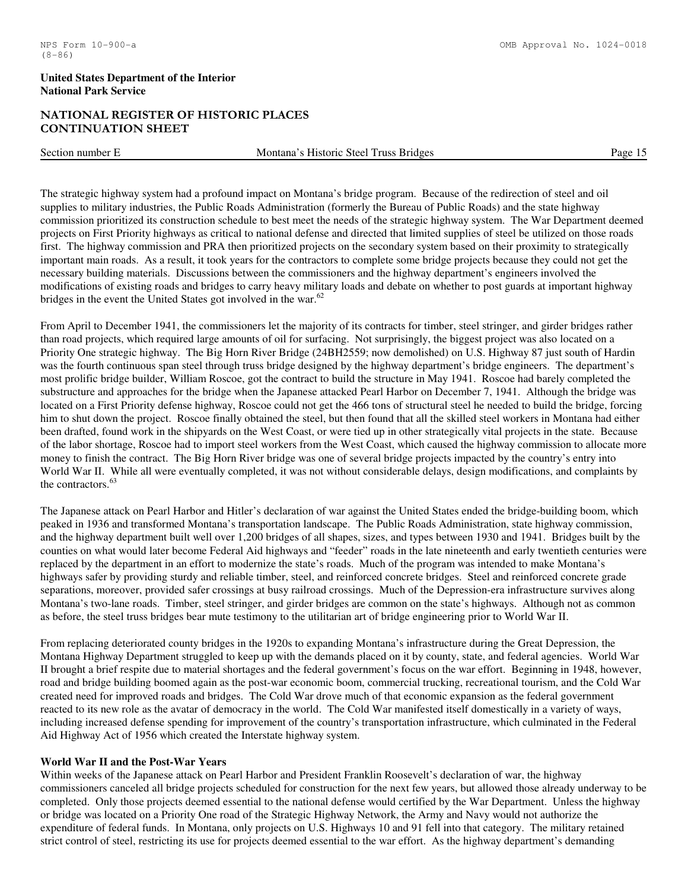# NATIONAL REGISTER OF HISTORIC PLACES CONTINUATION SHEET

Section number E Montana's Historic Steel Truss Bridges Page 15

The strategic highway system had a profound impact on Montana's bridge program. Because of the redirection of steel and oil supplies to military industries, the Public Roads Administration (formerly the Bureau of Public Roads) and the state highway commission prioritized its construction schedule to best meet the needs of the strategic highway system. The War Department deemed projects on First Priority highways as critical to national defense and directed that limited supplies of steel be utilized on those roads first. The highway commission and PRA then prioritized projects on the secondary system based on their proximity to strategically important main roads. As a result, it took years for the contractors to complete some bridge projects because they could not get the necessary building materials. Discussions between the commissioners and the highway department's engineers involved the modifications of existing roads and bridges to carry heavy military loads and debate on whether to post guards at important highway bridges in the event the United States got involved in the war.<sup>62</sup>

From April to December 1941, the commissioners let the majority of its contracts for timber, steel stringer, and girder bridges rather than road projects, which required large amounts of oil for surfacing. Not surprisingly, the biggest project was also located on a Priority One strategic highway. The Big Horn River Bridge (24BH2559; now demolished) on U.S. Highway 87 just south of Hardin was the fourth continuous span steel through truss bridge designed by the highway department's bridge engineers. The department's most prolific bridge builder, William Roscoe, got the contract to build the structure in May 1941. Roscoe had barely completed the substructure and approaches for the bridge when the Japanese attacked Pearl Harbor on December 7, 1941. Although the bridge was located on a First Priority defense highway, Roscoe could not get the 466 tons of structural steel he needed to build the bridge, forcing him to shut down the project. Roscoe finally obtained the steel, but then found that all the skilled steel workers in Montana had either been drafted, found work in the shipyards on the West Coast, or were tied up in other strategically vital projects in the state. Because of the labor shortage, Roscoe had to import steel workers from the West Coast, which caused the highway commission to allocate more money to finish the contract. The Big Horn River bridge was one of several bridge projects impacted by the country's entry into World War II. While all were eventually completed, it was not without considerable delays, design modifications, and complaints by the contractors.<sup>63</sup>

The Japanese attack on Pearl Harbor and Hitler's declaration of war against the United States ended the bridge-building boom, which peaked in 1936 and transformed Montana's transportation landscape. The Public Roads Administration, state highway commission, and the highway department built well over 1,200 bridges of all shapes, sizes, and types between 1930 and 1941. Bridges built by the counties on what would later become Federal Aid highways and "feeder" roads in the late nineteenth and early twentieth centuries were replaced by the department in an effort to modernize the state's roads. Much of the program was intended to make Montana's highways safer by providing sturdy and reliable timber, steel, and reinforced concrete bridges. Steel and reinforced concrete grade separations, moreover, provided safer crossings at busy railroad crossings. Much of the Depression-era infrastructure survives along Montana's two-lane roads. Timber, steel stringer, and girder bridges are common on the state's highways. Although not as common as before, the steel truss bridges bear mute testimony to the utilitarian art of bridge engineering prior to World War II.

From replacing deteriorated county bridges in the 1920s to expanding Montana's infrastructure during the Great Depression, the Montana Highway Department struggled to keep up with the demands placed on it by county, state, and federal agencies. World War II brought a brief respite due to material shortages and the federal government's focus on the war effort. Beginning in 1948, however, road and bridge building boomed again as the post-war economic boom, commercial trucking, recreational tourism, and the Cold War created need for improved roads and bridges. The Cold War drove much of that economic expansion as the federal government reacted to its new role as the avatar of democracy in the world. The Cold War manifested itself domestically in a variety of ways, including increased defense spending for improvement of the country's transportation infrastructure, which culminated in the Federal Aid Highway Act of 1956 which created the Interstate highway system.

#### **World War II and the Post-War Years**

Within weeks of the Japanese attack on Pearl Harbor and President Franklin Roosevelt's declaration of war, the highway commissioners canceled all bridge projects scheduled for construction for the next few years, but allowed those already underway to be completed. Only those projects deemed essential to the national defense would certified by the War Department. Unless the highway or bridge was located on a Priority One road of the Strategic Highway Network, the Army and Navy would not authorize the expenditure of federal funds. In Montana, only projects on U.S. Highways 10 and 91 fell into that category. The military retained strict control of steel, restricting its use for projects deemed essential to the war effort. As the highway department's demanding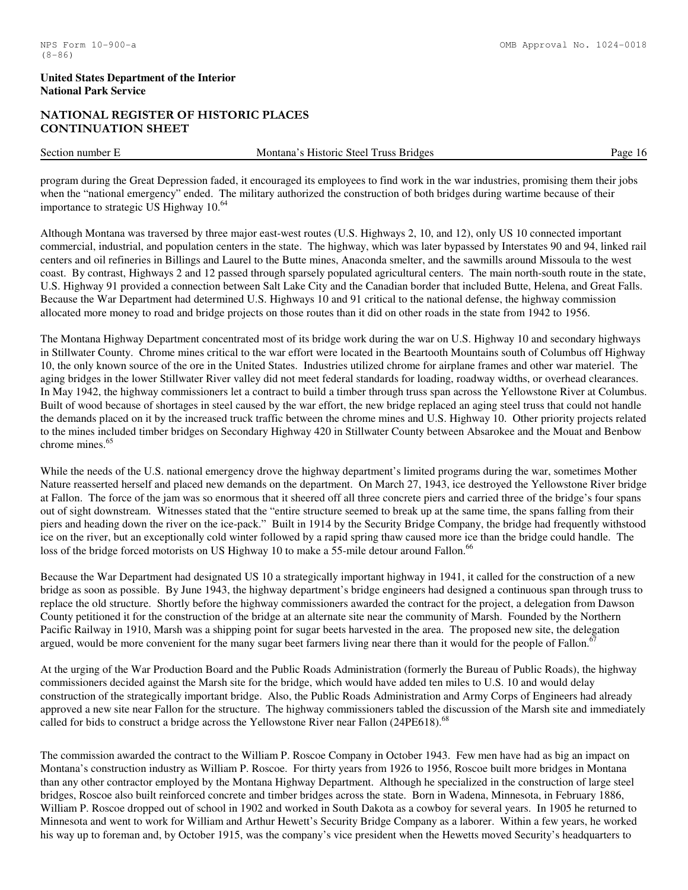# NATIONAL REGISTER OF HISTORIC PLACES CONTINUATION SHEET

Section number E Montana's Historic Steel Truss Bridges Page 16

program during the Great Depression faded, it encouraged its employees to find work in the war industries, promising them their jobs when the "national emergency" ended. The military authorized the construction of both bridges during wartime because of their importance to strategic US Highway  $10^{64}$ 

Although Montana was traversed by three major east-west routes (U.S. Highways 2, 10, and 12), only US 10 connected important commercial, industrial, and population centers in the state. The highway, which was later bypassed by Interstates 90 and 94, linked rail centers and oil refineries in Billings and Laurel to the Butte mines, Anaconda smelter, and the sawmills around Missoula to the west coast. By contrast, Highways 2 and 12 passed through sparsely populated agricultural centers. The main north-south route in the state, U.S. Highway 91 provided a connection between Salt Lake City and the Canadian border that included Butte, Helena, and Great Falls. Because the War Department had determined U.S. Highways 10 and 91 critical to the national defense, the highway commission allocated more money to road and bridge projects on those routes than it did on other roads in the state from 1942 to 1956.

The Montana Highway Department concentrated most of its bridge work during the war on U.S. Highway 10 and secondary highways in Stillwater County. Chrome mines critical to the war effort were located in the Beartooth Mountains south of Columbus off Highway 10, the only known source of the ore in the United States. Industries utilized chrome for airplane frames and other war materiel. The aging bridges in the lower Stillwater River valley did not meet federal standards for loading, roadway widths, or overhead clearances. In May 1942, the highway commissioners let a contract to build a timber through truss span across the Yellowstone River at Columbus. Built of wood because of shortages in steel caused by the war effort, the new bridge replaced an aging steel truss that could not handle the demands placed on it by the increased truck traffic between the chrome mines and U.S. Highway 10. Other priority projects related to the mines included timber bridges on Secondary Highway 420 in Stillwater County between Absarokee and the Mouat and Benbow chrome mines.<sup>65</sup>

While the needs of the U.S. national emergency drove the highway department's limited programs during the war, sometimes Mother Nature reasserted herself and placed new demands on the department. On March 27, 1943, ice destroyed the Yellowstone River bridge at Fallon. The force of the jam was so enormous that it sheered off all three concrete piers and carried three of the bridge's four spans out of sight downstream. Witnesses stated that the "entire structure seemed to break up at the same time, the spans falling from their piers and heading down the river on the ice-pack." Built in 1914 by the Security Bridge Company, the bridge had frequently withstood ice on the river, but an exceptionally cold winter followed by a rapid spring thaw caused more ice than the bridge could handle. The loss of the bridge forced motorists on US Highway 10 to make a 55-mile detour around Fallon.<sup>66</sup>

Because the War Department had designated US 10 a strategically important highway in 1941, it called for the construction of a new bridge as soon as possible. By June 1943, the highway department's bridge engineers had designed a continuous span through truss to replace the old structure. Shortly before the highway commissioners awarded the contract for the project, a delegation from Dawson County petitioned it for the construction of the bridge at an alternate site near the community of Marsh. Founded by the Northern Pacific Railway in 1910, Marsh was a shipping point for sugar beets harvested in the area. The proposed new site, the delegation argued, would be more convenient for the many sugar beet farmers living near there than it would for the people of Fallon.<sup>6</sup>

At the urging of the War Production Board and the Public Roads Administration (formerly the Bureau of Public Roads), the highway commissioners decided against the Marsh site for the bridge, which would have added ten miles to U.S. 10 and would delay construction of the strategically important bridge. Also, the Public Roads Administration and Army Corps of Engineers had already approved a new site near Fallon for the structure. The highway commissioners tabled the discussion of the Marsh site and immediately called for bids to construct a bridge across the Yellowstone River near Fallon (24PE618).<sup>68</sup>

The commission awarded the contract to the William P. Roscoe Company in October 1943. Few men have had as big an impact on Montana's construction industry as William P. Roscoe. For thirty years from 1926 to 1956, Roscoe built more bridges in Montana than any other contractor employed by the Montana Highway Department. Although he specialized in the construction of large steel bridges, Roscoe also built reinforced concrete and timber bridges across the state. Born in Wadena, Minnesota, in February 1886, William P. Roscoe dropped out of school in 1902 and worked in South Dakota as a cowboy for several years. In 1905 he returned to Minnesota and went to work for William and Arthur Hewett's Security Bridge Company as a laborer. Within a few years, he worked his way up to foreman and, by October 1915, was the company's vice president when the Hewetts moved Security's headquarters to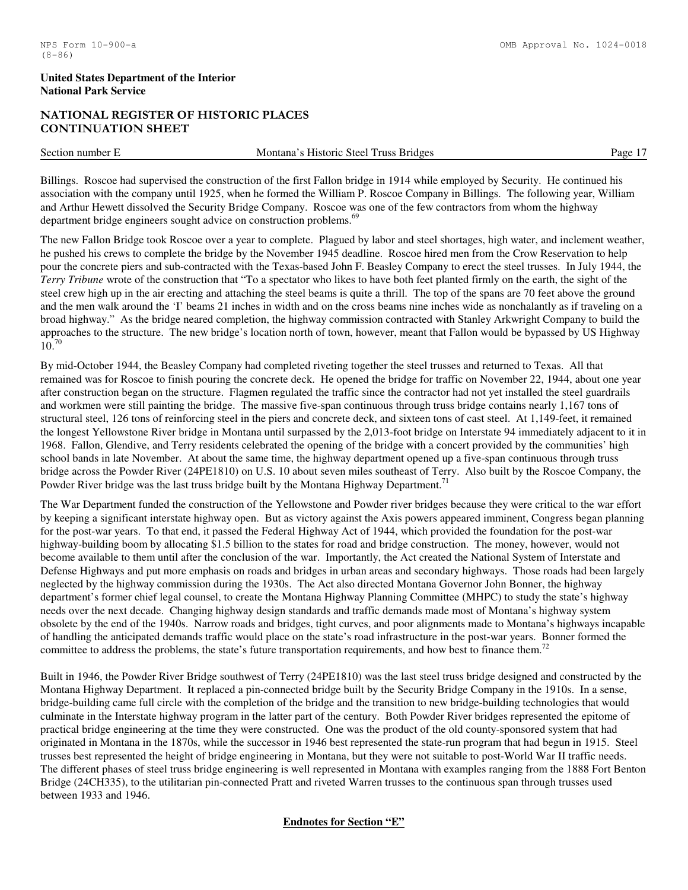# NATIONAL REGISTER OF HISTORIC PLACES CONTINUATION SHEET

| Section number | <b>Truss Bridges</b><br>Historic Steel<br>Montana | Ρασρ |
|----------------|---------------------------------------------------|------|
|                |                                                   |      |

Billings. Roscoe had supervised the construction of the first Fallon bridge in 1914 while employed by Security. He continued his association with the company until 1925, when he formed the William P. Roscoe Company in Billings. The following year, William and Arthur Hewett dissolved the Security Bridge Company. Roscoe was one of the few contractors from whom the highway department bridge engineers sought advice on construction problems.<sup>69</sup>

The new Fallon Bridge took Roscoe over a year to complete. Plagued by labor and steel shortages, high water, and inclement weather, he pushed his crews to complete the bridge by the November 1945 deadline. Roscoe hired men from the Crow Reservation to help pour the concrete piers and sub-contracted with the Texas-based John F. Beasley Company to erect the steel trusses. In July 1944, the *Terry Tribune* wrote of the construction that "To a spectator who likes to have both feet planted firmly on the earth, the sight of the steel crew high up in the air erecting and attaching the steel beams is quite a thrill. The top of the spans are 70 feet above the ground and the men walk around the 'I' beams 21 inches in width and on the cross beams nine inches wide as nonchalantly as if traveling on a broad highway." As the bridge neared completion, the highway commission contracted with Stanley Arkwright Company to build the approaches to the structure. The new bridge's location north of town, however, meant that Fallon would be bypassed by US Highway  $10^{70}$ 

By mid-October 1944, the Beasley Company had completed riveting together the steel trusses and returned to Texas. All that remained was for Roscoe to finish pouring the concrete deck. He opened the bridge for traffic on November 22, 1944, about one year after construction began on the structure. Flagmen regulated the traffic since the contractor had not yet installed the steel guardrails and workmen were still painting the bridge. The massive five-span continuous through truss bridge contains nearly 1,167 tons of structural steel, 126 tons of reinforcing steel in the piers and concrete deck, and sixteen tons of cast steel. At 1,149-feet, it remained the longest Yellowstone River bridge in Montana until surpassed by the 2,013-foot bridge on Interstate 94 immediately adjacent to it in 1968. Fallon, Glendive, and Terry residents celebrated the opening of the bridge with a concert provided by the communities' high school bands in late November. At about the same time, the highway department opened up a five-span continuous through truss bridge across the Powder River (24PE1810) on U.S. 10 about seven miles southeast of Terry. Also built by the Roscoe Company, the Powder River bridge was the last truss bridge built by the Montana Highway Department.<sup>71</sup>

The War Department funded the construction of the Yellowstone and Powder river bridges because they were critical to the war effort by keeping a significant interstate highway open. But as victory against the Axis powers appeared imminent, Congress began planning for the post-war years. To that end, it passed the Federal Highway Act of 1944, which provided the foundation for the post-war highway-building boom by allocating \$1.5 billion to the states for road and bridge construction. The money, however, would not become available to them until after the conclusion of the war. Importantly, the Act created the National System of Interstate and Defense Highways and put more emphasis on roads and bridges in urban areas and secondary highways. Those roads had been largely neglected by the highway commission during the 1930s. The Act also directed Montana Governor John Bonner, the highway department's former chief legal counsel, to create the Montana Highway Planning Committee (MHPC) to study the state's highway needs over the next decade. Changing highway design standards and traffic demands made most of Montana's highway system obsolete by the end of the 1940s. Narrow roads and bridges, tight curves, and poor alignments made to Montana's highways incapable of handling the anticipated demands traffic would place on the state's road infrastructure in the post-war years. Bonner formed the committee to address the problems, the state's future transportation requirements, and how best to finance them.<sup>72</sup>

Built in 1946, the Powder River Bridge southwest of Terry (24PE1810) was the last steel truss bridge designed and constructed by the Montana Highway Department. It replaced a pin-connected bridge built by the Security Bridge Company in the 1910s. In a sense, bridge-building came full circle with the completion of the bridge and the transition to new bridge-building technologies that would culminate in the Interstate highway program in the latter part of the century. Both Powder River bridges represented the epitome of practical bridge engineering at the time they were constructed. One was the product of the old county-sponsored system that had originated in Montana in the 1870s, while the successor in 1946 best represented the state-run program that had begun in 1915. Steel trusses best represented the height of bridge engineering in Montana, but they were not suitable to post-World War II traffic needs. The different phases of steel truss bridge engineering is well represented in Montana with examples ranging from the 1888 Fort Benton Bridge (24CH335), to the utilitarian pin-connected Pratt and riveted Warren trusses to the continuous span through trusses used between 1933 and 1946.

# **Endnotes for Section "E"**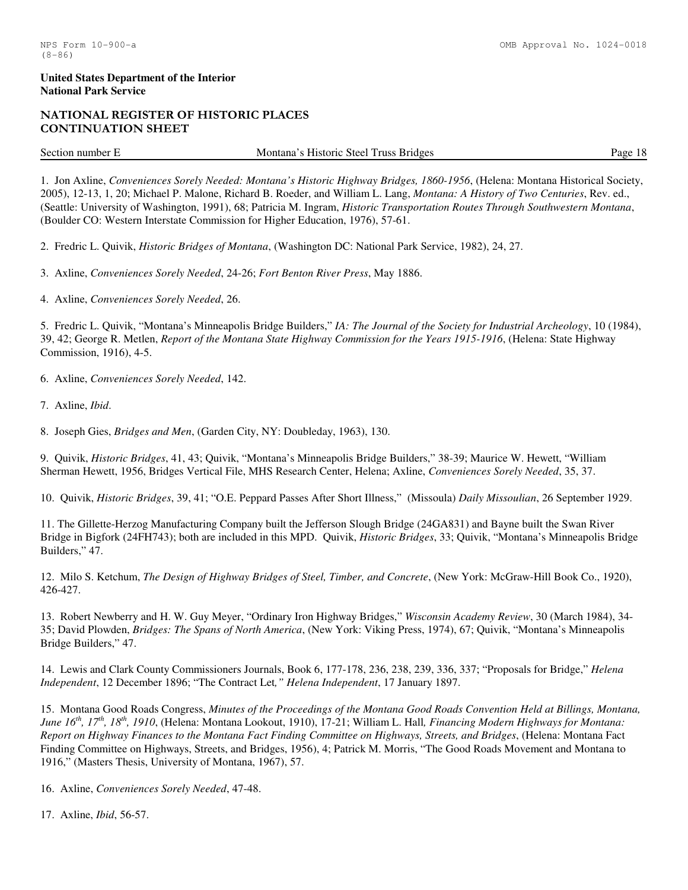# NATIONAL REGISTER OF HISTORIC PLACES CONTINUATION SHEET

Section number E Montana's Historic Steel Truss Bridges Page 18

1. Jon Axline, *Conveniences Sorely Needed: Montana's Historic Highway Bridges, 1860-1956*, (Helena: Montana Historical Society, 2005), 12-13, 1, 20; Michael P. Malone, Richard B. Roeder, and William L. Lang, *Montana: A History of Two Centuries*, Rev. ed., (Seattle: University of Washington, 1991), 68; Patricia M. Ingram, *Historic Transportation Routes Through Southwestern Montana*, (Boulder CO: Western Interstate Commission for Higher Education, 1976), 57-61.

2. Fredric L. Quivik, *Historic Bridges of Montana*, (Washington DC: National Park Service, 1982), 24, 27.

3. Axline, *Conveniences Sorely Needed*, 24-26; *Fort Benton River Press*, May 1886.

4. Axline, *Conveniences Sorely Needed*, 26.

5. Fredric L. Quivik, "Montana's Minneapolis Bridge Builders," *IA: The Journal of the Society for Industrial Archeology*, 10 (1984), 39, 42; George R. Metlen, *Report of the Montana State Highway Commission for the Years 1915-1916*, (Helena: State Highway Commission, 1916), 4-5.

6. Axline, *Conveniences Sorely Needed*, 142.

7. Axline, *Ibid*.

8. Joseph Gies, *Bridges and Men*, (Garden City, NY: Doubleday, 1963), 130.

9. Quivik, *Historic Bridges*, 41, 43; Quivik, "Montana's Minneapolis Bridge Builders," 38-39; Maurice W. Hewett, "William Sherman Hewett, 1956, Bridges Vertical File, MHS Research Center, Helena; Axline, *Conveniences Sorely Needed*, 35, 37.

10. Quivik, *Historic Bridges*, 39, 41; "O.E. Peppard Passes After Short Illness," (Missoula) *Daily Missoulian*, 26 September 1929.

11. The Gillette-Herzog Manufacturing Company built the Jefferson Slough Bridge (24GA831) and Bayne built the Swan River Bridge in Bigfork (24FH743); both are included in this MPD. Quivik, *Historic Bridges*, 33; Quivik, "Montana's Minneapolis Bridge Builders," 47.

12. Milo S. Ketchum, *The Design of Highway Bridges of Steel, Timber, and Concrete*, (New York: McGraw-Hill Book Co., 1920), 426-427.

13. Robert Newberry and H. W. Guy Meyer, "Ordinary Iron Highway Bridges," *Wisconsin Academy Review*, 30 (March 1984), 34- 35; David Plowden, *Bridges: The Spans of North America*, (New York: Viking Press, 1974), 67; Quivik, "Montana's Minneapolis Bridge Builders," 47.

14. Lewis and Clark County Commissioners Journals, Book 6, 177-178, 236, 238, 239, 336, 337; "Proposals for Bridge," *Helena Independent*, 12 December 1896; "The Contract Let*," Helena Independent*, 17 January 1897.

15. Montana Good Roads Congress, *Minutes of the Proceedings of the Montana Good Roads Convention Held at Billings, Montana, June 16th, 17th, 18th, 1910*, (Helena: Montana Lookout, 1910), 17-21; William L. Hall*, Financing Modern Highways for Montana: Report on Highway Finances to the Montana Fact Finding Committee on Highways, Streets, and Bridges*, (Helena: Montana Fact Finding Committee on Highways, Streets, and Bridges, 1956), 4; Patrick M. Morris, "The Good Roads Movement and Montana to 1916," (Masters Thesis, University of Montana, 1967), 57.

16. Axline, *Conveniences Sorely Needed*, 47-48.

17. Axline, *Ibid*, 56-57.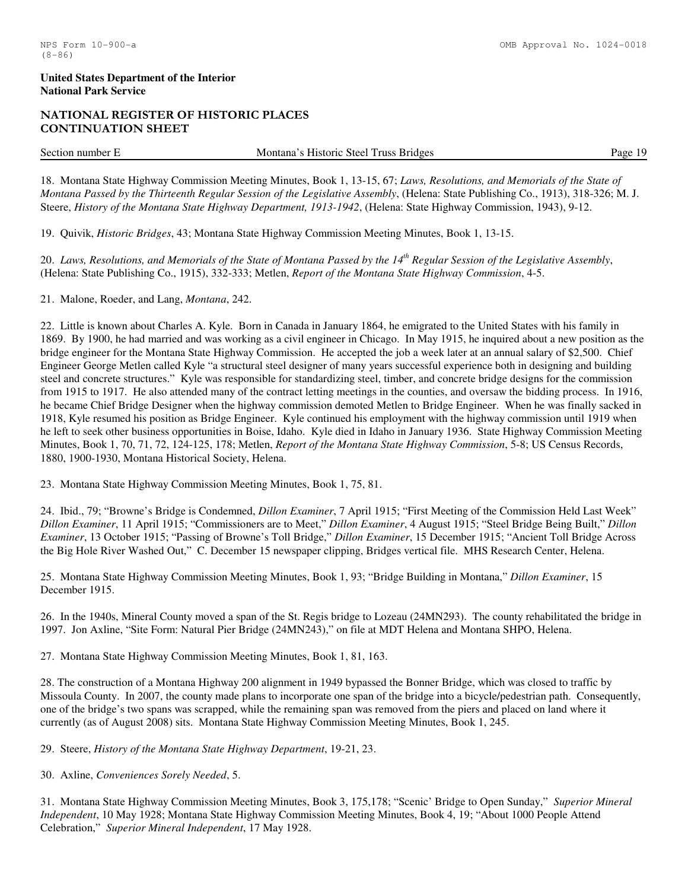# NATIONAL REGISTER OF HISTORIC PLACES CONTINUATION SHEET

Section number E Montana's Historic Steel Truss Bridges Page 19

18. Montana State Highway Commission Meeting Minutes, Book 1, 13-15, 67; *Laws, Resolutions, and Memorials of the State of Montana Passed by the Thirteenth Regular Session of the Legislative Assembly*, (Helena: State Publishing Co., 1913), 318-326; M. J. Steere, *History of the Montana State Highway Department, 1913-1942*, (Helena: State Highway Commission, 1943), 9-12.

19. Quivik, *Historic Bridges*, 43; Montana State Highway Commission Meeting Minutes, Book 1, 13-15.

20. *Laws, Resolutions, and Memorials of the State of Montana Passed by the 14th Regular Session of the Legislative Assembly*, (Helena: State Publishing Co., 1915), 332-333; Metlen, *Report of the Montana State Highway Commission*, 4-5.

21. Malone, Roeder, and Lang, *Montana*, 242.

22. Little is known about Charles A. Kyle. Born in Canada in January 1864, he emigrated to the United States with his family in 1869. By 1900, he had married and was working as a civil engineer in Chicago. In May 1915, he inquired about a new position as the bridge engineer for the Montana State Highway Commission. He accepted the job a week later at an annual salary of \$2,500. Chief Engineer George Metlen called Kyle "a structural steel designer of many years successful experience both in designing and building steel and concrete structures." Kyle was responsible for standardizing steel, timber, and concrete bridge designs for the commission from 1915 to 1917. He also attended many of the contract letting meetings in the counties, and oversaw the bidding process. In 1916, he became Chief Bridge Designer when the highway commission demoted Metlen to Bridge Engineer. When he was finally sacked in 1918, Kyle resumed his position as Bridge Engineer. Kyle continued his employment with the highway commission until 1919 when he left to seek other business opportunities in Boise, Idaho. Kyle died in Idaho in January 1936. State Highway Commission Meeting Minutes, Book 1, 70, 71, 72, 124-125, 178; Metlen, *Report of the Montana State Highway Commission*, 5-8; US Census Records, 1880, 1900-1930, Montana Historical Society, Helena.

23. Montana State Highway Commission Meeting Minutes, Book 1, 75, 81.

24. Ibid., 79; "Browne's Bridge is Condemned, *Dillon Examiner*, 7 April 1915; "First Meeting of the Commission Held Last Week" *Dillon Examiner*, 11 April 1915; "Commissioners are to Meet," *Dillon Examiner*, 4 August 1915; "Steel Bridge Being Built," *Dillon Examiner*, 13 October 1915; "Passing of Browne's Toll Bridge," *Dillon Examiner*, 15 December 1915; "Ancient Toll Bridge Across the Big Hole River Washed Out," C. December 15 newspaper clipping, Bridges vertical file. MHS Research Center, Helena.

25. Montana State Highway Commission Meeting Minutes, Book 1, 93; "Bridge Building in Montana," *Dillon Examiner*, 15 December 1915.

26. In the 1940s, Mineral County moved a span of the St. Regis bridge to Lozeau (24MN293). The county rehabilitated the bridge in 1997. Jon Axline, "Site Form: Natural Pier Bridge (24MN243)," on file at MDT Helena and Montana SHPO, Helena.

27. Montana State Highway Commission Meeting Minutes, Book 1, 81, 163.

28. The construction of a Montana Highway 200 alignment in 1949 bypassed the Bonner Bridge, which was closed to traffic by Missoula County. In 2007, the county made plans to incorporate one span of the bridge into a bicycle/pedestrian path. Consequently, one of the bridge's two spans was scrapped, while the remaining span was removed from the piers and placed on land where it currently (as of August 2008) sits. Montana State Highway Commission Meeting Minutes, Book 1, 245.

29. Steere, *History of the Montana State Highway Department*, 19-21, 23.

30. Axline, *Conveniences Sorely Needed*, 5.

31. Montana State Highway Commission Meeting Minutes, Book 3, 175,178; "Scenic' Bridge to Open Sunday," *Superior Mineral Independent*, 10 May 1928; Montana State Highway Commission Meeting Minutes, Book 4, 19; "About 1000 People Attend Celebration," *Superior Mineral Independent*, 17 May 1928.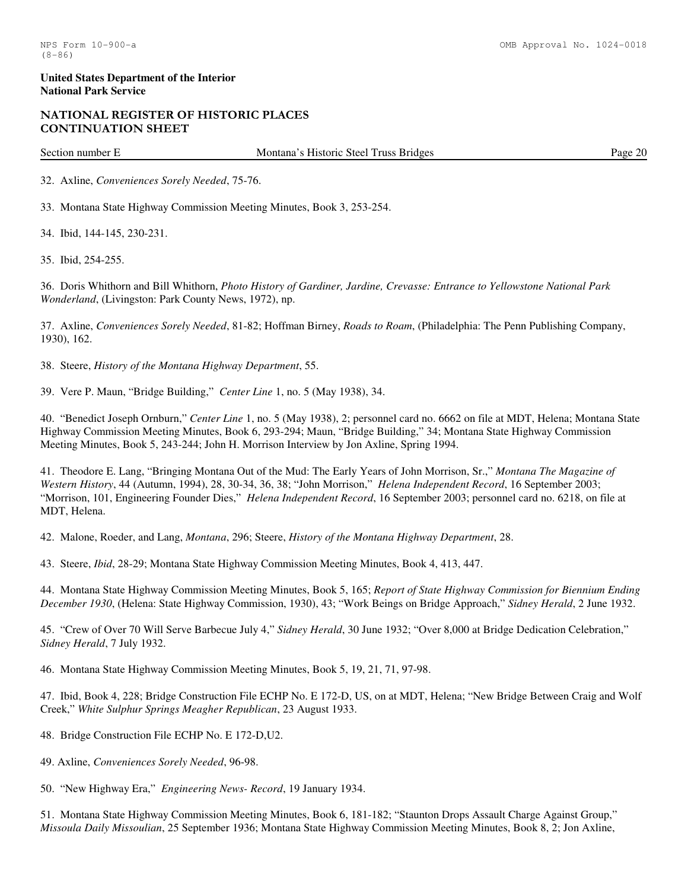# NATIONAL REGISTER OF HISTORIC PLACES CONTINUATION SHEET

Section number E Montana's Historic Steel Truss Bridges Page 20

32. Axline, *Conveniences Sorely Needed*, 75-76.

33. Montana State Highway Commission Meeting Minutes, Book 3, 253-254.

34. Ibid, 144-145, 230-231.

35. Ibid, 254-255.

36. Doris Whithorn and Bill Whithorn, *Photo History of Gardiner, Jardine, Crevasse: Entrance to Yellowstone National Park Wonderland*, (Livingston: Park County News, 1972), np.

37. Axline, *Conveniences Sorely Needed*, 81-82; Hoffman Birney, *Roads to Roam*, (Philadelphia: The Penn Publishing Company, 1930), 162.

38. Steere, *History of the Montana Highway Department*, 55.

39. Vere P. Maun, "Bridge Building," *Center Line* 1, no. 5 (May 1938), 34.

40. "Benedict Joseph Ornburn," *Center Line* 1, no. 5 (May 1938), 2; personnel card no. 6662 on file at MDT, Helena; Montana State Highway Commission Meeting Minutes, Book 6, 293-294; Maun, "Bridge Building," 34; Montana State Highway Commission Meeting Minutes, Book 5, 243-244; John H. Morrison Interview by Jon Axline, Spring 1994.

41. Theodore E. Lang, "Bringing Montana Out of the Mud: The Early Years of John Morrison, Sr.," *Montana The Magazine of Western History*, 44 (Autumn, 1994), 28, 30-34, 36, 38; "John Morrison," *Helena Independent Record*, 16 September 2003; "Morrison, 101, Engineering Founder Dies," *Helena Independent Record*, 16 September 2003; personnel card no. 6218, on file at MDT, Helena.

42. Malone, Roeder, and Lang, *Montana*, 296; Steere, *History of the Montana Highway Department*, 28.

43. Steere, *Ibid*, 28-29; Montana State Highway Commission Meeting Minutes, Book 4, 413, 447.

44. Montana State Highway Commission Meeting Minutes, Book 5, 165; *Report of State Highway Commission for Biennium Ending December 1930*, (Helena: State Highway Commission, 1930), 43; "Work Beings on Bridge Approach," *Sidney Herald*, 2 June 1932.

45. "Crew of Over 70 Will Serve Barbecue July 4," *Sidney Herald*, 30 June 1932; "Over 8,000 at Bridge Dedication Celebration," *Sidney Herald*, 7 July 1932.

46. Montana State Highway Commission Meeting Minutes, Book 5, 19, 21, 71, 97-98.

47. Ibid, Book 4, 228; Bridge Construction File ECHP No. E 172-D, US, on at MDT, Helena; "New Bridge Between Craig and Wolf Creek," *White Sulphur Springs Meagher Republican*, 23 August 1933.

48. Bridge Construction File ECHP No. E 172-D,U2.

49. Axline, *Conveniences Sorely Needed*, 96-98.

50. "New Highway Era," *Engineering News- Record*, 19 January 1934.

51. Montana State Highway Commission Meeting Minutes, Book 6, 181-182; "Staunton Drops Assault Charge Against Group," *Missoula Daily Missoulian*, 25 September 1936; Montana State Highway Commission Meeting Minutes, Book 8, 2; Jon Axline,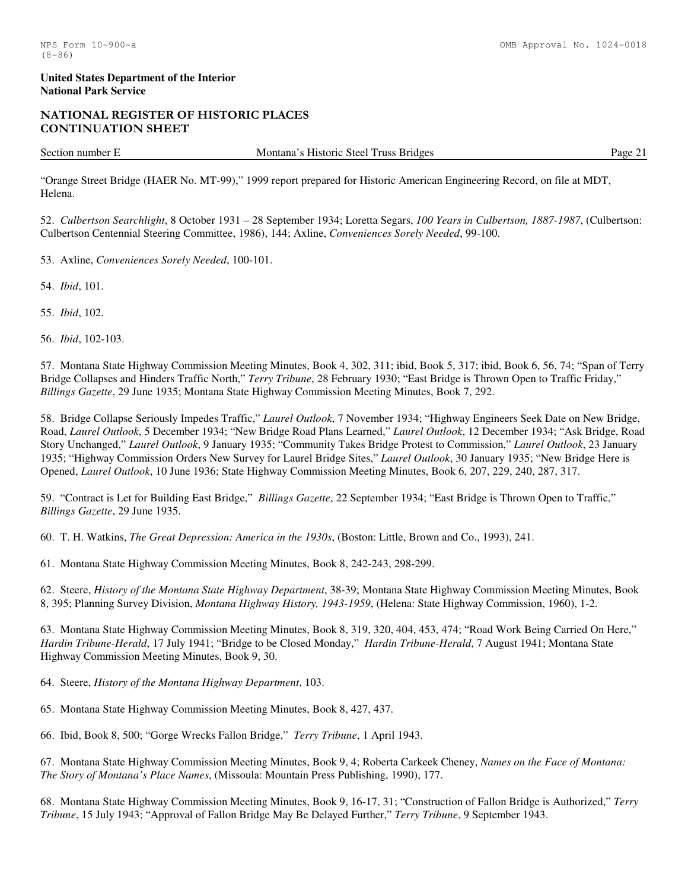# NATIONAL REGISTER OF HISTORIC PLACES CONTINUATION SHEET

Section number E Montana's Historic Steel Truss Bridges Page 21

"Orange Street Bridge (HAER No. MT-99)," 1999 report prepared for Historic American Engineering Record, on file at MDT, Helena.

52. *Culbertson Searchlight*, 8 October 1931 – 28 September 1934; Loretta Segars, *100 Years in Culbertson, 1887-1987*, (Culbertson: Culbertson Centennial Steering Committee, 1986), 144; Axline, *Conveniences Sorely Needed*, 99-100.

53. Axline, *Conveniences Sorely Needed*, 100-101.

54. *Ibid*, 101.

55. *Ibid*, 102.

56. *Ibid*, 102-103.

57. Montana State Highway Commission Meeting Minutes, Book 4, 302, 311; ibid, Book 5, 317; ibid, Book 6, 56, 74; "Span of Terry Bridge Collapses and Hinders Traffic North," *Terry Tribune*, 28 February 1930; "East Bridge is Thrown Open to Traffic Friday," *Billings Gazette*, 29 June 1935; Montana State Highway Commission Meeting Minutes, Book 7, 292.

58. Bridge Collapse Seriously Impedes Traffic," *Laurel Outlook*, 7 November 1934; "Highway Engineers Seek Date on New Bridge, Road, *Laurel Outlook*, 5 December 1934; "New Bridge Road Plans Learned," *Laurel Outlook*, 12 December 1934; "Ask Bridge, Road Story Unchanged," *Laurel Outlook*, 9 January 1935; "Community Takes Bridge Protest to Commission," *Laurel Outlook*, 23 January 1935; "Highway Commission Orders New Survey for Laurel Bridge Sites," *Laurel Outlook*, 30 January 1935; "New Bridge Here is Opened, *Laurel Outlook*, 10 June 1936; State Highway Commission Meeting Minutes, Book 6, 207, 229, 240, 287, 317.

59. "Contract is Let for Building East Bridge," *Billings Gazette*, 22 September 1934; "East Bridge is Thrown Open to Traffic," *Billings Gazette*, 29 June 1935.

60. T. H. Watkins, *The Great Depression: America in the 1930s*, (Boston: Little, Brown and Co., 1993), 241.

61. Montana State Highway Commission Meeting Minutes, Book 8, 242-243, 298-299.

62. Steere, *History of the Montana State Highway Department*, 38-39; Montana State Highway Commission Meeting Minutes, Book 8, 395; Planning Survey Division, *Montana Highway History, 1943-1959*, (Helena: State Highway Commission, 1960), 1-2.

63. Montana State Highway Commission Meeting Minutes, Book 8, 319, 320, 404, 453, 474; "Road Work Being Carried On Here," *Hardin Tribune-Herald*, 17 July 1941; "Bridge to be Closed Monday," *Hardin Tribune-Herald*, 7 August 1941; Montana State Highway Commission Meeting Minutes, Book 9, 30.

64. Steere, *History of the Montana Highway Department*, 103.

65. Montana State Highway Commission Meeting Minutes, Book 8, 427, 437.

66. Ibid, Book 8, 500; "Gorge Wrecks Fallon Bridge," *Terry Tribune*, 1 April 1943.

67. Montana State Highway Commission Meeting Minutes, Book 9, 4; Roberta Carkeek Cheney, *Names on the Face of Montana: The Story of Montana's Place Names*, (Missoula: Mountain Press Publishing, 1990), 177.

68. Montana State Highway Commission Meeting Minutes, Book 9, 16-17, 31; "Construction of Fallon Bridge is Authorized," *Terry Tribune*, 15 July 1943; "Approval of Fallon Bridge May Be Delayed Further," *Terry Tribune*, 9 September 1943.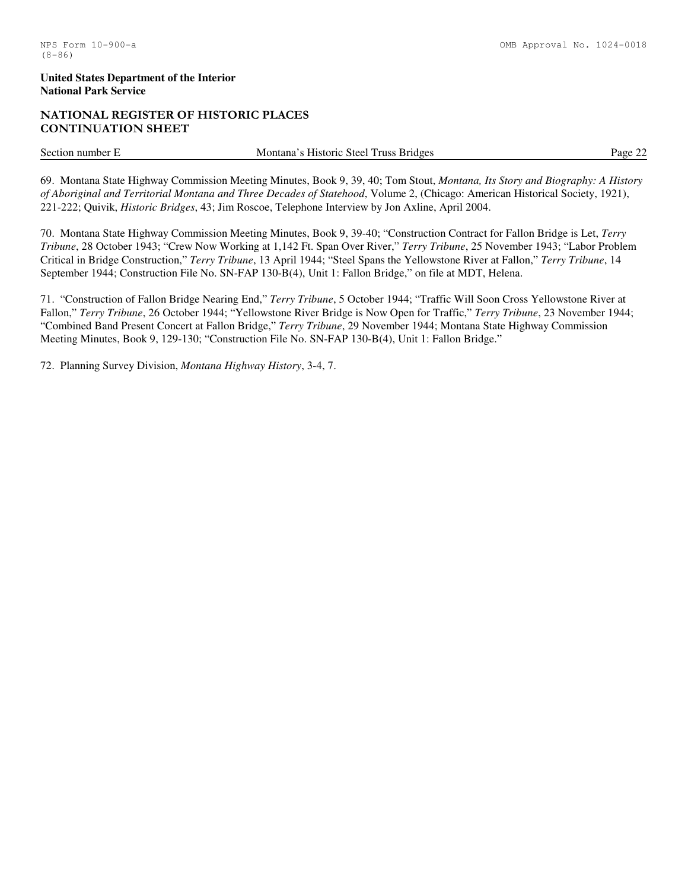# NATIONAL REGISTER OF HISTORIC PLACES CONTINUATION SHEET

Section number E Montana's Historic Steel Truss Bridges Page 22

69. Montana State Highway Commission Meeting Minutes, Book 9, 39, 40; Tom Stout, *Montana, Its Story and Biography: A History of Aboriginal and Territorial Montana and Three Decades of Statehood*, Volume 2, (Chicago: American Historical Society, 1921), 221-222; Quivik, *Historic Bridges*, 43; Jim Roscoe, Telephone Interview by Jon Axline, April 2004.

70. Montana State Highway Commission Meeting Minutes, Book 9, 39-40; "Construction Contract for Fallon Bridge is Let, *Terry Tribune*, 28 October 1943; "Crew Now Working at 1,142 Ft. Span Over River," *Terry Tribune*, 25 November 1943; "Labor Problem Critical in Bridge Construction," *Terry Tribune*, 13 April 1944; "Steel Spans the Yellowstone River at Fallon," *Terry Tribune*, 14 September 1944; Construction File No. SN-FAP 130-B(4), Unit 1: Fallon Bridge," on file at MDT, Helena.

71. "Construction of Fallon Bridge Nearing End," *Terry Tribune*, 5 October 1944; "Traffic Will Soon Cross Yellowstone River at Fallon," *Terry Tribune*, 26 October 1944; "Yellowstone River Bridge is Now Open for Traffic," *Terry Tribune*, 23 November 1944; "Combined Band Present Concert at Fallon Bridge," *Terry Tribune*, 29 November 1944; Montana State Highway Commission Meeting Minutes, Book 9, 129-130; "Construction File No. SN-FAP 130-B(4), Unit 1: Fallon Bridge."

72. Planning Survey Division, *Montana Highway History*, 3-4, 7.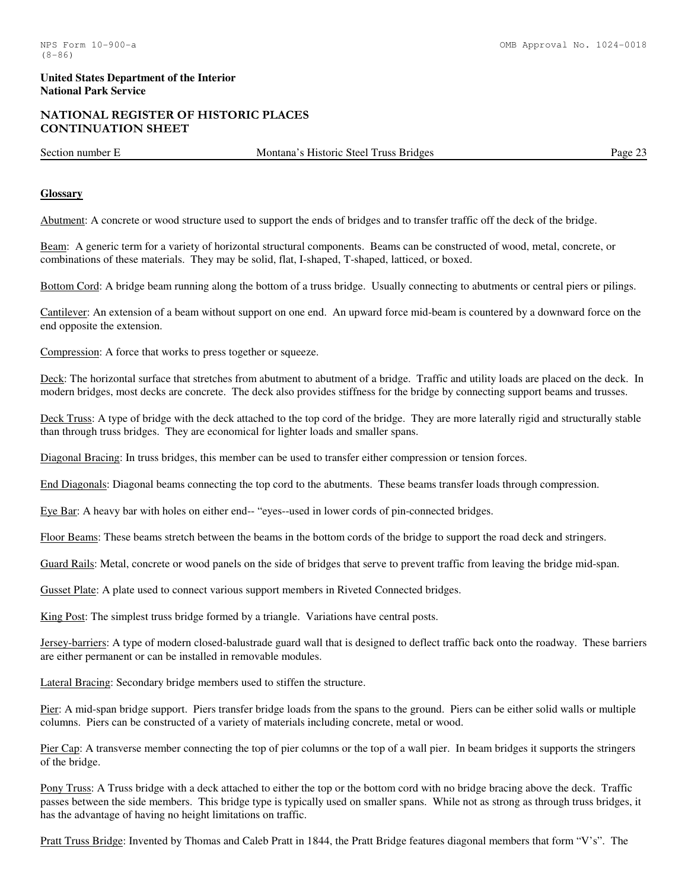# NATIONAL REGISTER OF HISTORIC PLACES CONTINUATION SHEET

Section number E Montana's Historic Steel Truss Bridges Page 23

#### **Glossary**

Abutment: A concrete or wood structure used to support the ends of bridges and to transfer traffic off the deck of the bridge.

Beam: A generic term for a variety of horizontal structural components. Beams can be constructed of wood, metal, concrete, or combinations of these materials. They may be solid, flat, I-shaped, T-shaped, latticed, or boxed.

Bottom Cord: A bridge beam running along the bottom of a truss bridge. Usually connecting to abutments or central piers or pilings.

Cantilever: An extension of a beam without support on one end. An upward force mid-beam is countered by a downward force on the end opposite the extension.

Compression: A force that works to press together or squeeze.

Deck: The horizontal surface that stretches from abutment to abutment of a bridge. Traffic and utility loads are placed on the deck. In modern bridges, most decks are concrete. The deck also provides stiffness for the bridge by connecting support beams and trusses.

Deck Truss: A type of bridge with the deck attached to the top cord of the bridge. They are more laterally rigid and structurally stable than through truss bridges. They are economical for lighter loads and smaller spans.

Diagonal Bracing: In truss bridges, this member can be used to transfer either compression or tension forces.

End Diagonals: Diagonal beams connecting the top cord to the abutments. These beams transfer loads through compression.

Eye Bar: A heavy bar with holes on either end-- "eyes--used in lower cords of pin-connected bridges.

Floor Beams: These beams stretch between the beams in the bottom cords of the bridge to support the road deck and stringers.

Guard Rails: Metal, concrete or wood panels on the side of bridges that serve to prevent traffic from leaving the bridge mid-span.

Gusset Plate: A plate used to connect various support members in Riveted Connected bridges.

King Post: The simplest truss bridge formed by a triangle. Variations have central posts.

Jersey-barriers: A type of modern closed-balustrade guard wall that is designed to deflect traffic back onto the roadway. These barriers are either permanent or can be installed in removable modules.

Lateral Bracing: Secondary bridge members used to stiffen the structure.

Pier: A mid-span bridge support. Piers transfer bridge loads from the spans to the ground. Piers can be either solid walls or multiple columns. Piers can be constructed of a variety of materials including concrete, metal or wood.

Pier Cap: A transverse member connecting the top of pier columns or the top of a wall pier. In beam bridges it supports the stringers of the bridge.

Pony Truss: A Truss bridge with a deck attached to either the top or the bottom cord with no bridge bracing above the deck. Traffic passes between the side members. This bridge type is typically used on smaller spans. While not as strong as through truss bridges, it has the advantage of having no height limitations on traffic.

Pratt Truss Bridge: Invented by Thomas and Caleb Pratt in 1844, the Pratt Bridge features diagonal members that form "V's". The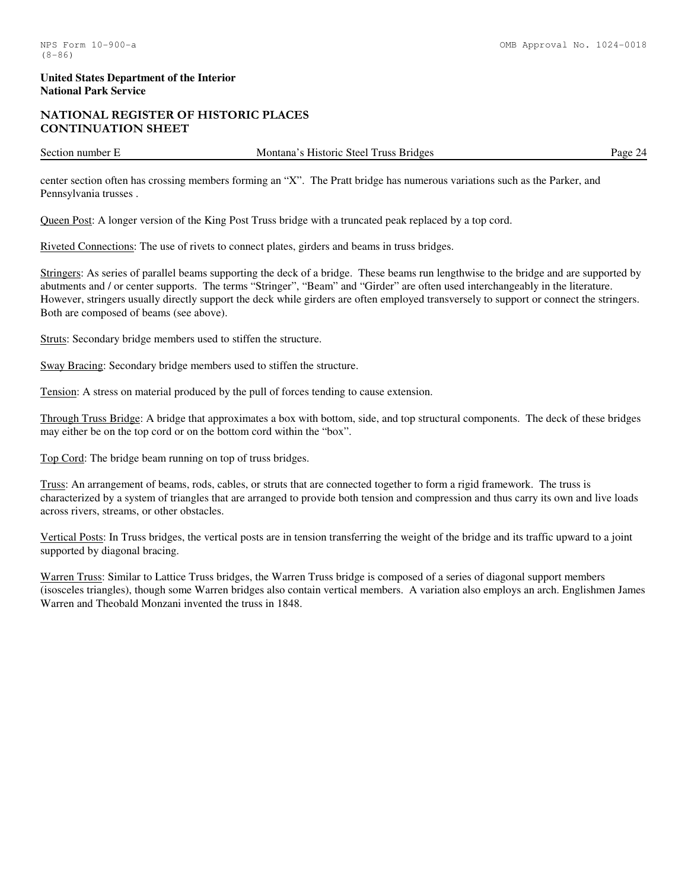# NATIONAL REGISTER OF HISTORIC PLACES CONTINUATION SHEET

Section number E Montana's Historic Steel Truss Bridges Page 24

center section often has crossing members forming an "X". The Pratt bridge has numerous variations such as the Parker, and Pennsylvania trusses .

Queen Post: A longer version of the King Post Truss bridge with a truncated peak replaced by a top cord.

Riveted Connections: The use of rivets to connect plates, girders and beams in truss bridges.

Stringers: As series of parallel beams supporting the deck of a bridge. These beams run lengthwise to the bridge and are supported by abutments and / or center supports. The terms "Stringer", "Beam" and "Girder" are often used interchangeably in the literature. However, stringers usually directly support the deck while girders are often employed transversely to support or connect the stringers. Both are composed of beams (see above).

Struts: Secondary bridge members used to stiffen the structure.

Sway Bracing: Secondary bridge members used to stiffen the structure.

Tension: A stress on material produced by the pull of forces tending to cause extension.

Through Truss Bridge: A bridge that approximates a box with bottom, side, and top structural components. The deck of these bridges may either be on the top cord or on the bottom cord within the "box".

Top Cord: The bridge beam running on top of truss bridges.

Truss: An arrangement of beams, rods, cables, or struts that are connected together to form a rigid framework. The truss is characterized by a system of triangles that are arranged to provide both tension and compression and thus carry its own and live loads across rivers, streams, or other obstacles.

Vertical Posts: In Truss bridges, the vertical posts are in tension transferring the weight of the bridge and its traffic upward to a joint supported by diagonal bracing.

Warren Truss: Similar to Lattice Truss bridges, the Warren Truss bridge is composed of a series of diagonal support members (isosceles triangles), though some Warren bridges also contain vertical members. A variation also employs an arch. Englishmen James Warren and Theobald Monzani invented the truss in 1848.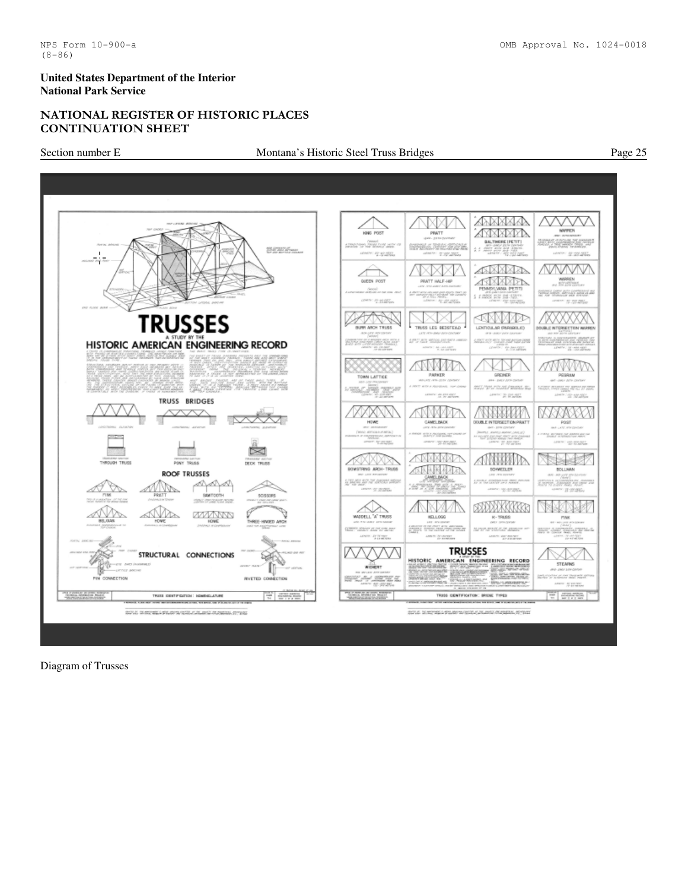# NATIONAL REGISTER OF HISTORIC PLACES CONTINUATION SHEET

# Section number E Montana's Historic Steel Truss Bridges Page 25



Diagram of Trusses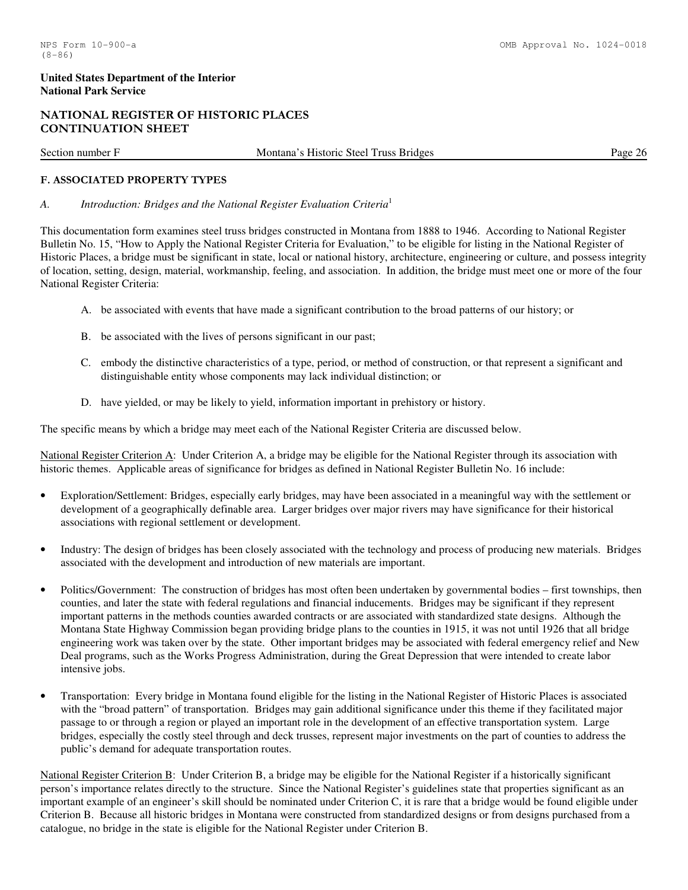# NATIONAL REGISTER OF HISTORIC PLACES CONTINUATION SHEET

| Section<br>number | œ<br>Steel<br>H <sub>1</sub> storic<br>Truss<br><b>Bridges</b><br>Montana | Page<br>$\sim$ |
|-------------------|---------------------------------------------------------------------------|----------------|
|                   |                                                                           |                |

# F. ASSOCIATED PROPERTY TYPES

# *A. Introduction: Bridges and the National Register Evaluation Criteria*<sup>1</sup>

This documentation form examines steel truss bridges constructed in Montana from 1888 to 1946. According to National Register Bulletin No. 15, "How to Apply the National Register Criteria for Evaluation," to be eligible for listing in the National Register of Historic Places, a bridge must be significant in state, local or national history, architecture, engineering or culture, and possess integrity of location, setting, design, material, workmanship, feeling, and association. In addition, the bridge must meet one or more of the four National Register Criteria:

- A. be associated with events that have made a significant contribution to the broad patterns of our history; or
- B. be associated with the lives of persons significant in our past;
- C. embody the distinctive characteristics of a type, period, or method of construction, or that represent a significant and distinguishable entity whose components may lack individual distinction; or
- D. have yielded, or may be likely to yield, information important in prehistory or history.

The specific means by which a bridge may meet each of the National Register Criteria are discussed below.

National Register Criterion A: Under Criterion A, a bridge may be eligible for the National Register through its association with historic themes. Applicable areas of significance for bridges as defined in National Register Bulletin No. 16 include:

- Exploration/Settlement: Bridges, especially early bridges, may have been associated in a meaningful way with the settlement or development of a geographically definable area. Larger bridges over major rivers may have significance for their historical associations with regional settlement or development.
- Industry: The design of bridges has been closely associated with the technology and process of producing new materials. Bridges associated with the development and introduction of new materials are important.
- Politics/Government: The construction of bridges has most often been undertaken by governmental bodies first townships, then counties, and later the state with federal regulations and financial inducements. Bridges may be significant if they represent important patterns in the methods counties awarded contracts or are associated with standardized state designs. Although the Montana State Highway Commission began providing bridge plans to the counties in 1915, it was not until 1926 that all bridge engineering work was taken over by the state. Other important bridges may be associated with federal emergency relief and New Deal programs, such as the Works Progress Administration, during the Great Depression that were intended to create labor intensive jobs.
- Transportation: Every bridge in Montana found eligible for the listing in the National Register of Historic Places is associated with the "broad pattern" of transportation. Bridges may gain additional significance under this theme if they facilitated major passage to or through a region or played an important role in the development of an effective transportation system. Large bridges, especially the costly steel through and deck trusses, represent major investments on the part of counties to address the public's demand for adequate transportation routes.

National Register Criterion B: Under Criterion B, a bridge may be eligible for the National Register if a historically significant person's importance relates directly to the structure. Since the National Register's guidelines state that properties significant as an important example of an engineer's skill should be nominated under Criterion C, it is rare that a bridge would be found eligible under Criterion B. Because all historic bridges in Montana were constructed from standardized designs or from designs purchased from a catalogue, no bridge in the state is eligible for the National Register under Criterion B.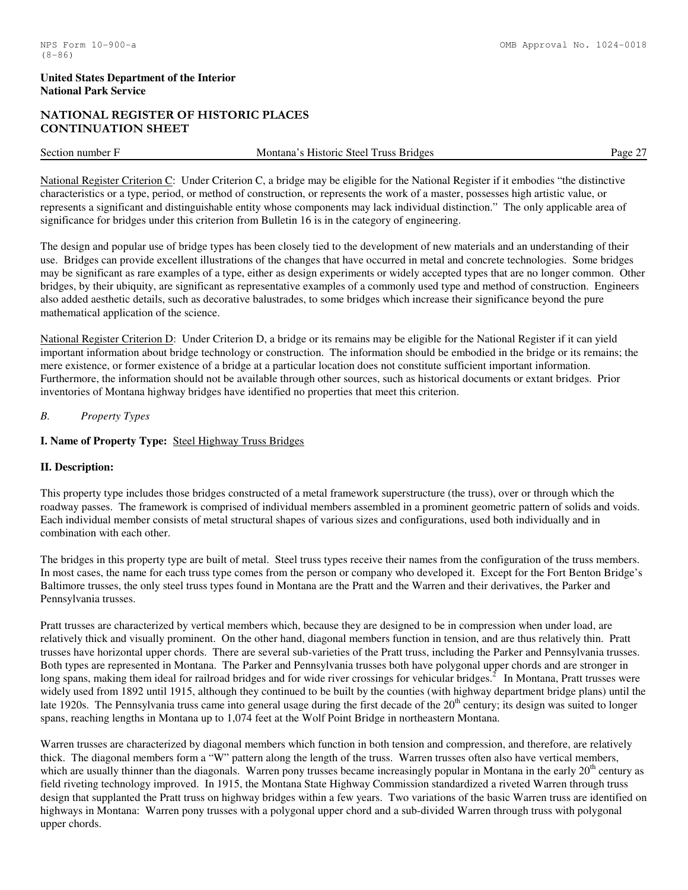# NATIONAL REGISTER OF HISTORIC PLACES CONTINUATION SHEET

| Section<br>number | Steel T<br><b>Bridges</b><br>Historic<br>russ<br>Montana <sup>2</sup> | $\sim$ $\sim$<br>Page |
|-------------------|-----------------------------------------------------------------------|-----------------------|
|                   |                                                                       |                       |

National Register Criterion C: Under Criterion C, a bridge may be eligible for the National Register if it embodies "the distinctive characteristics or a type, period, or method of construction, or represents the work of a master, possesses high artistic value, or represents a significant and distinguishable entity whose components may lack individual distinction." The only applicable area of significance for bridges under this criterion from Bulletin 16 is in the category of engineering.

The design and popular use of bridge types has been closely tied to the development of new materials and an understanding of their use. Bridges can provide excellent illustrations of the changes that have occurred in metal and concrete technologies. Some bridges may be significant as rare examples of a type, either as design experiments or widely accepted types that are no longer common. Other bridges, by their ubiquity, are significant as representative examples of a commonly used type and method of construction. Engineers also added aesthetic details, such as decorative balustrades, to some bridges which increase their significance beyond the pure mathematical application of the science.

National Register Criterion D: Under Criterion D, a bridge or its remains may be eligible for the National Register if it can yield important information about bridge technology or construction. The information should be embodied in the bridge or its remains; the mere existence, or former existence of a bridge at a particular location does not constitute sufficient important information. Furthermore, the information should not be available through other sources, such as historical documents or extant bridges. Prior inventories of Montana highway bridges have identified no properties that meet this criterion.

# *B. Property Types*

# **I. Name of Property Type:** Steel Highway Truss Bridges

# **II. Description:**

This property type includes those bridges constructed of a metal framework superstructure (the truss), over or through which the roadway passes. The framework is comprised of individual members assembled in a prominent geometric pattern of solids and voids. Each individual member consists of metal structural shapes of various sizes and configurations, used both individually and in combination with each other.

The bridges in this property type are built of metal. Steel truss types receive their names from the configuration of the truss members. In most cases, the name for each truss type comes from the person or company who developed it. Except for the Fort Benton Bridge's Baltimore trusses, the only steel truss types found in Montana are the Pratt and the Warren and their derivatives, the Parker and Pennsylvania trusses.

Pratt trusses are characterized by vertical members which, because they are designed to be in compression when under load, are relatively thick and visually prominent. On the other hand, diagonal members function in tension, and are thus relatively thin. Pratt trusses have horizontal upper chords. There are several sub-varieties of the Pratt truss, including the Parker and Pennsylvania trusses. Both types are represented in Montana. The Parker and Pennsylvania trusses both have polygonal upper chords and are stronger in long spans, making them ideal for railroad bridges and for wide river crossings for vehicular bridges.<sup>2</sup> In Montana, Pratt trusses were widely used from 1892 until 1915, although they continued to be built by the counties (with highway department bridge plans) until the late 1920s. The Pennsylvania truss came into general usage during the first decade of the 20<sup>th</sup> century; its design was suited to longer spans, reaching lengths in Montana up to 1,074 feet at the Wolf Point Bridge in northeastern Montana.

Warren trusses are characterized by diagonal members which function in both tension and compression, and therefore, are relatively thick. The diagonal members form a "W" pattern along the length of the truss. Warren trusses often also have vertical members, which are usually thinner than the diagonals. Warren pony trusses became increasingly popular in Montana in the early  $20<sup>th</sup>$  century as field riveting technology improved. In 1915, the Montana State Highway Commission standardized a riveted Warren through truss design that supplanted the Pratt truss on highway bridges within a few years. Two variations of the basic Warren truss are identified on highways in Montana: Warren pony trusses with a polygonal upper chord and a sub-divided Warren through truss with polygonal upper chords.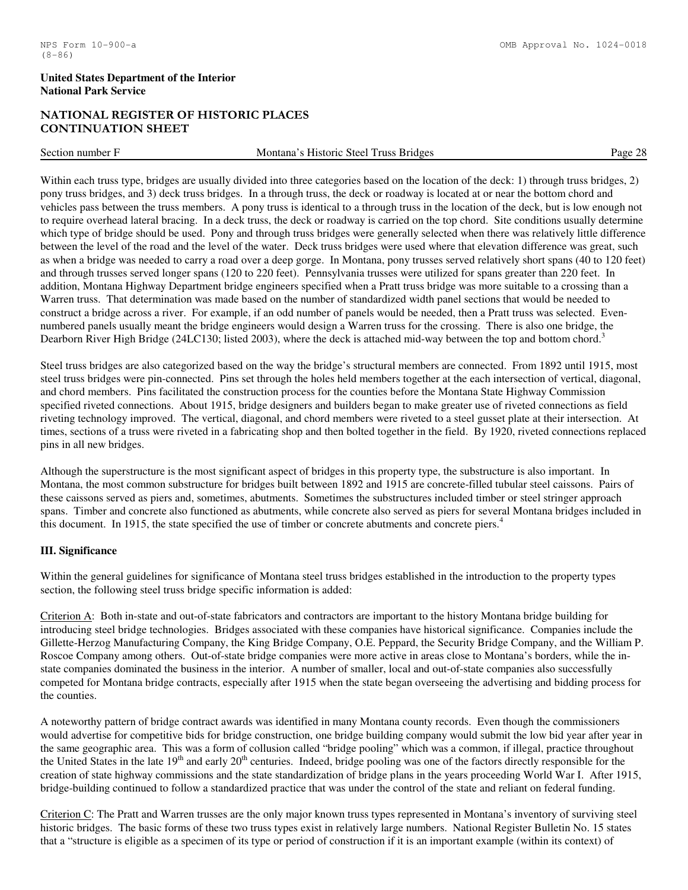# NATIONAL REGISTER OF HISTORIC PLACES CONTINUATION SHEET

| Section<br>number | -<br>Historic<br>Steel<br>russ<br><b>Bridges</b><br>Montana | $\sim$ $\sim$<br>∙ാ∝<br>$\sim$<br> |
|-------------------|-------------------------------------------------------------|------------------------------------|
|                   |                                                             |                                    |

Within each truss type, bridges are usually divided into three categories based on the location of the deck: 1) through truss bridges, 2) pony truss bridges, and 3) deck truss bridges. In a through truss, the deck or roadway is located at or near the bottom chord and vehicles pass between the truss members. A pony truss is identical to a through truss in the location of the deck, but is low enough not to require overhead lateral bracing. In a deck truss, the deck or roadway is carried on the top chord. Site conditions usually determine which type of bridge should be used. Pony and through truss bridges were generally selected when there was relatively little difference between the level of the road and the level of the water. Deck truss bridges were used where that elevation difference was great, such as when a bridge was needed to carry a road over a deep gorge. In Montana, pony trusses served relatively short spans (40 to 120 feet) and through trusses served longer spans (120 to 220 feet). Pennsylvania trusses were utilized for spans greater than 220 feet. In addition, Montana Highway Department bridge engineers specified when a Pratt truss bridge was more suitable to a crossing than a Warren truss. That determination was made based on the number of standardized width panel sections that would be needed to construct a bridge across a river. For example, if an odd number of panels would be needed, then a Pratt truss was selected. Evennumbered panels usually meant the bridge engineers would design a Warren truss for the crossing. There is also one bridge, the Dearborn River High Bridge (24LC130; listed 2003), where the deck is attached mid-way between the top and bottom chord.<sup>3</sup>

Steel truss bridges are also categorized based on the way the bridge's structural members are connected. From 1892 until 1915, most steel truss bridges were pin-connected. Pins set through the holes held members together at the each intersection of vertical, diagonal, and chord members. Pins facilitated the construction process for the counties before the Montana State Highway Commission specified riveted connections. About 1915, bridge designers and builders began to make greater use of riveted connections as field riveting technology improved. The vertical, diagonal, and chord members were riveted to a steel gusset plate at their intersection. At times, sections of a truss were riveted in a fabricating shop and then bolted together in the field. By 1920, riveted connections replaced pins in all new bridges.

Although the superstructure is the most significant aspect of bridges in this property type, the substructure is also important. In Montana, the most common substructure for bridges built between 1892 and 1915 are concrete-filled tubular steel caissons. Pairs of these caissons served as piers and, sometimes, abutments. Sometimes the substructures included timber or steel stringer approach spans. Timber and concrete also functioned as abutments, while concrete also served as piers for several Montana bridges included in this document. In 1915, the state specified the use of timber or concrete abutments and concrete piers.<sup>4</sup>

#### **III. Significance**

Within the general guidelines for significance of Montana steel truss bridges established in the introduction to the property types section, the following steel truss bridge specific information is added:

Criterion A: Both in-state and out-of-state fabricators and contractors are important to the history Montana bridge building for introducing steel bridge technologies. Bridges associated with these companies have historical significance. Companies include the Gillette-Herzog Manufacturing Company, the King Bridge Company, O.E. Peppard, the Security Bridge Company, and the William P. Roscoe Company among others. Out-of-state bridge companies were more active in areas close to Montana's borders, while the instate companies dominated the business in the interior. A number of smaller, local and out-of-state companies also successfully competed for Montana bridge contracts, especially after 1915 when the state began overseeing the advertising and bidding process for the counties.

A noteworthy pattern of bridge contract awards was identified in many Montana county records. Even though the commissioners would advertise for competitive bids for bridge construction, one bridge building company would submit the low bid year after year in the same geographic area. This was a form of collusion called "bridge pooling" which was a common, if illegal, practice throughout the United States in the late 19<sup>th</sup> and early 20<sup>th</sup> centuries. Indeed, bridge pooling was one of the factors directly responsible for the creation of state highway commissions and the state standardization of bridge plans in the years proceeding World War I. After 1915, bridge-building continued to follow a standardized practice that was under the control of the state and reliant on federal funding.

Criterion C: The Pratt and Warren trusses are the only major known truss types represented in Montana's inventory of surviving steel historic bridges. The basic forms of these two truss types exist in relatively large numbers. National Register Bulletin No. 15 states that a "structure is eligible as a specimen of its type or period of construction if it is an important example (within its context) of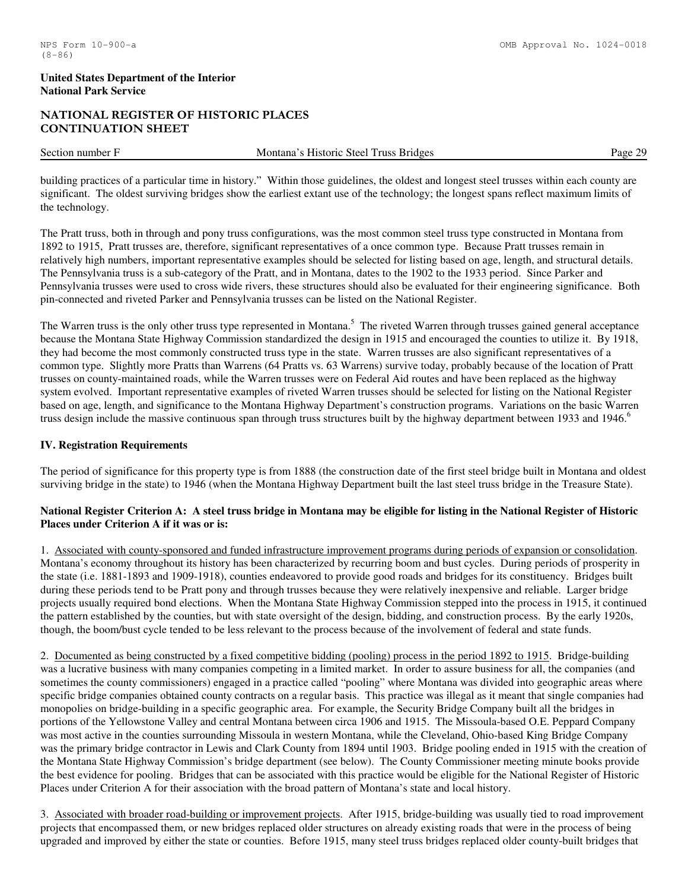# NATIONAL REGISTER OF HISTORIC PLACES CONTINUATION SHEET

| Section number | Steel<br><b>Bridges</b><br>Truss<br>. Historic<br>Montana | ററ<br>Page |
|----------------|-----------------------------------------------------------|------------|
|                |                                                           |            |

building practices of a particular time in history." Within those guidelines, the oldest and longest steel trusses within each county are significant. The oldest surviving bridges show the earliest extant use of the technology; the longest spans reflect maximum limits of the technology.

The Pratt truss, both in through and pony truss configurations, was the most common steel truss type constructed in Montana from 1892 to 1915, Pratt trusses are, therefore, significant representatives of a once common type. Because Pratt trusses remain in relatively high numbers, important representative examples should be selected for listing based on age, length, and structural details. The Pennsylvania truss is a sub-category of the Pratt, and in Montana, dates to the 1902 to the 1933 period. Since Parker and Pennsylvania trusses were used to cross wide rivers, these structures should also be evaluated for their engineering significance. Both pin-connected and riveted Parker and Pennsylvania trusses can be listed on the National Register.

The Warren truss is the only other truss type represented in Montana.<sup>5</sup> The riveted Warren through trusses gained general acceptance because the Montana State Highway Commission standardized the design in 1915 and encouraged the counties to utilize it. By 1918, they had become the most commonly constructed truss type in the state. Warren trusses are also significant representatives of a common type. Slightly more Pratts than Warrens (64 Pratts vs. 63 Warrens) survive today, probably because of the location of Pratt trusses on county-maintained roads, while the Warren trusses were on Federal Aid routes and have been replaced as the highway system evolved. Important representative examples of riveted Warren trusses should be selected for listing on the National Register based on age, length, and significance to the Montana Highway Department's construction programs. Variations on the basic Warren truss design include the massive continuous span through truss structures built by the highway department between 1933 and 1946.<sup>6</sup>

# **IV. Registration Requirements**

The period of significance for this property type is from 1888 (the construction date of the first steel bridge built in Montana and oldest surviving bridge in the state) to 1946 (when the Montana Highway Department built the last steel truss bridge in the Treasure State).

# **National Register Criterion A: A steel truss bridge in Montana may be eligible for listing in the National Register of Historic Places under Criterion A if it was or is:**

1. Associated with county-sponsored and funded infrastructure improvement programs during periods of expansion or consolidation. Montana's economy throughout its history has been characterized by recurring boom and bust cycles. During periods of prosperity in the state (i.e. 1881-1893 and 1909-1918), counties endeavored to provide good roads and bridges for its constituency. Bridges built during these periods tend to be Pratt pony and through trusses because they were relatively inexpensive and reliable. Larger bridge projects usually required bond elections. When the Montana State Highway Commission stepped into the process in 1915, it continued the pattern established by the counties, but with state oversight of the design, bidding, and construction process. By the early 1920s, though, the boom/bust cycle tended to be less relevant to the process because of the involvement of federal and state funds.

2. Documented as being constructed by a fixed competitive bidding (pooling) process in the period 1892 to 1915. Bridge-building was a lucrative business with many companies competing in a limited market. In order to assure business for all, the companies (and sometimes the county commissioners) engaged in a practice called "pooling" where Montana was divided into geographic areas where specific bridge companies obtained county contracts on a regular basis. This practice was illegal as it meant that single companies had monopolies on bridge-building in a specific geographic area. For example, the Security Bridge Company built all the bridges in portions of the Yellowstone Valley and central Montana between circa 1906 and 1915. The Missoula-based O.E. Peppard Company was most active in the counties surrounding Missoula in western Montana, while the Cleveland, Ohio-based King Bridge Company was the primary bridge contractor in Lewis and Clark County from 1894 until 1903. Bridge pooling ended in 1915 with the creation of the Montana State Highway Commission's bridge department (see below). The County Commissioner meeting minute books provide the best evidence for pooling. Bridges that can be associated with this practice would be eligible for the National Register of Historic Places under Criterion A for their association with the broad pattern of Montana's state and local history.

3. Associated with broader road-building or improvement projects. After 1915, bridge-building was usually tied to road improvement projects that encompassed them, or new bridges replaced older structures on already existing roads that were in the process of being upgraded and improved by either the state or counties. Before 1915, many steel truss bridges replaced older county-built bridges that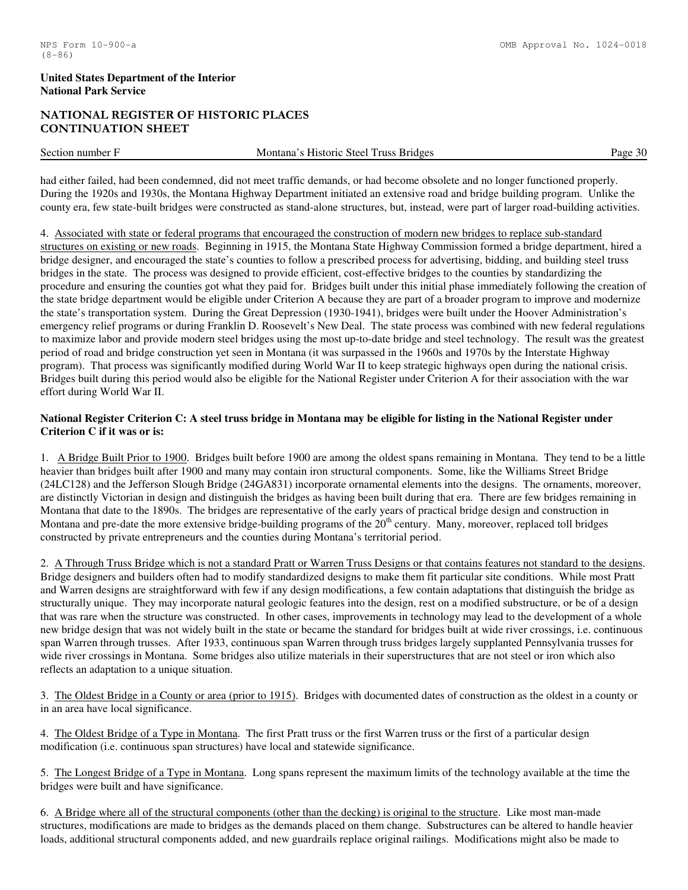# NATIONAL REGISTER OF HISTORIC PLACES CONTINUATION SHEET

| Section<br>nur<br>nne | Stee!<br><b>Bridges</b><br>. russ<br>. Historic<br>Montana | . |
|-----------------------|------------------------------------------------------------|---|
|                       |                                                            |   |

had either failed, had been condemned, did not meet traffic demands, or had become obsolete and no longer functioned properly. During the 1920s and 1930s, the Montana Highway Department initiated an extensive road and bridge building program. Unlike the county era, few state-built bridges were constructed as stand-alone structures, but, instead, were part of larger road-building activities.

#### 4. Associated with state or federal programs that encouraged the construction of modern new bridges to replace sub-standard

structures on existing or new roads. Beginning in 1915, the Montana State Highway Commission formed a bridge department, hired a bridge designer, and encouraged the state's counties to follow a prescribed process for advertising, bidding, and building steel truss bridges in the state. The process was designed to provide efficient, cost-effective bridges to the counties by standardizing the procedure and ensuring the counties got what they paid for. Bridges built under this initial phase immediately following the creation of the state bridge department would be eligible under Criterion A because they are part of a broader program to improve and modernize the state's transportation system. During the Great Depression (1930-1941), bridges were built under the Hoover Administration's emergency relief programs or during Franklin D. Roosevelt's New Deal. The state process was combined with new federal regulations to maximize labor and provide modern steel bridges using the most up-to-date bridge and steel technology. The result was the greatest period of road and bridge construction yet seen in Montana (it was surpassed in the 1960s and 1970s by the Interstate Highway program). That process was significantly modified during World War II to keep strategic highways open during the national crisis. Bridges built during this period would also be eligible for the National Register under Criterion A for their association with the war effort during World War II.

# **National Register Criterion C: A steel truss bridge in Montana may be eligible for listing in the National Register under Criterion C if it was or is:**

1. A Bridge Built Prior to 1900. Bridges built before 1900 are among the oldest spans remaining in Montana. They tend to be a little heavier than bridges built after 1900 and many may contain iron structural components. Some, like the Williams Street Bridge (24LC128) and the Jefferson Slough Bridge (24GA831) incorporate ornamental elements into the designs. The ornaments, moreover, are distinctly Victorian in design and distinguish the bridges as having been built during that era. There are few bridges remaining in Montana that date to the 1890s. The bridges are representative of the early years of practical bridge design and construction in Montana and pre-date the more extensive bridge-building programs of the  $20<sup>th</sup>$  century. Many, moreover, replaced toll bridges constructed by private entrepreneurs and the counties during Montana's territorial period.

2. A Through Truss Bridge which is not a standard Pratt or Warren Truss Designs or that contains features not standard to the designs. Bridge designers and builders often had to modify standardized designs to make them fit particular site conditions. While most Pratt and Warren designs are straightforward with few if any design modifications, a few contain adaptations that distinguish the bridge as structurally unique. They may incorporate natural geologic features into the design, rest on a modified substructure, or be of a design that was rare when the structure was constructed. In other cases, improvements in technology may lead to the development of a whole new bridge design that was not widely built in the state or became the standard for bridges built at wide river crossings, i.e. continuous span Warren through trusses. After 1933, continuous span Warren through truss bridges largely supplanted Pennsylvania trusses for wide river crossings in Montana. Some bridges also utilize materials in their superstructures that are not steel or iron which also reflects an adaptation to a unique situation.

3. The Oldest Bridge in a County or area (prior to 1915). Bridges with documented dates of construction as the oldest in a county or in an area have local significance.

4. The Oldest Bridge of a Type in Montana. The first Pratt truss or the first Warren truss or the first of a particular design modification (i.e. continuous span structures) have local and statewide significance.

5. The Longest Bridge of a Type in Montana. Long spans represent the maximum limits of the technology available at the time the bridges were built and have significance.

6. A Bridge where all of the structural components (other than the decking) is original to the structure. Like most man-made structures, modifications are made to bridges as the demands placed on them change. Substructures can be altered to handle heavier loads, additional structural components added, and new guardrails replace original railings. Modifications might also be made to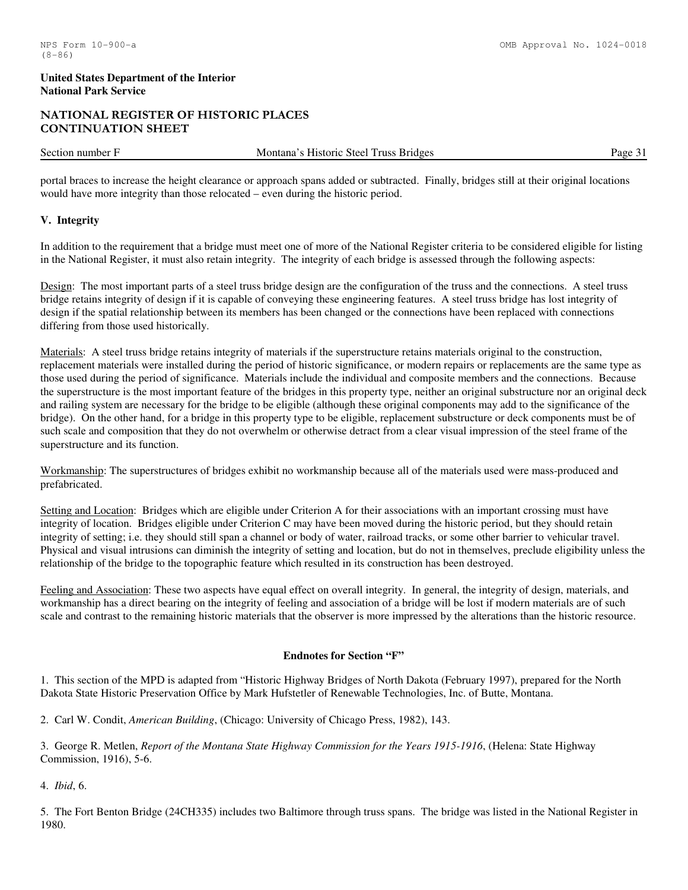# NATIONAL REGISTER OF HISTORIC PLACES CONTINUATION SHEET

Section number F Montana's Historic Steel Truss Bridges Page 31

portal braces to increase the height clearance or approach spans added or subtracted. Finally, bridges still at their original locations would have more integrity than those relocated – even during the historic period.

# **V. Integrity**

In addition to the requirement that a bridge must meet one of more of the National Register criteria to be considered eligible for listing in the National Register, it must also retain integrity. The integrity of each bridge is assessed through the following aspects:

Design: The most important parts of a steel truss bridge design are the configuration of the truss and the connections. A steel truss bridge retains integrity of design if it is capable of conveying these engineering features. A steel truss bridge has lost integrity of design if the spatial relationship between its members has been changed or the connections have been replaced with connections differing from those used historically.

Materials: A steel truss bridge retains integrity of materials if the superstructure retains materials original to the construction, replacement materials were installed during the period of historic significance, or modern repairs or replacements are the same type as those used during the period of significance. Materials include the individual and composite members and the connections. Because the superstructure is the most important feature of the bridges in this property type, neither an original substructure nor an original deck and railing system are necessary for the bridge to be eligible (although these original components may add to the significance of the bridge). On the other hand, for a bridge in this property type to be eligible, replacement substructure or deck components must be of such scale and composition that they do not overwhelm or otherwise detract from a clear visual impression of the steel frame of the superstructure and its function.

Workmanship: The superstructures of bridges exhibit no workmanship because all of the materials used were mass-produced and prefabricated.

Setting and Location: Bridges which are eligible under Criterion A for their associations with an important crossing must have integrity of location. Bridges eligible under Criterion C may have been moved during the historic period, but they should retain integrity of setting; i.e. they should still span a channel or body of water, railroad tracks, or some other barrier to vehicular travel. Physical and visual intrusions can diminish the integrity of setting and location, but do not in themselves, preclude eligibility unless the relationship of the bridge to the topographic feature which resulted in its construction has been destroyed.

Feeling and Association: These two aspects have equal effect on overall integrity. In general, the integrity of design, materials, and workmanship has a direct bearing on the integrity of feeling and association of a bridge will be lost if modern materials are of such scale and contrast to the remaining historic materials that the observer is more impressed by the alterations than the historic resource.

#### **Endnotes for Section "F"**

1. This section of the MPD is adapted from "Historic Highway Bridges of North Dakota (February 1997), prepared for the North Dakota State Historic Preservation Office by Mark Hufstetler of Renewable Technologies, Inc. of Butte, Montana.

2. Carl W. Condit, *American Building*, (Chicago: University of Chicago Press, 1982), 143.

3. George R. Metlen, *Report of the Montana State Highway Commission for the Years 1915-1916*, (Helena: State Highway Commission, 1916), 5-6.

4. *Ibid*, 6.

5. The Fort Benton Bridge (24CH335) includes two Baltimore through truss spans. The bridge was listed in the National Register in 1980.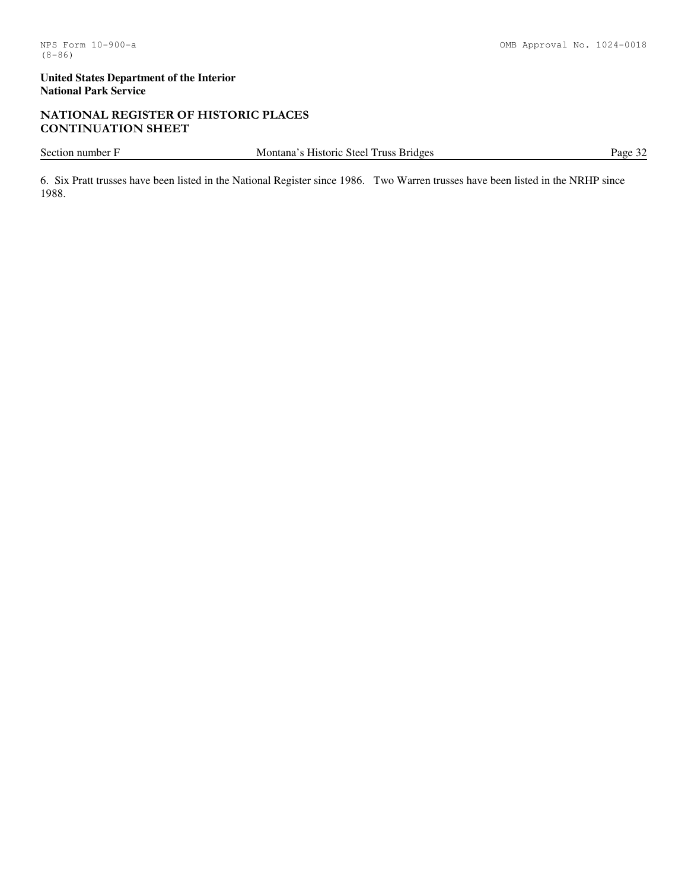# NATIONAL REGISTER OF HISTORIC PLACES CONTINUATION SHEET

Section number F Montana's Historic Steel Truss Bridges Page 32

6. Six Pratt trusses have been listed in the National Register since 1986. Two Warren trusses have been listed in the NRHP since 1988.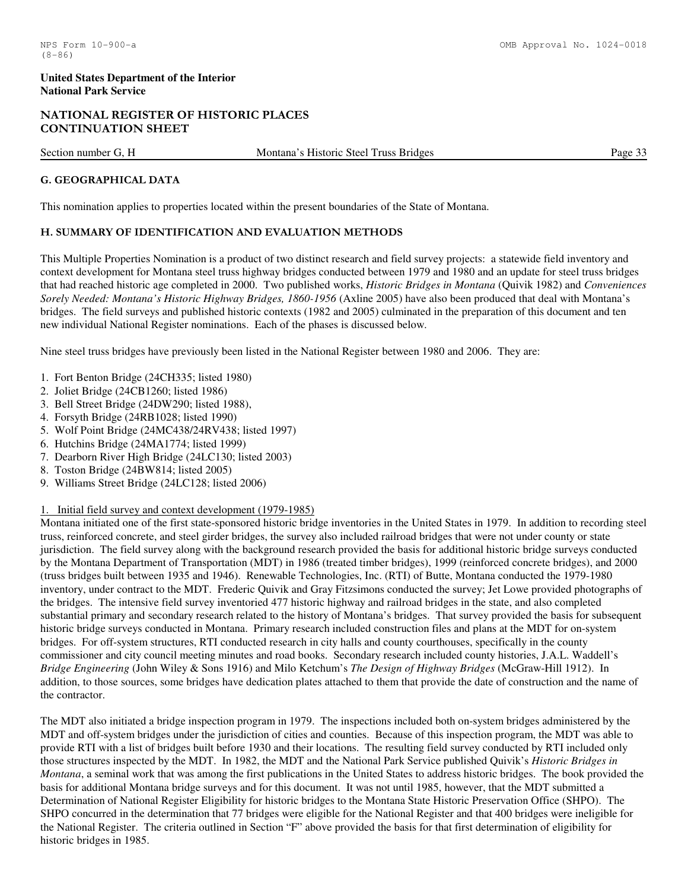# NATIONAL REGISTER OF HISTORIC PLACES CONTINUATION SHEET

Section number G, H Montana's Historic Steel Truss Bridges Page 33

# G. GEOGRAPHICAL DATA

This nomination applies to properties located within the present boundaries of the State of Montana.

# H. SUMMARY OF IDENTIFICATION AND EVALUATION METHODS

This Multiple Properties Nomination is a product of two distinct research and field survey projects: a statewide field inventory and context development for Montana steel truss highway bridges conducted between 1979 and 1980 and an update for steel truss bridges that had reached historic age completed in 2000. Two published works, *Historic Bridges in Montana* (Quivik 1982) and *Conveniences Sorely Needed: Montana's Historic Highway Bridges, 1860-1956* (Axline 2005) have also been produced that deal with Montana's bridges. The field surveys and published historic contexts (1982 and 2005) culminated in the preparation of this document and ten new individual National Register nominations. Each of the phases is discussed below.

Nine steel truss bridges have previously been listed in the National Register between 1980 and 2006. They are:

- 1. Fort Benton Bridge (24CH335; listed 1980)
- 2. Joliet Bridge (24CB1260; listed 1986)
- 3. Bell Street Bridge (24DW290; listed 1988),
- 4. Forsyth Bridge (24RB1028; listed 1990)
- 5. Wolf Point Bridge (24MC438/24RV438; listed 1997)
- 6. Hutchins Bridge (24MA1774; listed 1999)
- 7. Dearborn River High Bridge (24LC130; listed 2003)
- 8. Toston Bridge (24BW814; listed 2005)
- 9. Williams Street Bridge (24LC128; listed 2006)

# 1. Initial field survey and context development (1979-1985)

Montana initiated one of the first state-sponsored historic bridge inventories in the United States in 1979. In addition to recording steel truss, reinforced concrete, and steel girder bridges, the survey also included railroad bridges that were not under county or state jurisdiction. The field survey along with the background research provided the basis for additional historic bridge surveys conducted by the Montana Department of Transportation (MDT) in 1986 (treated timber bridges), 1999 (reinforced concrete bridges), and 2000 (truss bridges built between 1935 and 1946). Renewable Technologies, Inc. (RTI) of Butte, Montana conducted the 1979-1980 inventory, under contract to the MDT. Frederic Quivik and Gray Fitzsimons conducted the survey; Jet Lowe provided photographs of the bridges. The intensive field survey inventoried 477 historic highway and railroad bridges in the state, and also completed substantial primary and secondary research related to the history of Montana's bridges. That survey provided the basis for subsequent historic bridge surveys conducted in Montana. Primary research included construction files and plans at the MDT for on-system bridges. For off-system structures, RTI conducted research in city halls and county courthouses, specifically in the county commissioner and city council meeting minutes and road books. Secondary research included county histories, J.A.L. Waddell's *Bridge Engineering* (John Wiley & Sons 1916) and Milo Ketchum's *The Design of Highway Bridges* (McGraw-Hill 1912). In addition, to those sources, some bridges have dedication plates attached to them that provide the date of construction and the name of the contractor.

The MDT also initiated a bridge inspection program in 1979. The inspections included both on-system bridges administered by the MDT and off-system bridges under the jurisdiction of cities and counties. Because of this inspection program, the MDT was able to provide RTI with a list of bridges built before 1930 and their locations. The resulting field survey conducted by RTI included only those structures inspected by the MDT. In 1982, the MDT and the National Park Service published Quivik's *Historic Bridges in Montana*, a seminal work that was among the first publications in the United States to address historic bridges. The book provided the basis for additional Montana bridge surveys and for this document. It was not until 1985, however, that the MDT submitted a Determination of National Register Eligibility for historic bridges to the Montana State Historic Preservation Office (SHPO). The SHPO concurred in the determination that 77 bridges were eligible for the National Register and that 400 bridges were ineligible for the National Register. The criteria outlined in Section "F" above provided the basis for that first determination of eligibility for historic bridges in 1985.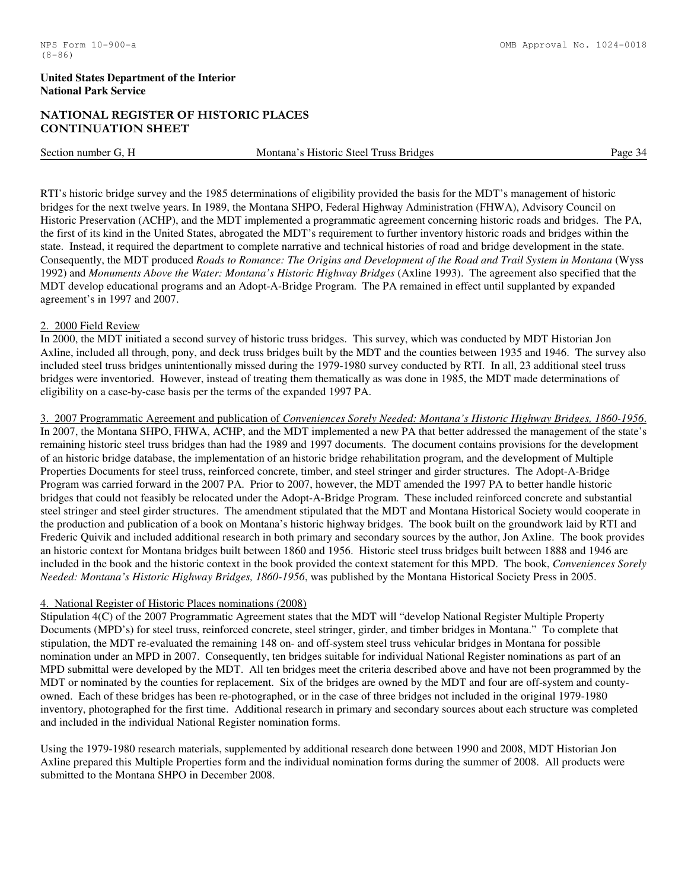# NATIONAL REGISTER OF HISTORIC PLACES CONTINUATION SHEET

Section number G, H Montana's Historic Steel Truss Bridges Page 34

RTI's historic bridge survey and the 1985 determinations of eligibility provided the basis for the MDT's management of historic bridges for the next twelve years. In 1989, the Montana SHPO, Federal Highway Administration (FHWA), Advisory Council on Historic Preservation (ACHP), and the MDT implemented a programmatic agreement concerning historic roads and bridges. The PA, the first of its kind in the United States, abrogated the MDT's requirement to further inventory historic roads and bridges within the state. Instead, it required the department to complete narrative and technical histories of road and bridge development in the state. Consequently, the MDT produced *Roads to Romance: The Origins and Development of the Road and Trail System in Montana* (Wyss 1992) and *Monuments Above the Water: Montana's Historic Highway Bridges* (Axline 1993). The agreement also specified that the MDT develop educational programs and an Adopt-A-Bridge Program. The PA remained in effect until supplanted by expanded agreement's in 1997 and 2007.

#### 2. 2000 Field Review

In 2000, the MDT initiated a second survey of historic truss bridges. This survey, which was conducted by MDT Historian Jon Axline, included all through, pony, and deck truss bridges built by the MDT and the counties between 1935 and 1946. The survey also included steel truss bridges unintentionally missed during the 1979-1980 survey conducted by RTI. In all, 23 additional steel truss bridges were inventoried. However, instead of treating them thematically as was done in 1985, the MDT made determinations of eligibility on a case-by-case basis per the terms of the expanded 1997 PA.

3. 2007 Programmatic Agreement and publication of *Conveniences Sorely Needed: Montana's Historic Highway Bridges, 1860-1956*. In 2007, the Montana SHPO, FHWA, ACHP, and the MDT implemented a new PA that better addressed the management of the state's remaining historic steel truss bridges than had the 1989 and 1997 documents. The document contains provisions for the development of an historic bridge database, the implementation of an historic bridge rehabilitation program, and the development of Multiple Properties Documents for steel truss, reinforced concrete, timber, and steel stringer and girder structures. The Adopt-A-Bridge Program was carried forward in the 2007 PA. Prior to 2007, however, the MDT amended the 1997 PA to better handle historic bridges that could not feasibly be relocated under the Adopt-A-Bridge Program. These included reinforced concrete and substantial steel stringer and steel girder structures. The amendment stipulated that the MDT and Montana Historical Society would cooperate in the production and publication of a book on Montana's historic highway bridges. The book built on the groundwork laid by RTI and Frederic Quivik and included additional research in both primary and secondary sources by the author, Jon Axline. The book provides an historic context for Montana bridges built between 1860 and 1956. Historic steel truss bridges built between 1888 and 1946 are included in the book and the historic context in the book provided the context statement for this MPD. The book, *Conveniences Sorely Needed: Montana's Historic Highway Bridges, 1860-1956*, was published by the Montana Historical Society Press in 2005.

# 4. National Register of Historic Places nominations (2008)

Stipulation 4(C) of the 2007 Programmatic Agreement states that the MDT will "develop National Register Multiple Property Documents (MPD's) for steel truss, reinforced concrete, steel stringer, girder, and timber bridges in Montana." To complete that stipulation, the MDT re-evaluated the remaining 148 on- and off-system steel truss vehicular bridges in Montana for possible nomination under an MPD in 2007. Consequently, ten bridges suitable for individual National Register nominations as part of an MPD submittal were developed by the MDT. All ten bridges meet the criteria described above and have not been programmed by the MDT or nominated by the counties for replacement. Six of the bridges are owned by the MDT and four are off-system and countyowned. Each of these bridges has been re-photographed, or in the case of three bridges not included in the original 1979-1980 inventory, photographed for the first time. Additional research in primary and secondary sources about each structure was completed and included in the individual National Register nomination forms.

Using the 1979-1980 research materials, supplemented by additional research done between 1990 and 2008, MDT Historian Jon Axline prepared this Multiple Properties form and the individual nomination forms during the summer of 2008. All products were submitted to the Montana SHPO in December 2008.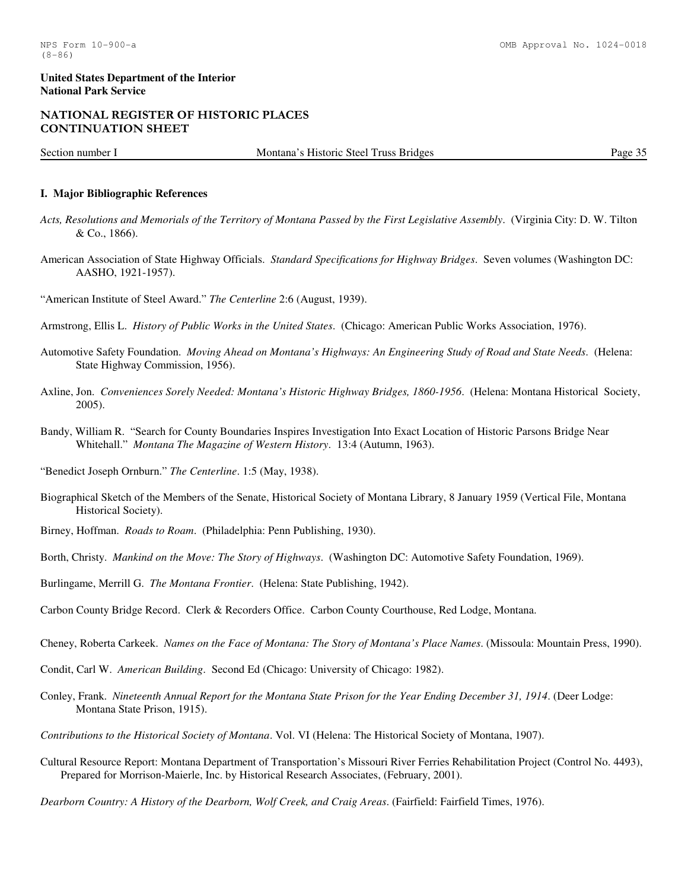### NATIONAL REGISTER OF HISTORIC PLACES CONTINUATION SHEET

Section number I Montana's Historic Steel Truss Bridges Page 35

#### **I. Major Bibliographic References**

- *Acts, Resolutions and Memorials of the Territory of Montana Passed by the First Legislative Assembly*. (Virginia City: D. W. Tilton & Co., 1866).
- American Association of State Highway Officials. *Standard Specifications for Highway Bridges*. Seven volumes (Washington DC: AASHO, 1921-1957).

"American Institute of Steel Award." *The Centerline* 2:6 (August, 1939).

Armstrong, Ellis L. *History of Public Works in the United States*. (Chicago: American Public Works Association, 1976).

- Automotive Safety Foundation. *Moving Ahead on Montana's Highways: An Engineering Study of Road and State Needs*. (Helena: State Highway Commission, 1956).
- Axline, Jon. *Conveniences Sorely Needed: Montana's Historic Highway Bridges, 1860-1956*. (Helena: Montana Historical Society, 2005).
- Bandy, William R. "Search for County Boundaries Inspires Investigation Into Exact Location of Historic Parsons Bridge Near Whitehall." *Montana The Magazine of Western History*. 13:4 (Autumn, 1963).

"Benedict Joseph Ornburn." *The Centerline*. 1:5 (May, 1938).

- Biographical Sketch of the Members of the Senate, Historical Society of Montana Library, 8 January 1959 (Vertical File, Montana Historical Society).
- Birney, Hoffman. *Roads to Roam*. (Philadelphia: Penn Publishing, 1930).
- Borth, Christy. *Mankind on the Move: The Story of Highways*. (Washington DC: Automotive Safety Foundation, 1969).
- Burlingame, Merrill G. *The Montana Frontier*. (Helena: State Publishing, 1942).
- Carbon County Bridge Record. Clerk & Recorders Office. Carbon County Courthouse, Red Lodge, Montana.
- Cheney, Roberta Carkeek. *Names on the Face of Montana: The Story of Montana's Place Names*. (Missoula: Mountain Press, 1990).
- Condit, Carl W. *American Building*. Second Ed (Chicago: University of Chicago: 1982).
- Conley, Frank. *Nineteenth Annual Report for the Montana State Prison for the Year Ending December 31, 1914*. (Deer Lodge: Montana State Prison, 1915).
- *Contributions to the Historical Society of Montana*. Vol. VI (Helena: The Historical Society of Montana, 1907).
- Cultural Resource Report: Montana Department of Transportation's Missouri River Ferries Rehabilitation Project (Control No. 4493), Prepared for Morrison-Maierle, Inc. by Historical Research Associates, (February, 2001).
- *Dearborn Country: A History of the Dearborn, Wolf Creek, and Craig Areas*. (Fairfield: Fairfield Times, 1976).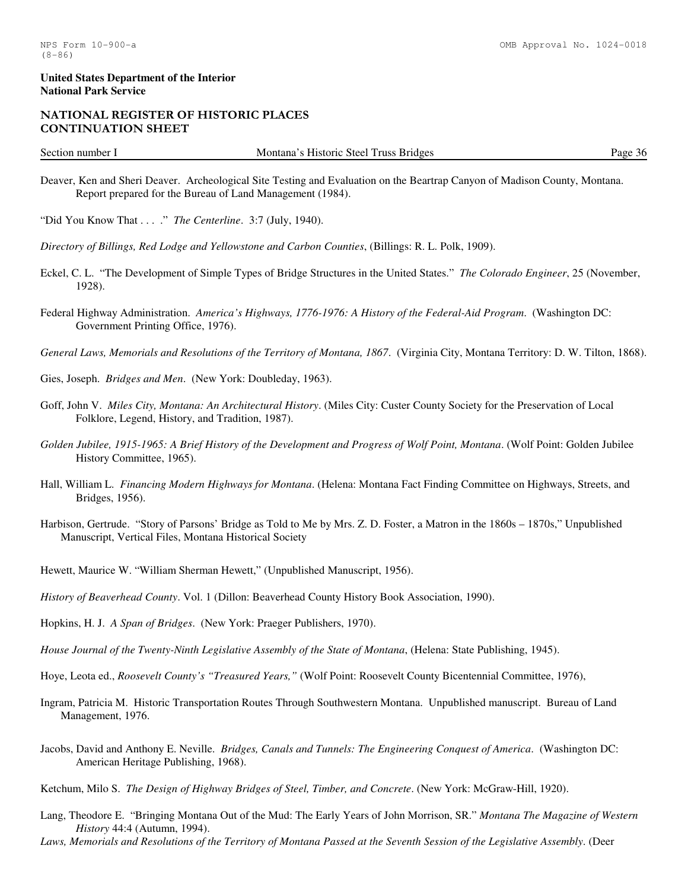# NATIONAL REGISTER OF HISTORIC PLACES CONTINUATION SHEET

Section number I Montana's Historic Steel Truss Bridges Page 36

- Deaver, Ken and Sheri Deaver. Archeological Site Testing and Evaluation on the Beartrap Canyon of Madison County, Montana. Report prepared for the Bureau of Land Management (1984).
- "Did You Know That . . . ." *The Centerline*. 3:7 (July, 1940).
- *Directory of Billings, Red Lodge and Yellowstone and Carbon Counties*, (Billings: R. L. Polk, 1909).
- Eckel, C. L. "The Development of Simple Types of Bridge Structures in the United States." *The Colorado Engineer*, 25 (November, 1928).
- Federal Highway Administration. *America's Highways, 1776-1976: A History of the Federal-Aid Program*. (Washington DC: Government Printing Office, 1976).
- *General Laws, Memorials and Resolutions of the Territory of Montana, 1867*. (Virginia City, Montana Territory: D. W. Tilton, 1868).
- Gies, Joseph. *Bridges and Men*. (New York: Doubleday, 1963).
- Goff, John V. *Miles City, Montana: An Architectural History*. (Miles City: Custer County Society for the Preservation of Local Folklore, Legend, History, and Tradition, 1987).
- *Golden Jubilee, 1915-1965: A Brief History of the Development and Progress of Wolf Point, Montana*. (Wolf Point: Golden Jubilee History Committee, 1965).
- Hall, William L. *Financing Modern Highways for Montana*. (Helena: Montana Fact Finding Committee on Highways, Streets, and Bridges, 1956).
- Harbison, Gertrude. "Story of Parsons' Bridge as Told to Me by Mrs. Z. D. Foster, a Matron in the 1860s 1870s," Unpublished Manuscript, Vertical Files, Montana Historical Society
- Hewett, Maurice W. "William Sherman Hewett," (Unpublished Manuscript, 1956).
- *History of Beaverhead County*. Vol. 1 (Dillon: Beaverhead County History Book Association, 1990).
- Hopkins, H. J. *A Span of Bridges*. (New York: Praeger Publishers, 1970).
- *House Journal of the Twenty-Ninth Legislative Assembly of the State of Montana*, (Helena: State Publishing, 1945).
- Hoye, Leota ed., *Roosevelt County's "Treasured Years,"* (Wolf Point: Roosevelt County Bicentennial Committee, 1976),
- Ingram, Patricia M. Historic Transportation Routes Through Southwestern Montana. Unpublished manuscript. Bureau of Land Management, 1976.
- Jacobs, David and Anthony E. Neville. *Bridges, Canals and Tunnels: The Engineering Conquest of America*. (Washington DC: American Heritage Publishing, 1968).
- Ketchum, Milo S. *The Design of Highway Bridges of Steel, Timber, and Concrete*. (New York: McGraw-Hill, 1920).
- Lang, Theodore E. "Bringing Montana Out of the Mud: The Early Years of John Morrison, SR." *Montana The Magazine of Western History* 44:4 (Autumn, 1994).
- *Laws, Memorials and Resolutions of the Territory of Montana Passed at the Seventh Session of the Legislative Assembly*. (Deer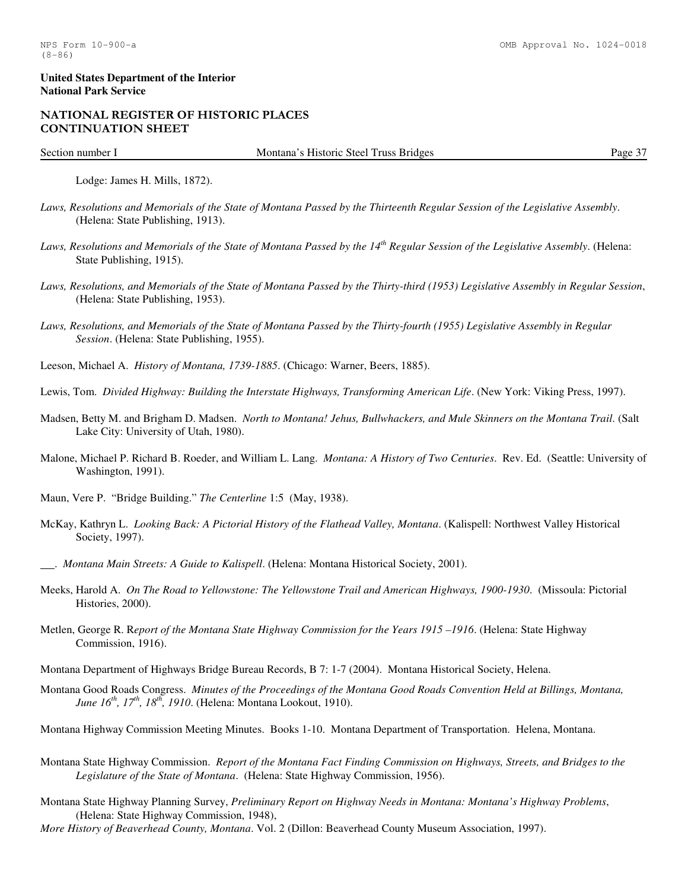#### NATIONAL REGISTER OF HISTORIC PLACES CONTINUATION SHEET

Section number I Montana's Historic Steel Truss Bridges Page 37

Lodge: James H. Mills, 1872).

- *Laws, Resolutions and Memorials of the State of Montana Passed by the Thirteenth Regular Session of the Legislative Assembly*. (Helena: State Publishing, 1913).
- *Laws, Resolutions and Memorials of the State of Montana Passed by the 14th Regular Session of the Legislative Assembly*. (Helena: State Publishing, 1915).
- *Laws, Resolutions, and Memorials of the State of Montana Passed by the Thirty-third (1953) Legislative Assembly in Regular Session*, (Helena: State Publishing, 1953).
- *Laws, Resolutions, and Memorials of the State of Montana Passed by the Thirty-fourth (1955) Legislative Assembly in Regular Session*. (Helena: State Publishing, 1955).
- Leeson, Michael A. *History of Montana, 1739-1885*. (Chicago: Warner, Beers, 1885).
- Lewis, Tom. *Divided Highway: Building the Interstate Highways, Transforming American Life*. (New York: Viking Press, 1997).
- Madsen, Betty M. and Brigham D. Madsen. *North to Montana! Jehus, Bullwhackers, and Mule Skinners on the Montana Trail*. (Salt Lake City: University of Utah, 1980).
- Malone, Michael P. Richard B. Roeder, and William L. Lang. *Montana: A History of Two Centuries*. Rev. Ed. (Seattle: University of Washington, 1991).
- Maun, Vere P. "Bridge Building." *The Centerline* 1:5 (May, 1938).
- McKay, Kathryn L. *Looking Back: A Pictorial History of the Flathead Valley, Montana*. (Kalispell: Northwest Valley Historical Society, 1997).
- . *Montana Main Streets: A Guide to Kalispell*. (Helena: Montana Historical Society, 2001).
- Meeks, Harold A. *On The Road to Yellowstone: The Yellowstone Trail and American Highways, 1900-1930*. (Missoula: Pictorial Histories, 2000).
- Metlen, George R. R*eport of the Montana State Highway Commission for the Years 1915 –1916*. (Helena: State Highway Commission, 1916).
- Montana Department of Highways Bridge Bureau Records, B 7: 1-7 (2004). Montana Historical Society, Helena.
- Montana Good Roads Congress. *Minutes of the Proceedings of the Montana Good Roads Convention Held at Billings, Montana, June 16th, 17th, 18th, 1910*. (Helena: Montana Lookout, 1910).
- Montana Highway Commission Meeting Minutes. Books 1-10. Montana Department of Transportation. Helena, Montana.
- Montana State Highway Commission. *Report of the Montana Fact Finding Commission on Highways, Streets, and Bridges to the Legislature of the State of Montana*. (Helena: State Highway Commission, 1956).
- Montana State Highway Planning Survey, *Preliminary Report on Highway Needs in Montana: Montana's Highway Problems*, (Helena: State Highway Commission, 1948),
- *More History of Beaverhead County, Montana*. Vol. 2 (Dillon: Beaverhead County Museum Association, 1997).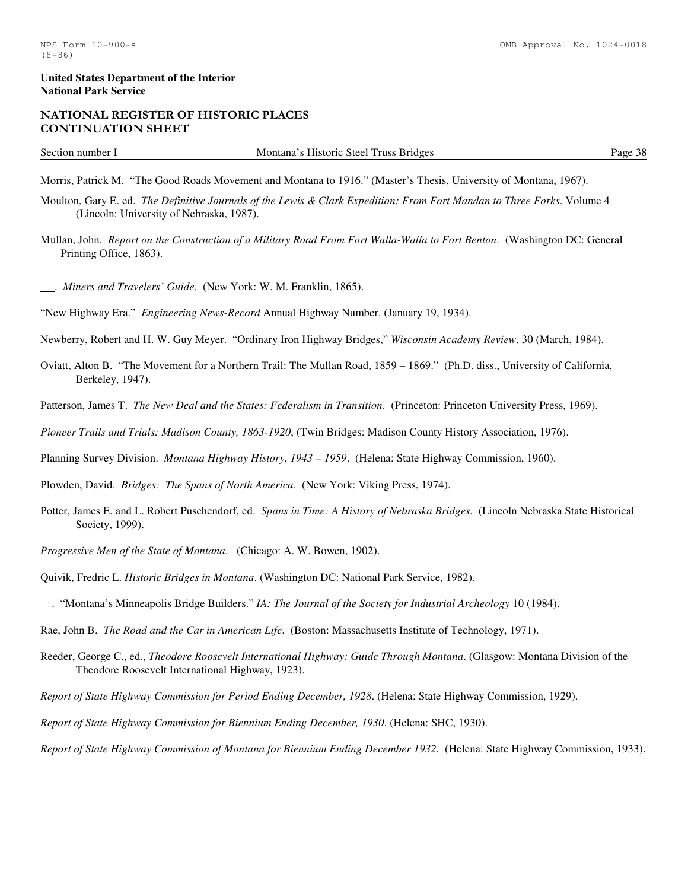# NATIONAL REGISTER OF HISTORIC PLACES CONTINUATION SHEET

Section number I Montana's Historic Steel Truss Bridges Page 38

Morris, Patrick M. "The Good Roads Movement and Montana to 1916." (Master's Thesis, University of Montana, 1967).

- Moulton, Gary E. ed. *The Definitive Journals of the Lewis & Clark Expedition: From Fort Mandan to Three Forks*. Volume 4 (Lincoln: University of Nebraska, 1987).
- Mullan, John. *Report on the Construction of a Military Road From Fort Walla-Walla to Fort Benton*. (Washington DC: General Printing Office, 1863).
- . *Miners and Travelers' Guide*. (New York: W. M. Franklin, 1865).

"New Highway Era." *Engineering News-Record* Annual Highway Number. (January 19, 1934).

Newberry, Robert and H. W. Guy Meyer. "Ordinary Iron Highway Bridges," *Wisconsin Academy Review*, 30 (March, 1984).

- Oviatt, Alton B. "The Movement for a Northern Trail: The Mullan Road, 1859 1869." (Ph.D. diss., University of California, Berkeley, 1947).
- Patterson, James T. *The New Deal and the States: Federalism in Transition*. (Princeton: Princeton University Press, 1969).

*Pioneer Trails and Trials: Madison County, 1863-1920*, (Twin Bridges: Madison County History Association, 1976).

Planning Survey Division. *Montana Highway History, 1943 – 1959*. (Helena: State Highway Commission, 1960).

Plowden, David. *Bridges: The Spans of North America*. (New York: Viking Press, 1974).

- Potter, James E. and L. Robert Puschendorf, ed. *Spans in Time: A History of Nebraska Bridges*. (Lincoln Nebraska State Historical Society, 1999).
- *Progressive Men of the State of Montana*. (Chicago: A. W. Bowen, 1902).

Quivik, Fredric L. *Historic Bridges in Montana*. (Washington DC: National Park Service, 1982).

. "Montana's Minneapolis Bridge Builders." *IA: The Journal of the Society for Industrial Archeology* 10 (1984).

Rae, John B. *The Road and the Car in American Life*. (Boston: Massachusetts Institute of Technology, 1971).

- Reeder, George C., ed., *Theodore Roosevelt International Highway: Guide Through Montana*. (Glasgow: Montana Division of the Theodore Roosevelt International Highway, 1923).
- *Report of State Highway Commission for Period Ending December, 1928*. (Helena: State Highway Commission, 1929).

*Report of State Highway Commission for Biennium Ending December, 1930*. (Helena: SHC, 1930).

*Report of State Highway Commission of Montana for Biennium Ending December 1932.* (Helena: State Highway Commission, 1933).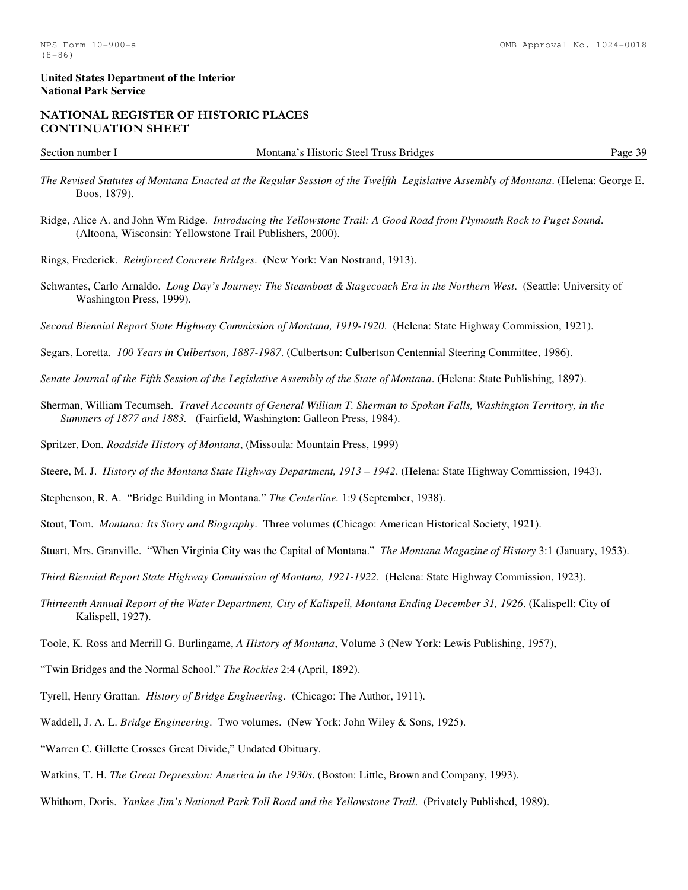# NATIONAL REGISTER OF HISTORIC PLACES CONTINUATION SHEET

Section number I Montana's Historic Steel Truss Bridges Page 39

- *The Revised Statutes of Montana Enacted at the Regular Session of the Twelfth Legislative Assembly of Montana*. (Helena: George E. Boos, 1879).
- Ridge, Alice A. and John Wm Ridge. *Introducing the Yellowstone Trail: A Good Road from Plymouth Rock to Puget Sound*. (Altoona, Wisconsin: Yellowstone Trail Publishers, 2000).
- Rings, Frederick. *Reinforced Concrete Bridges*. (New York: Van Nostrand, 1913).
- Schwantes, Carlo Arnaldo. *Long Day's Journey: The Steamboat & Stagecoach Era in the Northern West*. (Seattle: University of Washington Press, 1999).
- *Second Biennial Report State Highway Commission of Montana, 1919-1920*. (Helena: State Highway Commission, 1921).
- Segars, Loretta. *100 Years in Culbertson, 1887-1987*. (Culbertson: Culbertson Centennial Steering Committee, 1986).
- *Senate Journal of the Fifth Session of the Legislative Assembly of the State of Montana*. (Helena: State Publishing, 1897).
- Sherman, William Tecumseh. *Travel Accounts of General William T. Sherman to Spokan Falls, Washington Territory, in the Summers of 1877 and 1883.* (Fairfield, Washington: Galleon Press, 1984).
- Spritzer, Don. *Roadside History of Montana*, (Missoula: Mountain Press, 1999)
- Steere, M. J. *History of the Montana State Highway Department, 1913 1942*. (Helena: State Highway Commission, 1943).
- Stephenson, R. A. "Bridge Building in Montana." *The Centerline.* 1:9 (September, 1938).
- Stout, Tom. *Montana: Its Story and Biography*. Three volumes (Chicago: American Historical Society, 1921).
- Stuart, Mrs. Granville. "When Virginia City was the Capital of Montana." *The Montana Magazine of History* 3:1 (January, 1953).
- *Third Biennial Report State Highway Commission of Montana, 1921-1922*. (Helena: State Highway Commission, 1923).
- *Thirteenth Annual Report of the Water Department, City of Kalispell, Montana Ending December 31, 1926*. (Kalispell: City of Kalispell, 1927).
- Toole, K. Ross and Merrill G. Burlingame, *A History of Montana*, Volume 3 (New York: Lewis Publishing, 1957),
- "Twin Bridges and the Normal School." *The Rockies* 2:4 (April, 1892).
- Tyrell, Henry Grattan. *History of Bridge Engineering*. (Chicago: The Author, 1911).
- Waddell, J. A. L. *Bridge Engineering*. Two volumes. (New York: John Wiley & Sons, 1925).
- "Warren C. Gillette Crosses Great Divide," Undated Obituary.
- Watkins, T. H. *The Great Depression: America in the 1930s*. (Boston: Little, Brown and Company, 1993).
- Whithorn, Doris. *Yankee Jim's National Park Toll Road and the Yellowstone Trail*. (Privately Published, 1989).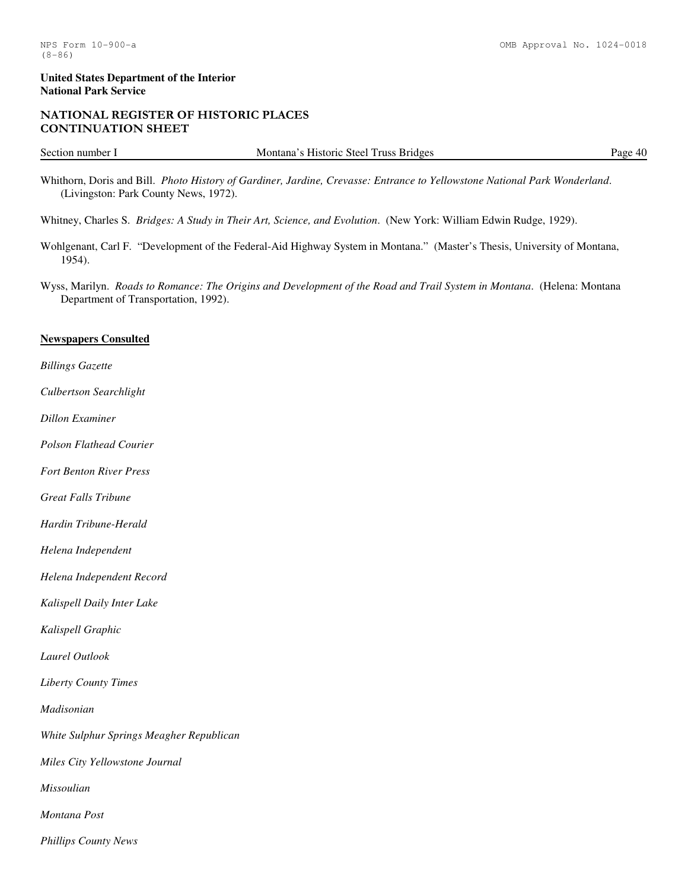# NATIONAL REGISTER OF HISTORIC PLACES CONTINUATION SHEET

Section number I Montana's Historic Steel Truss Bridges Page 40

Whithorn, Doris and Bill. *Photo History of Gardiner, Jardine, Crevasse: Entrance to Yellowstone National Park Wonderland*. (Livingston: Park County News, 1972).

Whitney, Charles S. *Bridges: A Study in Their Art, Science, and Evolution*. (New York: William Edwin Rudge, 1929).

Wohlgenant, Carl F. "Development of the Federal-Aid Highway System in Montana." (Master's Thesis, University of Montana, 1954).

Wyss, Marilyn. *Roads to Romance: The Origins and Development of the Road and Trail System in Montana*. (Helena: Montana Department of Transportation, 1992).

# **Newspapers Consulted**

*Billings Gazette* 

*Culbertson Searchlight*

*Dillon Examiner* 

*Polson Flathead Courier*

*Fort Benton River Press*

*Great Falls Tribune* 

*Hardin Tribune-Herald* 

*Helena Independent* 

*Helena Independent Record* 

*Kalispell Daily Inter Lake* 

*Kalispell Graphic* 

*Laurel Outlook* 

*Liberty County Times* 

*Madisonian* 

*White Sulphur Springs Meagher Republican*

*Miles City Yellowstone Journal*

*Missoulian* 

*Montana Post* 

*Phillips County News*